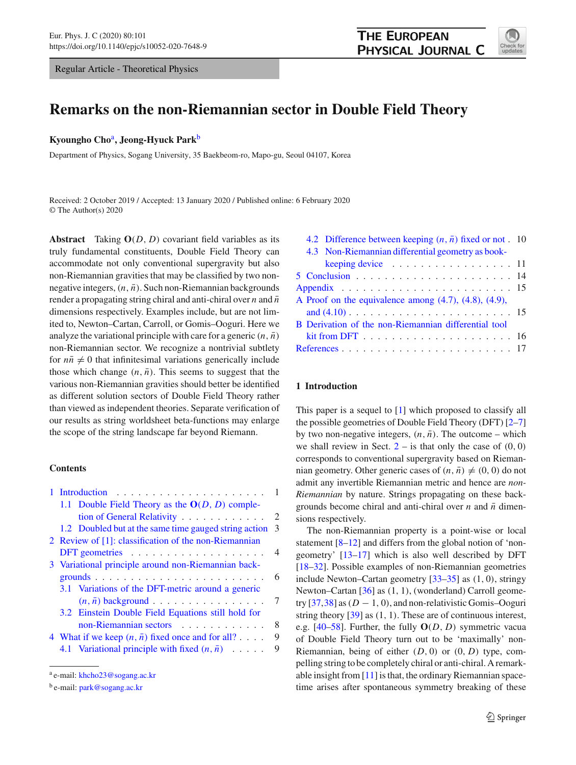Regular Article - Theoretical Physics



# **Remarks on the non-Riemannian sector in Double Field Theory**

### **Kyoungho Cho**a**, Jeong-Hyuck Park**<sup>b</sup>

Department of Physics, Sogang University, 35 Baekbeom-ro, Mapo-gu, Seoul 04107, Korea

Received: 2 October 2019 / Accepted: 13 January 2020 / Published online: 6 February 2020 © The Author(s) 2020

**Abstract** Taking **O**(*D*, *D*) covariant field variables as its truly fundamental constituents, Double Field Theory can accommodate not only conventional supergravity but also non-Riemannian gravities that may be classified by two nonnegative integers,  $(n, \bar{n})$ . Such non-Riemannian backgrounds render a propagating string chiral and anti-chiral over  $n$  and  $\bar{n}$ dimensions respectively. Examples include, but are not limited to, Newton–Cartan, Carroll, or Gomis–Ooguri. Here we analyze the variational principle with care for a generic  $(n, \bar{n})$ non-Riemannian sector. We recognize a nontrivial subtlety for  $n\bar{n} \neq 0$  that infinitesimal variations generically include those which change  $(n, \bar{n})$ . This seems to suggest that the various non-Riemannian gravities should better be identified as different solution sectors of Double Field Theory rather than viewed as independent theories. Separate verification of our results as string worldsheet beta-functions may enlarge the scope of the string landscape far beyond Riemann.

### **Contents**

|  | 1.1 Double Field Theory as the $O(D, D)$ comple-           |                |
|--|------------------------------------------------------------|----------------|
|  | tion of General Relativity                                 | 2              |
|  | 1.2 Doubled but at the same time gauged string action      | 3              |
|  | 2 Review of [1]: classification of the non-Riemannian      |                |
|  | DFT geometries $\ldots \ldots \ldots \ldots \ldots \ldots$ | $\overline{4}$ |
|  | 3 Variational principle around non-Riemannian back-        |                |
|  |                                                            | 6              |
|  | 3.1 Variations of the DFT-metric around a generic          |                |
|  | $(n, \bar{n})$ background                                  | 7              |
|  | 3.2 Einstein Double Field Equations still hold for         |                |
|  | non-Riemannian sectors                                     | 8              |
|  | 4 What if we keep $(n, \bar{n})$ fixed once and for all?   | 9              |
|  | 4.1 Variational principle with fixed $(n, \bar{n})$        | 9              |
|  |                                                            |                |

| 4.2 Difference between keeping $(n, \bar{n})$ fixed or not . 10                            |  |  |  |  |
|--------------------------------------------------------------------------------------------|--|--|--|--|
| 4.3 Non-Riemannian differential geometry as book-                                          |  |  |  |  |
| keeping device $\ldots \ldots \ldots \ldots \ldots \ldots 11$                              |  |  |  |  |
|                                                                                            |  |  |  |  |
|                                                                                            |  |  |  |  |
| A Proof on the equivalence among $(4.7)$ , $(4.8)$ , $(4.9)$ ,                             |  |  |  |  |
|                                                                                            |  |  |  |  |
| B Derivation of the non-Riemannian differential tool                                       |  |  |  |  |
| $\operatorname{kit}$ from DFT $\ldots \ldots \ldots \ldots \ldots \ldots \ldots \ldots 16$ |  |  |  |  |
|                                                                                            |  |  |  |  |
|                                                                                            |  |  |  |  |

### <span id="page-0-0"></span>**1 Introduction**

This paper is a sequel to [\[1\]](#page-16-0) which proposed to classify all the possible geometries of Double Field Theory (DFT) [\[2](#page-16-2)[–7\]](#page-16-3) by two non-negative integers,  $(n, \bar{n})$ . The outcome – which we shall review in Sect.  $2 2 -$  is that only the case of  $(0, 0)$ corresponds to conventional supergravity based on Riemannian geometry. Other generic cases of  $(n, \bar{n}) \neq (0, 0)$  do not admit any invertible Riemannian metric and hence are *non-Riemannian* by nature. Strings propagating on these backgrounds become chiral and anti-chiral over  $n$  and  $\bar{n}$  dimensions respectively.

The non-Riemannian property is a point-wise or local statement [\[8](#page-16-4)[–12\]](#page-16-5) and differs from the global notion of 'nongeometry' [\[13](#page-16-6)[–17\]](#page-16-7) which is also well described by DFT [\[18](#page-16-8)[–32](#page-16-9)]. Possible examples of non-Riemannian geometries include Newton–Cartan geometry  $[33-35]$  $[33-35]$  as  $(1, 0)$ , stringy Newton–Cartan [\[36\]](#page-16-12) as (1, 1), (wonderland) Carroll geometry  $[37,38]$  $[37,38]$  $[37,38]$  as  $(D - 1, 0)$ , and non-relativistic Gomis–Ooguri string theory  $[39]$  $[39]$  as  $(1, 1)$ . These are of continuous interest, e.g. [\[40](#page-17-1)[–58](#page-17-2)]. Further, the fully **O**(*D*, *D*) symmetric vacua of Double Field Theory turn out to be 'maximally' non-Riemannian, being of either (*D*, 0) or (0, *D*) type, compelling string to be completely chiral or anti-chiral. A remarkable insight from [\[11](#page-16-15)] is that, the ordinary Riemannian spacetime arises after spontaneous symmetry breaking of these

<sup>a</sup> e-mail: [khcho23@sogang.ac.kr](mailto:khcho23@sogang.ac.kr)

<sup>b</sup> e-mail: [park@sogang.ac.kr](mailto:park@sogang.ac.kr)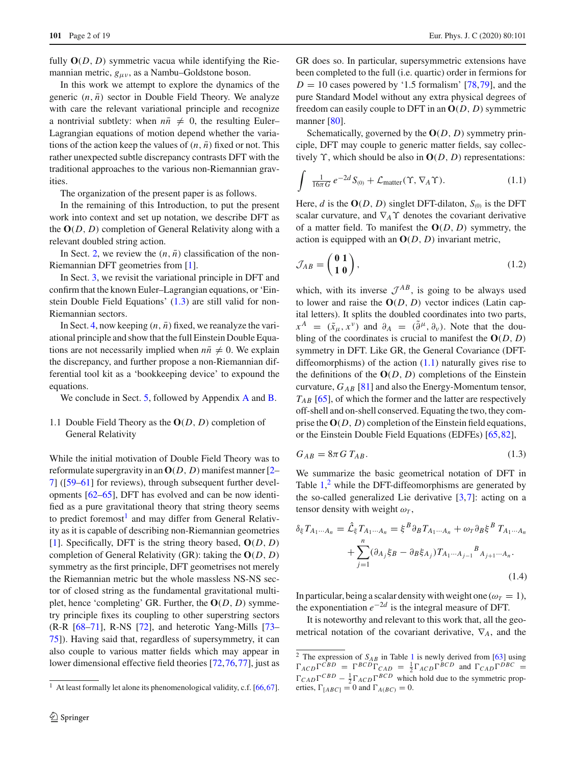fully  $O(D, D)$  symmetric vacua while identifying the Riemannian metric,  $g_{\mu\nu}$ , as a Nambu–Goldstone boson.

In this work we attempt to explore the dynamics of the generic  $(n, \bar{n})$  sector in Double Field Theory. We analyze with care the relevant variational principle and recognize a nontrivial subtlety: when  $n\bar{n} \neq 0$ , the resulting Euler– Lagrangian equations of motion depend whether the variations of the action keep the values of  $(n, \bar{n})$  fixed or not. This rather unexpected subtle discrepancy contrasts DFT with the traditional approaches to the various non-Riemannian gravities.

The organization of the present paper is as follows.

In the remaining of this Introduction, to put the present work into context and set up notation, we describe DFT as the **O**(*D*, *D*) completion of General Relativity along with a relevant doubled string action.

In Sect. [2,](#page-3-0) we review the  $(n, \bar{n})$  classification of the non-Riemannian DFT geometries from [\[1](#page-16-0)].

In Sect. [3,](#page-5-0) we revisit the variational principle in DFT and confirm that the known Euler–Lagrangian equations, or 'Einstein Double Field Equations' [\(1.3\)](#page-1-1) are still valid for non-Riemannian sectors.

In Sect. [4,](#page-8-0) now keeping  $(n, \bar{n})$  fixed, we reanalyze the variational principle and show that the full Einstein Double Equations are not necessarily implied when  $n\bar{n} \neq 0$ . We explain the discrepancy, and further propose a non-Riemannian differential tool kit as a 'bookkeeping device' to expound the equations.

We conclude in Sect. [5,](#page-13-0) followed by [A](#page-0-0)ppendix A and [B.](#page-3-0)

# <span id="page-1-0"></span>1.1 Double Field Theory as the **O**(*D*, *D*) completion of General Relativity

While the initial motivation of Double Field Theory was to reformulate supergravity in an  $O(D, D)$  manifest manner  $[2 [2-$ [7](#page-16-3)] ([\[59](#page-17-3)[–61\]](#page-17-4) for reviews), through subsequent further developments [\[62](#page-17-5)[–65\]](#page-17-6), DFT has evolved and can be now identified as a pure gravitational theory that string theory seems to predict foremost<sup>[1](#page-1-2)</sup> and may differ from General Relativity as it is capable of describing non-Riemannian geometries [\[1](#page-16-0)]. Specifically, DFT is the string theory based, **O**(*D*, *D*) completion of General Relativity (GR): taking the **O**(*D*, *D*) symmetry as the first principle, DFT geometrises not merely the Riemannian metric but the whole massless NS-NS sector of closed string as the fundamental gravitational multiplet, hence 'completing' GR. Further, the **O**(*D*, *D*) symmetry principle fixes its coupling to other superstring sectors (R-R [\[68](#page-17-7)[–71](#page-17-8)], R-NS [\[72\]](#page-17-9), and heterotic Yang-Mills [\[73](#page-17-10)– [75\]](#page-17-11)). Having said that, regardless of supersymmetry, it can also couple to various matter fields which may appear in lower dimensional effective field theories [\[72](#page-17-9)[,76](#page-17-12)[,77](#page-17-13)], just as

GR does so. In particular, supersymmetric extensions have been completed to the full (i.e. quartic) order in fermions for  $D = 10$  cases powered by '1.5 formalism' [\[78](#page-17-16),[79](#page-18-0)], and the pure Standard Model without any extra physical degrees of freedom can easily couple to DFT in an **O**(*D*, *D*) symmetric manner [\[80\]](#page-18-1).

Schematically, governed by the **O**(*D*, *D*) symmetry principle, DFT may couple to generic matter fields, say collectively  $\Upsilon$ , which should be also in  $O(D, D)$  representations:

<span id="page-1-3"></span>
$$
\int \frac{1}{16\pi G} e^{-2d} S_{(0)} + \mathcal{L}_{\text{matter}}(\Upsilon, \nabla_A \Upsilon). \tag{1.1}
$$

Here, *d* is the  $O(D, D)$  singlet DFT-dilaton,  $S_{(0)}$  is the DFT scalar curvature, and  $\nabla_A \Upsilon$  denotes the covariant derivative of a matter field. To manifest the **O**(*D*, *D*) symmetry, the action is equipped with an **O**(*D*, *D*) invariant metric,

$$
\mathcal{J}_{AB} = \begin{pmatrix} 0 & 1 \\ 1 & 0 \end{pmatrix},\tag{1.2}
$$

which, with its inverse  $\mathcal{J}^{AB}$ , is going to be always used to lower and raise the **O**(*D*, *D*) vector indices (Latin capital letters). It splits the doubled coordinates into two parts,  $x^A = (\tilde{x}_\mu, x^\nu)$  and  $\partial_A = (\tilde{\partial}^\mu, \partial_\nu)$ . Note that the doubling of the coordinates is crucial to manifest the  $O(D, D)$ symmetry in DFT. Like GR, the General Covariance (DFTdiffeomorphisms) of the action  $(1.1)$  naturally gives rise to the definitions of the  $O(D, D)$  completions of the Einstein curvature, *GAB* [\[81](#page-18-2)] and also the Energy-Momentum tensor, *TAB* [\[65\]](#page-17-6), of which the former and the latter are respectively off-shell and on-shell conserved. Equating the two, they comprise the  $O(D, D)$  completion of the Einstein field equations, or the Einstein Double Field Equations (EDFEs) [\[65](#page-17-6)[,82](#page-18-3)],

<span id="page-1-1"></span>
$$
G_{AB} = 8\pi G T_{AB}.
$$
\n
$$
(1.3)
$$

We summarize the basic geometrical notation of DFT in Table  $1<sup>2</sup>$  $1<sup>2</sup>$  $1<sup>2</sup>$  while the DFT-diffeomorphisms are generated by the so-called generalized Lie derivative [\[3](#page-16-16)[,7](#page-16-3)]: acting on a tensor density with weight  $\omega_T$ ,

<span id="page-1-5"></span>
$$
\delta_{\xi} T_{A_1 \cdots A_n} = \hat{\mathcal{L}}_{\xi} T_{A_1 \cdots A_n} = \xi^B \partial_B T_{A_1 \cdots A_n} + \omega_T \partial_B \xi^B T_{A_1 \cdots A_n}
$$

$$
+ \sum_{j=1}^n (\partial_{A_j} \xi_B - \partial_B \xi_{A_j}) T_{A_1 \cdots A_{j-1}}^B A_{j+1 \cdots A_n}.
$$
(1.4)

In particular, being a scalar density with weight one ( $\omega_T = 1$ ), the exponentiation  $e^{-2d}$  is the integral measure of DFT.

It is noteworthy and relevant to this work that, all the geometrical notation of the covariant derivative, ∇*A*, and the

<span id="page-1-2"></span><sup>&</sup>lt;sup>1</sup> At least formally let alone its phenomenological validity, c.f.  $[66, 67]$  $[66, 67]$ .

<span id="page-1-4"></span><sup>&</sup>lt;sup>2</sup> The expression of  $S_{AB}$  in Table [1](#page-2-1) is newly derived from [\[63\]](#page-17-17) using  $\Gamma_{ACD} \Gamma^{CBD} = \Gamma^{BCD} \Gamma_{CAD} = \frac{1}{2} \Gamma_{ACD} \Gamma^{BCD}$  and  $\Gamma_{CAD} \Gamma^{DBC} =$  $\Gamma_{CAD} \Gamma^{CBD} - \frac{1}{2} \Gamma_{ACD} \Gamma^{BCD}$  which hold due to the symmetric properties,  $\Gamma_{[ABC]} = 0$  and  $\Gamma_{A(BC)} = 0$ .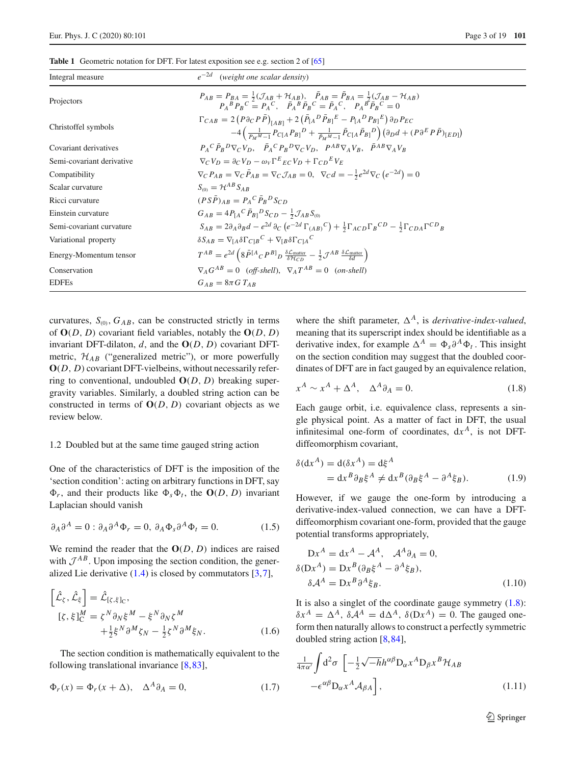<span id="page-2-1"></span>

| <b>Table 1</b> Geometric notation for DFT. For latest exposition see e.g. section 2 of [65] |
|---------------------------------------------------------------------------------------------|
|                                                                                             |

| Integral measure          | $e^{-2d}$ (weight one scalar density)                                                                                                                                                                                                                                                            |
|---------------------------|--------------------------------------------------------------------------------------------------------------------------------------------------------------------------------------------------------------------------------------------------------------------------------------------------|
| Projectors                | $P_{AB} = P_{BA} = \frac{1}{2}(\mathcal{J}_{AB} + \mathcal{H}_{AB}), \quad \bar{P}_{AB} = \bar{P}_{BA} = \frac{1}{2}(\mathcal{J}_{AB} - \mathcal{H}_{AB})$<br>$P_A{}^B P_B{}^C = P_A{}^C$ , $\overline{P}_A{}^B \overline{P}_B{}^C = \overline{P}_A{}^C$ , $P_A{}^B \overline{P}_B{}^C = 0$      |
| Christoffel symbols       | $\Gamma_{CAB} = 2 (P \partial_C P \bar{P})_{[AB]} + 2 (\bar{P}_{[A}{}^D \bar{P}_{B]}{}^E - P_{[A}{}^D P_{B]}{}^E) \partial_D P_{EC}$<br>$-4\left(\frac{1}{p_{1}M_{-1}}P_{C[A}P_{B]}^{D}+\frac{1}{p_{1}M_{-1}}\bar{P}_{C[A}\bar{P}_{B]}^{D}\right)(\partial_{D}d+(P\partial^{E}P\bar{P})_{[ED]})$ |
| Covariant derivatives     | $P_A C \bar{P}_P^D \nabla_C V_D$ , $\bar{P}_A C P_P^D \nabla_C V_D$ , $P^{AB} \nabla_A V_P$ , $\bar{P}^{AB} \nabla_A V_P$                                                                                                                                                                        |
| Semi-covariant derivative | $\nabla_C V_D = \partial_C V_D - \omega_V \Gamma^E{}_E_C V_D + \Gamma_C{}_D{}^E V_F$                                                                                                                                                                                                             |
| Compatibility             | $\nabla_{C} P_{AB} = \nabla_{C} \overline{P}_{AB} = \nabla_{C} \mathcal{J}_{AB} = 0, \ \nabla_{C} d = -\frac{1}{2} e^{2d} \nabla_{C} (e^{-2d}) = 0$                                                                                                                                              |
| Scalar curvature          | $S_{\omega} = \mathcal{H}^{AB} S_{AB}$                                                                                                                                                                                                                                                           |
| Ricci curvature           | $(PS\overline{P})_{AB} = P_A{}^C \overline{P}_B{}^D S_{CD}$                                                                                                                                                                                                                                      |
| Einstein curvature        | $G_{AB} = 4P_{A}{}^{C}P_{B1}{}^{D}S_{CD} - \frac{1}{2}J_{AB}S_{CD}$                                                                                                                                                                                                                              |
| Semi-covariant curvature  | $S_{AB} = 2\partial_A \partial_B d - e^{2d} \partial_C (e^{-2d} \Gamma_{(AB)}^C) + \frac{1}{2} \Gamma_{ACD}^{\phantom{ACD}C} \Gamma_B^{\phantom{ACD}C} - \frac{1}{2} \Gamma_{CDA}^{\phantom{CD}C} \Gamma_{B}^{CD}$                                                                               |
| Variational property      | $\delta S_{AB} = \nabla_{\text{LA}} \delta \Gamma_{\text{C1B}}{}^{\text{C}} + \nabla_{\text{LR}} \delta \Gamma_{\text{C1A}}{}^{\text{C}}$                                                                                                                                                        |
| Energy-Momentum tensor    | $T^{AB} = e^{2d} \left( 8 \bar{P}^{[A}{}_{C} P^{B]}{}_{D} \frac{\delta \mathcal{L}_{matter}}{\delta \mathcal{H}_{CD}} - \frac{1}{2} \mathcal{J}^{AB} \frac{\delta \mathcal{L}_{matter}}{\delta d} \right)$                                                                                       |
| Conservation              | $\nabla_{A} G^{AB} = 0$ (off-shell). $\nabla_{A} T^{AB} = 0$ (on-shell)                                                                                                                                                                                                                          |
| <b>EDFEs</b>              | $G_{AB} = 8\pi G T_{AB}$                                                                                                                                                                                                                                                                         |

curvatures,  $S_{(0)}$ ,  $G_{AB}$ , can be constructed strictly in terms of  $O(D, D)$  covariant field variables, notably the  $O(D, D)$ invariant DFT-dilaton,  $d$ , and the  $O(D, D)$  covariant DFTmetric,  $\mathcal{H}_{AB}$  ("generalized metric"), or more powerfully **O**(*D*, *D*) covariant DFT-vielbeins, without necessarily referring to conventional, undoubled  $O(D, D)$  breaking supergravity variables. Similarly, a doubled string action can be constructed in terms of **O**(*D*, *D*) covariant objects as we review below.

# <span id="page-2-0"></span>1.2 Doubled but at the same time gauged string action

One of the characteristics of DFT is the imposition of the 'section condition': acting on arbitrary functions in DFT, say  $\Phi_r$ , and their products like  $\Phi_s \Phi_t$ , the  $O(D, D)$  invariant Laplacian should vanish

<span id="page-2-5"></span>
$$
\partial_A \partial^A = 0 : \partial_A \partial^A \Phi_r = 0, \ \partial_A \Phi_s \partial^A \Phi_t = 0. \tag{1.5}
$$

We remind the reader that the  $O(D, D)$  indices are raised with  $\mathcal{J}^{AB}$ . Upon imposing the section condition, the generalized Lie derivative  $(1.4)$  is closed by commutators  $[3,7]$  $[3,7]$  $[3,7]$ ,

$$
\begin{aligned}\n\left[\hat{\mathcal{L}}_{\zeta}, \hat{\mathcal{L}}_{\xi}\right] &= \hat{\mathcal{L}}_{[\zeta, \xi]_{\mathcal{C}}}, \\
\left[\zeta, \xi\right]_{\mathcal{C}}^{M} &= \zeta^{N} \partial_{N} \xi^{M} - \xi^{N} \partial_{N} \zeta^{M} \\
&+ \frac{1}{2} \xi^{N} \partial^{M} \zeta_{N} - \frac{1}{2} \zeta^{N} \partial^{M} \xi_{N}.\n\end{aligned} \tag{1.6}
$$

The section condition is mathematically equivalent to the following translational invariance [\[8](#page-16-4),[83\]](#page-18-4),

$$
\Phi_r(x) = \Phi_r(x + \Delta), \quad \Delta^A \partial_A = 0,\tag{1.7}
$$

where the shift parameter,  $\Delta^A$ , is *derivative-index-valued*, meaning that its superscript index should be identifiable as a derivative index, for example  $\Delta^A = \Phi_s \partial^A \Phi_t$ . This insight on the section condition may suggest that the doubled coordinates of DFT are in fact gauged by an equivalence relation,

<span id="page-2-2"></span>
$$
x^A \sim x^A + \Delta^A, \quad \Delta^A \partial_A = 0. \tag{1.8}
$$

Each gauge orbit, i.e. equivalence class, represents a single physical point. As a matter of fact in DFT, the usual infinitesimal one-form of coordinates,  $dx^A$ , is not DFTdiffeomorphism covariant,

<span id="page-2-6"></span>
$$
\delta(\mathrm{d}x^A) = \mathrm{d}(\delta x^A) = \mathrm{d}\xi^A
$$
  
=  $\mathrm{d}x^B \partial_B \xi^A \neq \mathrm{d}x^B (\partial_B \xi^A - \partial^A \xi_B).$  (1.9)

However, if we gauge the one-form by introducing a derivative-index-valued connection, we can have a DFTdiffeomorphism covariant one-form, provided that the gauge potential transforms appropriately,

<span id="page-2-4"></span>
$$
Dx^{A} = dx^{A} - A^{A}, \quad A^{A}\partial_{A} = 0,
$$
  
\n
$$
\delta(Dx^{A}) = Dx^{B}(\partial_{B}\xi^{A} - \partial^{A}\xi_{B}),
$$
  
\n
$$
\delta A^{A} = Dx^{B}\partial^{A}\xi_{B}.
$$
\n(1.10)

It is also a singlet of the coordinate gauge symmetry [\(1.8\)](#page-2-2):  $\delta x^A = \Delta^A$ ,  $\delta A^A = d\Delta^A$ ,  $\delta (Dx^A) = 0$ . The gauged oneform then naturally allows to construct a perfectly symmetric doubled string action [\[8](#page-16-4)[,84](#page-18-5)],

<span id="page-2-3"></span>
$$
\frac{1}{4\pi\alpha'}\int d^2\sigma \left[ -\frac{1}{2}\sqrt{-h}h^{\alpha\beta}D_{\alpha}x^A D_{\beta}x^B \mathcal{H}_{AB} -\epsilon^{\alpha\beta}D_{\alpha}x^A \mathcal{A}_{\beta A} \right],
$$
\n(1.11)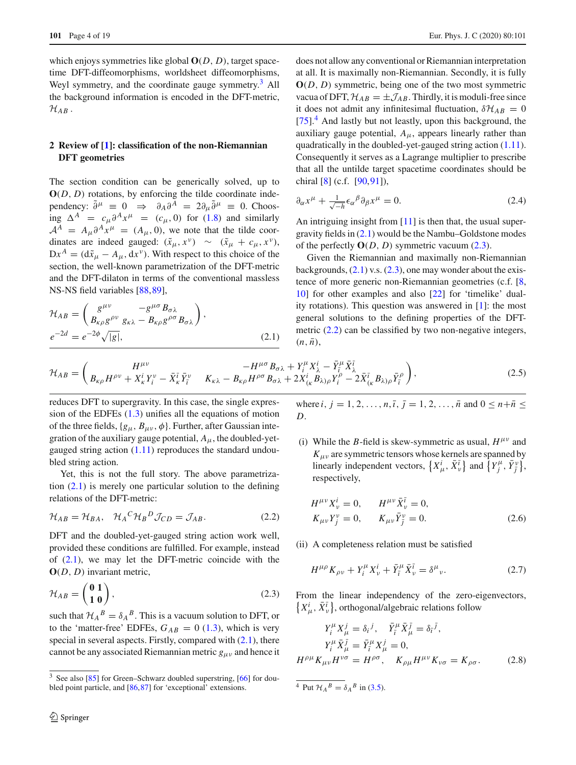which enjoys symmetries like global **O**(*D*, *D*), target spacetime DFT-diffeomorphisms, worldsheet diffeomorphisms, Weyl symmetry, and the coordinate gauge symmetry.<sup>[3](#page-3-1)</sup> All the background information is encoded in the DFT-metric,  $\mathcal{H}_{AB}$  .

# <span id="page-3-0"></span>**2 Review of [\[1\]](#page-16-0): classification of the non-Riemannian DFT geometries**

The section condition can be generically solved, up to  $O(D, D)$  rotations, by enforcing the tilde coordinate independency:  $\tilde{\partial}^{\mu} \equiv 0 \Rightarrow \partial_{A} \partial^{A} = 2 \partial_{\mu} \tilde{\partial}^{\mu} \equiv 0$ . Choosing  $\Delta^A = c_{\mu} \partial^A x^{\mu} = (c_{\mu}, 0)$  for [\(1.8\)](#page-2-2) and similarly  $A^A = A_\mu \partial^A x^\mu = (A_\mu, 0)$ , we note that the tilde coordinates are indeed gauged:  $(\tilde{x}_{\mu}, x^{\nu}) \sim (\tilde{x}_{\mu} + c_{\mu}, x^{\nu}),$  $Dx^A = (d\tilde{x}_\mu - A_\mu, dx^\nu)$ . With respect to this choice of the section, the well-known parametrization of the DFT-metric and the DFT-dilaton in terms of the conventional massless NS-NS field variables [\[88](#page-18-6)[,89](#page-18-7)],

<span id="page-3-2"></span>
$$
\mathcal{H}_{AB} = \begin{pmatrix} g^{\mu\nu} & -g^{\mu\sigma} B_{\sigma\lambda} \\ B_{\kappa\rho} g^{\rho\nu} & g_{\kappa\lambda} - B_{\kappa\rho} g^{\rho\sigma} B_{\sigma\lambda} \end{pmatrix},
$$
  
\n
$$
e^{-2d} = e^{-2\phi} \sqrt{|g|},
$$
\n(2.1)

does not allow any conventional or Riemannian interpretation at all. It is maximally non-Riemannian. Secondly, it is fully **O**(*D*, *D*) symmetric, being one of the two most symmetric vacua of DFT,  $\mathcal{H}_{AB} = \pm \mathcal{J}_{AB}$ . Thirdly, it is moduli-free since it does not admit any infinitesimal fluctuation,  $\delta \mathcal{H}_{AB} = 0$ [\[75](#page-17-11)].<sup>[4](#page-3-3)</sup> And lastly but not leastly, upon this background, the auxiliary gauge potential,  $A_{\mu}$ , appears linearly rather than quadratically in the doubled-yet-gauged string action [\(1.11\)](#page-2-3). Consequently it serves as a Lagrange multiplier to prescribe that all the untilde target spacetime coordinates should be chiral [\[8\]](#page-16-4) (c.f. [\[90,](#page-18-11)[91\]](#page-18-12)),

<span id="page-3-9"></span>
$$
\partial_{\alpha}x^{\mu} + \frac{1}{\sqrt{-h}} \epsilon_{\alpha}{}^{\beta} \partial_{\beta}x^{\mu} = 0. \tag{2.4}
$$

An intriguing insight from  $[11]$  $[11]$  is then that, the usual supergravity fields in [\(2.1\)](#page-3-2) would be the Nambu–Goldstone modes of the perfectly  $O(D, D)$  symmetric vacuum  $(2.3)$ .

Given the Riemannian and maximally non-Riemannian backgrounds,  $(2.1)$  v.s.  $(2.3)$ , one may wonder about the existence of more generic non-Riemannian geometries (c.f. [\[8,](#page-16-4) [10](#page-16-17)] for other examples and also [\[22](#page-16-18)] for 'timelike' duality rotations). This question was answered in [\[1](#page-16-0)]: the most general solutions to the defining properties of the DFTmetric  $(2.2)$  can be classified by two non-negative integers,  $(n, \bar{n}),$ 

<span id="page-3-6"></span>
$$
\mathcal{H}_{AB} = \begin{pmatrix} H^{\mu\nu} & -H^{\mu\sigma} B_{\sigma\lambda} + Y_i^{\mu} X_{\lambda}^i - \bar{Y}_i^{\mu} \bar{X}_{\lambda}^{\bar{\imath}} \\ B_{\kappa\rho} H^{\rho\nu} + X_{\kappa}^i Y_i^{\nu} - \bar{X}_{\kappa}^{\bar{\imath}} \bar{Y}_i^{\nu} & K_{\kappa\lambda} - B_{\kappa\rho} H^{\rho\sigma} B_{\sigma\lambda} + 2 X_{(\kappa}^i B_{\lambda)\rho} Y_i^{\rho} - 2 \bar{X}_{(\kappa}^{\bar{\imath}} B_{\lambda)\rho} \bar{Y}_i^{\rho} \end{pmatrix},
$$
\n(2.5)

reduces DFT to supergravity. In this case, the single expression of the EDFEs [\(1.3\)](#page-1-1) unifies all the equations of motion of the three fields,  ${g_{\mu}, B_{\mu\nu}, \phi}$ . Further, after Gaussian integration of the auxiliary gauge potential,  $A_{\mu}$ , the doubled-yetgauged string action [\(1.11\)](#page-2-3) reproduces the standard undoubled string action.

Yet, this is not the full story. The above parametrization  $(2.1)$  is merely one particular solution to the defining relations of the DFT-metric:

<span id="page-3-5"></span>
$$
\mathcal{H}_{AB} = \mathcal{H}_{BA}, \quad \mathcal{H}_A{}^C \mathcal{H}_B{}^D \mathcal{J}_{CD} = \mathcal{J}_{AB}.
$$
 (2.2)

DFT and the doubled-yet-gauged string action work well, provided these conditions are fulfilled. For example, instead of [\(2.1\)](#page-3-2), we may let the DFT-metric coincide with the **O**(*D*, *D*) invariant metric,

<span id="page-3-4"></span>
$$
\mathcal{H}_{AB} = \begin{pmatrix} 0 & 1 \\ 1 & 0 \end{pmatrix},\tag{2.3}
$$

such that  $H_A^B = \delta_A^B$ . This is a vacuum solution to DFT, or to the 'matter-free' EDFEs,  $G_{AB} = 0$  [\(1.3\)](#page-1-1), which is very special in several aspects. Firstly, compared with [\(2.1\)](#page-3-2), there cannot be any associated Riemannian metric  $g_{\mu\nu}$  and hence it where *i*,  $j = 1, 2, ..., n$ ,  $\bar{i}$ ,  $\bar{j} = 1, 2, ..., \bar{n}$  and  $0 \leq n + \bar{n} \leq$ *D*.

(i) While the *B*-field is skew-symmetric as usual,  $H^{\mu\nu}$  and  $K_{\mu\nu}$  are symmetric tensors whose kernels are spanned by linearly independent vectors,  $\{X^i_\mu, \bar{X}^{\bar{\iota}}_\nu\}$  and  $\{Y^\mu_j, \bar{Y}^\nu_j\}$ , respectively,

<span id="page-3-8"></span>
$$
H^{\mu\nu} X_{\nu}^{i} = 0, \qquad H^{\mu\nu} \bar{X}_{\nu}^{\bar{i}} = 0, K_{\mu\nu} Y_{j}^{\nu} = 0, \qquad K_{\mu\nu} \bar{Y}_{\bar{j}}^{\nu} = 0.
$$
 (2.6)

(ii) A completeness relation must be satisfied

<span id="page-3-7"></span>
$$
H^{\mu\rho} K_{\rho\nu} + Y_i^{\mu} X_{\nu}^i + \bar{Y}_i^{\mu} \bar{X}_{\nu}^{\bar{i}} = \delta^{\mu}{}_{\nu}.
$$
 (2.7)

From the linear independency of the zero-eigenvectors,  $\{X^i_\mu, \bar{X}^{\bar{i}}_\nu\}$ , orthogonal/algebraic relations follow

$$
Y_i^{\mu} X_{\mu}^j = \delta_i^j, \quad \bar{Y}_i^{\mu} \bar{X}_{\mu}^j = \delta_i^j,
$$
  
\n
$$
Y_i^{\mu} \bar{X}_{\mu}^j = \bar{Y}_i^{\mu} X_{\mu}^j = 0,
$$
  
\n
$$
H^{\rho \mu} K_{\mu \nu} H^{\nu \sigma} = H^{\rho \sigma}, \quad K_{\rho \mu} H^{\mu \nu} K_{\nu \sigma} = K_{\rho \sigma}.
$$
 (2.8)

<span id="page-3-3"></span> $\overline{4 \text{ Put } \mathcal{H}_A{}^B} = \delta_A{}^B$  in [\(3.5\)](#page-6-1).

<span id="page-3-1"></span><sup>&</sup>lt;sup>3</sup> See also [\[85\]](#page-18-8) for Green–Schwarz doubled superstring, [\[66](#page-17-14)] for doubled point particle, and [\[86](#page-18-9)[,87\]](#page-18-10) for 'exceptional' extensions.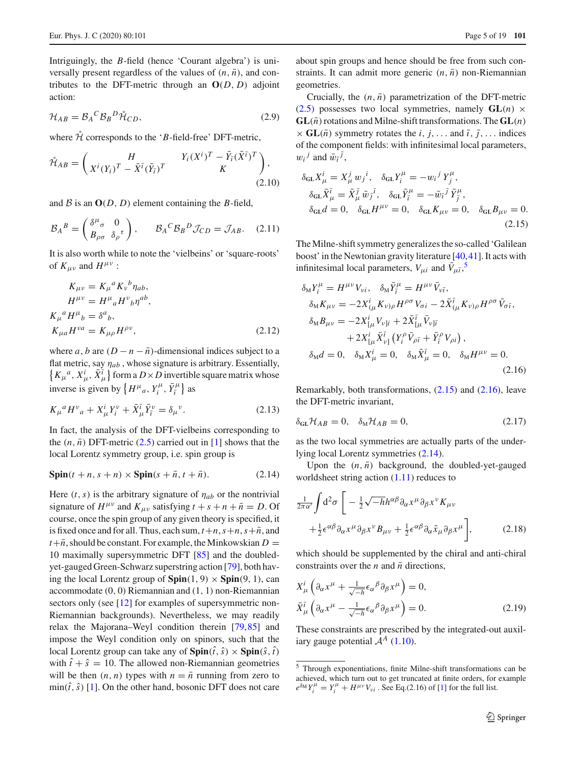Intriguingly, the *B*-field (hence 'Courant algebra') is universally present regardless of the values of  $(n, \bar{n})$ , and contributes to the DFT-metric through an  $O(D, D)$  adjoint action:

<span id="page-4-4"></span>
$$
\mathcal{H}_{AB} = \mathcal{B}_A{}^C \mathcal{B}_B{}^D \mathring{\mathcal{H}}_{CD},\tag{2.9}
$$

where  $\mathcal{\hat{H}}$  corresponds to the '*B*-field-free' DFT-metric,

<span id="page-4-5"></span>
$$
\mathring{\mathcal{H}}_{AB} = \begin{pmatrix} H & Y_i (X^i)^T - \bar{Y}_i (\bar{X}^{\bar{\imath}})^T \\ X^i (Y_i)^T - \bar{X}^{\bar{\imath}} (\bar{Y}_{\bar{\imath}})^T & K \end{pmatrix},
$$
\n(2.10)

and  $B$  is an  $O(D, D)$  element containing the *B*-field,

$$
\mathcal{B}_A{}^B = \begin{pmatrix} \delta^{\mu}{}_{\sigma} & 0 \\ B_{\rho\sigma} & \delta_{\rho}{}^{\tau} \end{pmatrix}, \qquad \mathcal{B}_A{}^C \mathcal{B}_B{}^D \mathcal{J}_{CD} = \mathcal{J}_{AB}. \tag{2.11}
$$

It is also worth while to note the 'vielbeins' or 'square-roots' of  $K_{\mu\nu}$  and  $H^{\mu\nu}$  :

<span id="page-4-7"></span>
$$
K_{\mu\nu} = K_{\mu}{}^{a} K_{\nu}{}^{b} \eta_{ab},
$$
  
\n
$$
H^{\mu\nu} = H^{\mu}{}_{a} H^{\nu}{}_{b} \eta^{ab},
$$
  
\n
$$
K_{\mu}{}^{a} H^{\mu}{}_{b} = \delta^{a}{}_{b},
$$
  
\n
$$
K_{\mu a} H^{\nu a} = K_{\mu\rho} H^{\rho\nu},
$$
\n(2.12)

where *a*, *b* are  $(D - n - \overline{n})$ -dimensional indices subject to a flat metric, say η*ab* , whose signature is arbitrary. Essentially,  $\{K_{\mu}^{\ a}, X_{\mu}^{i}, \bar{X}_{\mu}^{\bar{\iota}}\}$  form a  $D \times D$  invertible square matrix whose inverse is given by  $\left\{ H^{\mu}{}_a, Y^{\mu}_i, \bar{Y}^{\mu}_{\bar{i}} \right\}$  as

<span id="page-4-6"></span>
$$
K_{\mu}{}^{a}H^{\nu}{}_{a} + X^{i}_{\mu}Y^{\nu}_{i} + \bar{X}^{\bar{\iota}}_{\mu}\bar{Y}^{\nu}_{\bar{\iota}} = \delta_{\mu}{}^{\nu}.
$$
 (2.13)

In fact, the analysis of the DFT-vielbeins corresponding to the  $(n, \bar{n})$  DFT-metric  $(2.5)$  carried out in [\[1](#page-16-0)] shows that the local Lorentz symmetry group, i.e. spin group is

<span id="page-4-3"></span>
$$
\text{Spin}(t+n, s+n) \times \text{Spin}(s+\bar{n}, t+\bar{n}).\tag{2.14}
$$

Here  $(t, s)$  is the arbitrary signature of  $\eta_{ab}$  or the nontrivial signature of  $H^{\mu\nu}$  and  $K_{\mu\nu}$  satisfying  $t + s + n + \bar{n} = D$ . Of course, once the spin group of any given theory is specified, it is fixed once and for all. Thus, each sum,  $t+n$ ,  $s+n$ ,  $s+\overline{n}$ , and  $t + \bar{n}$ , should be constant. For example, the Minkowskian  $D =$ 10 maximally supersymmetric DFT [\[85](#page-18-8)] and the doubledyet-gauged Green-Schwarz superstring action [\[79](#page-18-0)], both having the local Lorentz group of  $\text{Spin}(1, 9) \times \text{Spin}(9, 1)$ , can accommodate (0, 0) Riemannian and (1, 1) non-Riemannian sectors only (see [\[12\]](#page-16-5) for examples of supersymmetric non-Riemannian backgrounds). Nevertheless, we may readily relax the Majorana–Weyl condition therein [\[79](#page-18-0)[,85\]](#page-18-8) and impose the Weyl condition only on spinors, such that the local Lorentz group can take any of  $\text{Spin}(\hat{t}, \hat{s}) \times \text{Spin}(\hat{s}, \hat{t})$ with  $\hat{t} + \hat{s} = 10$ . The allowed non-Riemannian geometries will be then  $(n, n)$  types with  $n = \overline{n}$  running from zero to  $\min(\hat{t}, \hat{s})$  [\[1\]](#page-16-0). On the other hand, bosonic DFT does not care

about spin groups and hence should be free from such constraints. It can admit more generic  $(n, \bar{n})$  non-Riemannian geometries.

Crucially, the  $(n, \bar{n})$  parametrization of the DFT-metric [\(2.5\)](#page-3-6) possesses two local symmetries, namely  $GL(n) \times$  $GL(\bar{n})$  rotations and Milne-shift transformations. The  $GL(n)$  $\times$  **GL**( $\bar{n}$ ) symmetry rotates the *i*, *j*,... and  $\bar{i}$ ,  $\bar{j}$ ,... indices of the component fields: with infinitesimal local parameters,  $w_i^j$  and  $\bar{w}_i^j$ ,

<span id="page-4-1"></span>
$$
\delta_{\text{GL}} X_{\mu}^{i} = X_{\mu}^{j} w_{j}{}^{i}, \quad \delta_{\text{GL}} Y_{i}^{\mu} = -w_{i}{}^{j} Y_{j}^{\mu}, \n\delta_{\text{GL}} \bar{X}_{\mu}^{\bar{\iota}} = \bar{X}_{\mu}^{\bar{\jmath}} \bar{w}_{j}{}^{\bar{\iota}}, \quad \delta_{\text{GL}} \bar{Y}_{i}^{\mu} = -\bar{w}_{i}{}^{\bar{\jmath}} \bar{Y}_{j}^{\mu}, \n\delta_{\text{GL}} d = 0, \quad \delta_{\text{GL}} H^{\mu \nu} = 0, \quad \delta_{\text{GL}} K_{\mu \nu} = 0, \quad \delta_{\text{GL}} B_{\mu \nu} = 0.
$$
\n(2.15)

The Milne-shift symmetry generalizes the so-called 'Galilean boost' in the Newtonian gravity literature [\[40](#page-17-1)[,41](#page-17-18)]. It acts with infinitesimal local parameters,  $V_{\mu i}$  and  $\bar{V}_{\mu \bar{i}}$ ,<sup>[5](#page-4-0)</sup>

<span id="page-4-2"></span>
$$
\delta_{\rm M}Y_{i}^{\mu} = H^{\mu\nu}V_{\nu i}, \quad \delta_{\rm M}\bar{Y}_{\bar{i}}^{\mu} = H^{\mu\nu}\bar{V}_{\nu\bar{i}}, \n\delta_{\rm M}K_{\mu\nu} = -2X_{(\mu}^{i}K_{\nu)\rho}H^{\rho\sigma}V_{\sigma i} - 2\bar{X}_{(\mu}^{\bar{i}}K_{\nu)\rho}H^{\rho\sigma}\bar{V}_{\sigma\bar{i}}, \n\delta_{\rm M}B_{\mu\nu} = -2X_{[\mu}^{i}V_{\nu]i} + 2\bar{X}_{[\mu}^{\bar{i}}\bar{V}_{\nu]\bar{i}} \n+ 2X_{[\mu}^{i}\bar{X}_{\nu]}^{\bar{i}}\left(Y_{i}^{\rho}\bar{V}_{\rho\bar{i}} + \bar{Y}_{\bar{i}}^{\rho}V_{\rho i}\right), \n\delta_{\rm M}d = 0, \quad \delta_{\rm M}X_{\mu}^{i} = 0, \quad \delta_{\rm M}\bar{X}_{\mu}^{\bar{i}} = 0, \quad \delta_{\rm M}H^{\mu\nu} = 0.
$$
\n(2.16)

Remarkably, both transformations, [\(2.15\)](#page-4-1) and [\(2.16\)](#page-4-2), leave the DFT-metric invariant,

$$
\delta_{GL} \mathcal{H}_{AB} = 0, \quad \delta_M \mathcal{H}_{AB} = 0,\tag{2.17}
$$

as the two local symmetries are actually parts of the underlying local Lorentz symmetries [\(2.14\)](#page-4-3).

Upon the  $(n, \bar{n})$  background, the doubled-yet-gauged worldsheet string action [\(1.11\)](#page-2-3) reduces to

$$
\frac{1}{2\pi\alpha'}\int d^2\sigma \left[ -\frac{1}{2}\sqrt{-h}h^{\alpha\beta}\partial_{\alpha}x^{\mu}\partial_{\beta}x^{\nu}K_{\mu\nu} + \frac{1}{2}\epsilon^{\alpha\beta}\partial_{\alpha}x^{\mu}\partial_{\beta}x^{\nu}B_{\mu\nu} + \frac{1}{2}\epsilon^{\alpha\beta}\partial_{\alpha}\tilde{x}_{\mu}\partial_{\beta}x^{\mu} \right],
$$
\n(2.18)

which should be supplemented by the chiral and anti-chiral constraints over the *n* and  $\bar{n}$  directions,

$$
X^i_{\mu} \left( \partial_{\alpha} x^{\mu} + \frac{1}{\sqrt{-h}} \epsilon_{\alpha}{}^{\beta} \partial_{\beta} x^{\mu} \right) = 0,
$$
  

$$
\bar{X}^{\bar{i}}_{\mu} \left( \partial_{\alpha} x^{\mu} - \frac{1}{\sqrt{-h}} \epsilon_{\alpha}{}^{\beta} \partial_{\beta} x^{\mu} \right) = 0.
$$
 (2.19)

These constraints are prescribed by the integrated-out auxiliary gauge potential  $A^A$  [\(1.10\)](#page-2-4).

<span id="page-4-0"></span><sup>5</sup> Through exponentiations, finite Milne-shift transformations can be achieved, which turn out to get truncated at finite orders, for example  $e^{\delta_M} Y_i^{\mu} = Y_i^{\mu} + H^{\mu\nu} V_{\nu i}$ . See Eq.(2.16) of [\[1](#page-16-0)] for the full list.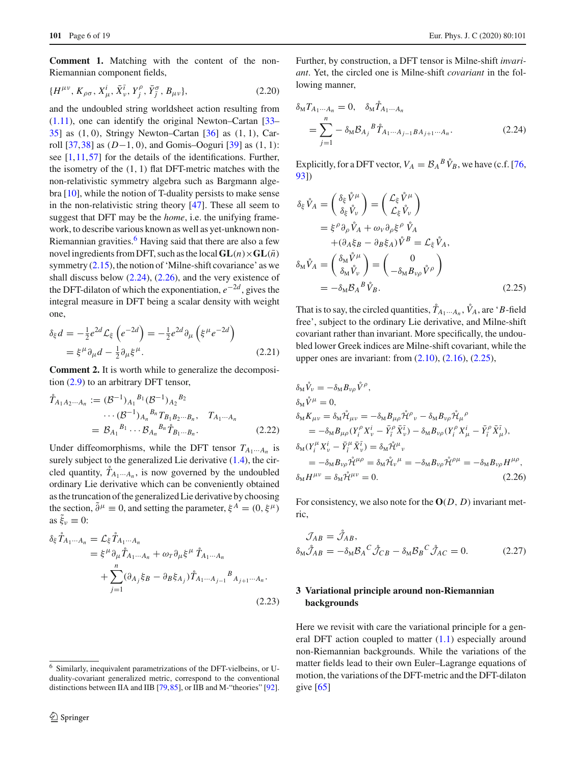**Comment 1.** Matching with the content of the non-Riemannian component fields,

$$
\{H^{\mu\nu}, K_{\rho\sigma}, X^i_{\mu}, \bar{X}^{\bar{\iota}}_{\nu}, Y^{\rho}_{\bar{\jmath}}, \bar{Y}^{\sigma}_{\bar{\jmath}}, B_{\mu\nu}\},\tag{2.20}
$$

and the undoubled string worldsheet action resulting from [\(1.11\)](#page-2-3), one can identify the original Newton–Cartan [\[33](#page-16-10)– [35\]](#page-16-11) as (1, 0), Stringy Newton–Cartan [\[36](#page-16-12)] as (1, 1), Carroll [\[37](#page-16-13)[,38](#page-16-14)] as (*D*−1, 0), and Gomis–Ooguri [\[39](#page-17-0)] as (1, 1): see  $[1,11,57]$  $[1,11,57]$  $[1,11,57]$  $[1,11,57]$  for the details of the identifications. Further, the isometry of the  $(1, 1)$  flat DFT-metric matches with the non-relativistic symmetry algebra such as Bargmann algebra [\[10](#page-16-17)], while the notion of T-duality persists to make sense in the non-relativistic string theory [\[47\]](#page-17-20). These all seem to suggest that DFT may be the *home*, i.e. the unifying framework, to describe various known as well as yet-unknown non-Riemannian gravities. $<sup>6</sup>$  $<sup>6</sup>$  $<sup>6</sup>$  Having said that there are also a few</sup> novel ingredients from DFT, such as the local  $GL(n) \times GL(\overline{n})$ symmetry  $(2.15)$ , the notion of 'Milne-shift covariance' as we shall discuss below  $(2.24)$ ,  $(2.26)$ , and the very existence of the DFT-dilaton of which the exponentiation,  $e^{-2d}$ , gives the integral measure in DFT being a scalar density with weight one,

$$
\delta_{\xi} d = -\frac{1}{2} e^{2d} \mathcal{L}_{\xi} \left( e^{-2d} \right) = -\frac{1}{2} e^{2d} \partial_{\mu} \left( \xi^{\mu} e^{-2d} \right)
$$

$$
= \xi^{\mu} \partial_{\mu} d - \frac{1}{2} \partial_{\mu} \xi^{\mu}.
$$
(2.21)

**Comment 2.** It is worth while to generalize the decomposition [\(2.9\)](#page-4-4) to an arbitrary DFT tensor,

<span id="page-5-5"></span>
$$
\tilde{T}_{A_1 A_2 \cdots A_n} := (\mathcal{B}^{-1})_{A_1}{}^{B_1} (\mathcal{B}^{-1})_{A_2}{}^{B_2} \cdots (\mathcal{B}^{-1})_{A_n}{}^{B_n} T_{B_1 B_2 \cdots B_n}, \quad T_{A_1 \cdots A_n} \n= \mathcal{B}_{A_1}{}^{B_1} \cdots \mathcal{B}_{A_n}{}^{B_n} \tilde{T}_{B_1 \cdots B_n}.
$$
\n(2.22)

Under diffeomorphisms, while the DFT tensor  $T_{A_1\cdots A_n}$  is surely subject to the generalized Lie derivative  $(1.4)$ , the circled quantity,  $\hat{T}_{A_1 \cdots A_n}$ , is now governed by the undoubled ordinary Lie derivative which can be conveniently obtained as the truncation of the generalized Lie derivative by choosing the section,  $\tilde{\partial}^{\mu} \equiv 0$ , and setting the parameter,  $\xi^{A} = (0, \xi^{\mu})$ as  $\xi_v \equiv 0$ :

<span id="page-5-6"></span>
$$
\delta_{\xi} \mathring{T}_{A_1 \cdots A_n} = \mathcal{L}_{\xi} \mathring{T}_{A_1 \cdots A_n}
$$
  
\n
$$
= \xi^{\mu} \partial_{\mu} \mathring{T}_{A_1 \cdots A_n} + \omega_{T} \partial_{\mu} \xi^{\mu} \mathring{T}_{A_1 \cdots A_n}
$$
  
\n
$$
+ \sum_{j=1}^{n} (\partial_{A_j} \xi_B - \partial_B \xi_{A_j}) \mathring{T}_{A_1 \cdots A_{j-1}}{}^{B} A_{j+1 \cdots A_n}.
$$
  
\n(2.23)

Further, by construction, a DFT tensor is Milne-shift *invariant*. Yet, the circled one is Milne-shift *covariant* in the following manner,

<span id="page-5-2"></span>
$$
\delta_{M} T_{A_{1} \cdots A_{n}} = 0, \quad \delta_{M} \mathring{T}_{A_{1} \cdots A_{n}}
$$
  
= 
$$
\sum_{j=1}^{n} - \delta_{M} \mathcal{B}_{A_{j}}{}^{B} \mathring{T}_{A_{1} \cdots A_{j-1} B A_{j+1} \cdots A_{n}}.
$$
 (2.24)

Explicitly, for a DFT vector,  $V_A = \mathcal{B}_A{}^B \hat{V}_B$ , we have (c.f. [\[76,](#page-17-12) [93](#page-18-14)])

<span id="page-5-4"></span>
$$
\delta_{\xi} \mathring{V}_A = \begin{pmatrix} \delta_{\xi} \mathring{V}^{\mu} \\ \delta_{\xi} \mathring{V}_{\nu} \end{pmatrix} = \begin{pmatrix} \mathcal{L}_{\xi} \mathring{V}^{\mu} \\ \mathcal{L}_{\xi} \mathring{V}_{\nu} \end{pmatrix}
$$
  
\n
$$
= \xi^{\rho} \partial_{\rho} \mathring{V}_A + \omega_{V} \partial_{\rho} \xi^{\rho} \mathring{V}_A
$$
  
\n
$$
+ (\partial_{A} \xi_{B} - \partial_{B} \xi_{A}) \mathring{V}^{B} = \mathcal{L}_{\xi} \mathring{V}_A,
$$
  
\n
$$
\delta_{M} \mathring{V}_A = \begin{pmatrix} \delta_{M} \mathring{V}^{\mu} \\ \delta_{M} \mathring{V}_{\nu} \end{pmatrix} = \begin{pmatrix} 0 \\ -\delta_{M} B_{\nu \rho} \mathring{V}^{\rho} \end{pmatrix}
$$
  
\n
$$
= -\delta_{M} \mathcal{B}_{A}{}^{B} \mathring{V}_{B}.
$$
 (2.25)

That is to say, the circled quantities,  $\mathring{T}_{A_1\cdots A_n}$ ,  $\mathring{V}_A$ , are '*B*-field free', subject to the ordinary Lie derivative, and Milne-shift covariant rather than invariant. More specifically, the undoubled lower Greek indices are Milne-shift covariant, while the upper ones are invariant: from  $(2.10)$ ,  $(2.16)$ ,  $(2.25)$ ,

<span id="page-5-3"></span>
$$
\delta_{\mathbf{M}}\mathring{V}_{\nu} = -\delta_{\mathbf{M}}B_{\nu\rho}\mathring{V}^{\rho},
$$
  
\n
$$
\delta_{\mathbf{M}}\mathring{V}^{\mu} = 0,
$$
  
\n
$$
\delta_{\mathbf{M}}K_{\mu\nu} = \delta_{\mathbf{M}}\mathring{\mathcal{H}}_{\mu\nu} = -\delta_{\mathbf{M}}B_{\mu\rho}\mathring{\mathcal{H}}^{\rho}_{\nu} - \delta_{\mathbf{M}}B_{\nu\rho}\mathring{\mathcal{H}}_{\mu}^{\rho}
$$
  
\n
$$
= -\delta_{\mathbf{M}}B_{\mu\rho}(Y_{i}^{\rho}X_{\nu}^{i} - \bar{Y}_{i}^{\rho}\bar{X}_{\nu}^{\bar{\iota}}) - \delta_{\mathbf{M}}B_{\nu\rho}(Y_{i}^{\rho}X_{\mu}^{i} - \bar{Y}_{i}^{\rho}\bar{X}_{\mu}^{\bar{\iota}}),
$$
  
\n
$$
\delta_{\mathbf{M}}(Y_{i}^{\mu}X_{\nu}^{i} - \bar{Y}_{i}^{\mu}\bar{X}_{\nu}^{\bar{\iota}}) = \delta_{\mathbf{M}}\mathring{\mathcal{H}}^{\mu}_{\nu}
$$
  
\n
$$
= -\delta_{\mathbf{M}}B_{\nu\rho}\mathring{\mathcal{H}}^{\mu\rho} = \delta_{\mathbf{M}}\mathring{\mathcal{H}}_{\nu}^{\mu} = -\delta_{\mathbf{M}}B_{\nu\rho}\mathring{\mathcal{H}}^{\rho\mu} = -\delta_{\mathbf{M}}B_{\nu\rho}\mathring{\mathcal{H}}^{\rho\mu},
$$
  
\n
$$
\delta_{\mathbf{M}}H^{\mu\nu} = \delta_{\mathbf{M}}\mathring{\mathcal{H}}^{\mu\nu} = 0.
$$
\n(2.26)

For consistency, we also note for the **O**(*D*, *D*) invariant metric,

$$
\mathcal{J}_{AB} = \mathring{\mathcal{J}}_{AB},
$$
  
\n
$$
\delta_{\rm M} \mathring{\mathcal{J}}_{AB} = -\delta_{\rm M} \mathcal{B}_{A}{}^{C} \mathring{\mathcal{J}}_{CB} - \delta_{\rm M} \mathcal{B}_{B}{}^{C} \mathring{\mathcal{J}}_{AC} = 0.
$$
\n(2.27)

# <span id="page-5-0"></span>**3 Variational principle around non-Riemannian backgrounds**

Here we revisit with care the variational principle for a general DFT action coupled to matter  $(1.1)$  especially around non-Riemannian backgrounds. While the variations of the matter fields lead to their own Euler–Lagrange equations of motion, the variations of the DFT-metric and the DFT-dilaton give  $[65]$ 

<span id="page-5-1"></span><sup>6</sup> Similarly, inequivalent parametrizations of the DFT-vielbeins, or Uduality-covariant generalized metric, correspond to the conventional distinctions between IIA and IIB [\[79](#page-18-0)[,85](#page-18-8)], or IIB and M-"theories" [\[92](#page-18-13)].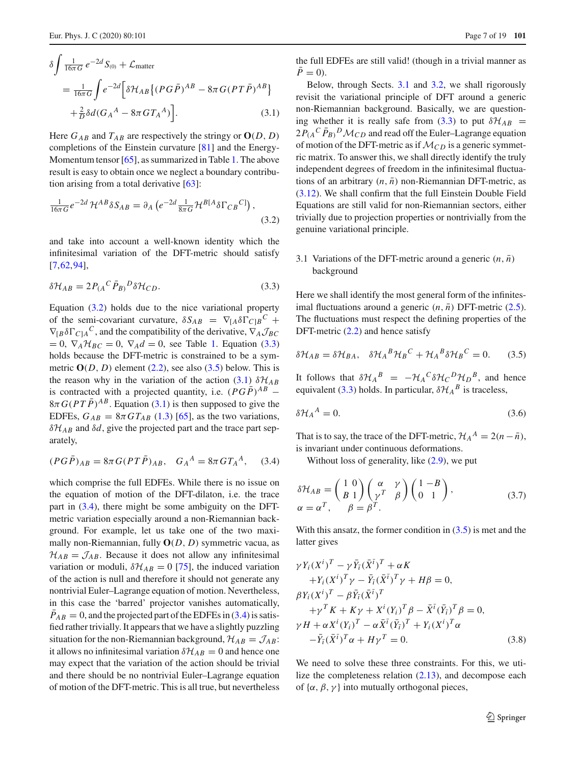<span id="page-6-4"></span>
$$
\delta \int \frac{1}{16\pi G} e^{-2d} S_{(0)} + \mathcal{L}_{\text{matter}}
$$
  
= 
$$
\frac{1}{16\pi G} \int e^{-2d} \left[ \delta \mathcal{H}_{AB} \left\{ (P G \bar{P})^{AB} - 8\pi G (P T \bar{P})^{AB} \right\} + \frac{2}{D} \delta d (G_A{}^A - 8\pi G T_A{}^A) \right].
$$
 (3.1)

Here  $G_{AB}$  and  $T_{AB}$  are respectively the stringy or  $O(D, D)$ completions of the Einstein curvature [\[81](#page-18-2)] and the Energy-Momentum tensor [\[65\]](#page-17-6), as summarized in Table [1.](#page-2-1) The above result is easy to obtain once we neglect a boundary contribution arising from a total derivative  $[63]$  $[63]$ :

<span id="page-6-2"></span>
$$
\frac{1}{16\pi G}e^{-2d}\mathcal{H}^{AB}\delta S_{AB} = \partial_A \left(e^{-2d}\frac{1}{8\pi G}\mathcal{H}^{B[A}\delta\Gamma_{CB}{}^{C]}\right),\tag{3.2}
$$

and take into account a well-known identity which the infinitesimal variation of the DFT-metric should satisfy [\[7](#page-16-3),[62,](#page-17-5)[94\]](#page-18-15),

<span id="page-6-3"></span>
$$
\delta \mathcal{H}_{AB} = 2P_{(A}{}^{C} \bar{P}_{B)}{}^{D} \delta \mathcal{H}_{CD}.
$$
\n(3.3)

Equation  $(3.2)$  holds due to the nice variational property of the semi-covariant curvature,  $\delta S_{AB} = \nabla_{[A} \delta \Gamma_{C]B}^C +$  $\nabla_{\left[\text{B}\delta\right]} C_{\text{C}} \wedge \text{C}$  and the compatibility of the derivative,  $\nabla_A \mathcal{J}_{BC}$  $= 0$ ,  $\nabla_A \mathcal{H}_{BC} = 0$ ,  $\nabla_A d = 0$ , see Table [1.](#page-2-1) Equation [\(3.3\)](#page-6-3) holds because the DFT-metric is constrained to be a symmetric  $O(D, D)$  element [\(2.2\)](#page-3-5), see also [\(3.5\)](#page-6-1) below. This is the reason why in the variation of the action [\(3.1\)](#page-6-4)  $\delta \mathcal{H}_{AB}$ is contracted with a projected quantity, i.e.  $(PG\overline{P})^{AB}$  −  $8\pi G (PT\overline{P})^{AB}$ . Equation [\(3.1\)](#page-6-4) is then supposed to give the EDFEs,  $G_{AB} = 8\pi G T_{AB}$  [\(1.3\)](#page-1-1) [\[65\]](#page-17-6), as the two variations, δ*HAB* and δ*d*, give the projected part and the trace part separately,

<span id="page-6-5"></span>
$$
(PG\bar{P})_{AB} = 8\pi G(PT\bar{P})_{AB}, \quad G_A{}^A = 8\pi GT_A{}^A, \quad (3.4)
$$

which comprise the full EDFEs. While there is no issue on the equation of motion of the DFT-dilaton, i.e. the trace part in [\(3.4\)](#page-6-5), there might be some ambiguity on the DFTmetric variation especially around a non-Riemannian background. For example, let us take one of the two maximally non-Riemannian, fully **O**(*D*, *D*) symmetric vacua, as  $H_{AB} = \mathcal{J}_{AB}$ . Because it does not allow any infinitesimal variation or moduli,  $\delta \mathcal{H}_{AB} = 0$  [\[75\]](#page-17-11), the induced variation of the action is null and therefore it should not generate any nontrivial Euler–Lagrange equation of motion. Nevertheless, in this case the 'barred' projector vanishes automatically,  $P_{AB} = 0$ , and the projected part of the EDFEs in [\(3.4\)](#page-6-5) is satisfied rather trivially. It appears that we have a slightly puzzling situation for the non-Riemannian background,  $\mathcal{H}_{AB} = \mathcal{J}_{AB}$ : it allows no infinitesimal variation  $\delta \mathcal{H}_{AB} = 0$  and hence one may expect that the variation of the action should be trivial and there should be no nontrivial Euler–Lagrange equation of motion of the DFT-metric. This is all true, but nevertheless the full EDFEs are still valid! (though in a trivial manner as  $\bar{P}=0$ ).

Below, through Sects. [3.1](#page-6-0) and [3.2,](#page-7-0) we shall rigorously revisit the variational principle of DFT around a generic non-Riemannian background. Basically, we are question-ing whether it is really safe from [\(3.3\)](#page-6-3) to put  $\delta \mathcal{H}_{AB}$  =  $2P_{(A}{}^C \bar{P}_{B)}{}^D \mathcal{M}_{CD}$  and read off the Euler–Lagrange equation of motion of the DFT-metric as if  $\mathcal{M}_{CD}$  is a generic symmetric matrix. To answer this, we shall directly identify the truly independent degrees of freedom in the infinitesimal fluctuations of an arbitrary  $(n, \bar{n})$  non-Riemannian DFT-metric, as [\(3.12\)](#page-7-1). We shall confirm that the full Einstein Double Field Equations are still valid for non-Riemannian sectors, either trivially due to projection properties or nontrivially from the genuine variational principle.

### <span id="page-6-0"></span>3.1 Variations of the DFT-metric around a generic  $(n, \bar{n})$ background

Here we shall identify the most general form of the infinitesimal fluctuations around a generic  $(n, \bar{n})$  DFT-metric  $(2.5)$ . The fluctuations must respect the defining properties of the DFT-metric [\(2.2\)](#page-3-5) and hence satisfy

<span id="page-6-1"></span>
$$
\delta \mathcal{H}_{AB} = \delta \mathcal{H}_{BA}, \quad \delta \mathcal{H}_A{}^B \mathcal{H}_B{}^C + \mathcal{H}_A{}^B \delta \mathcal{H}_B{}^C = 0. \tag{3.5}
$$

It follows that  $\delta \mathcal{H}_A{}^B = -\mathcal{H}_A{}^C \delta \mathcal{H}_C{}^D \mathcal{H}_D{}^B$ , and hence equivalent [\(3.3\)](#page-6-3) holds. In particular,  $\delta \mathcal{H}_A{}^B$  is traceless,

<span id="page-6-8"></span>
$$
\delta \mathcal{H}_A{}^A = 0. \tag{3.6}
$$

That is to say, the trace of the DFT-metric,  $\mathcal{H}_A^A = 2(n - \bar{n})$ , is invariant under continuous deformations.

Without loss of generality, like  $(2.9)$ , we put

<span id="page-6-7"></span>
$$
\delta \mathcal{H}_{AB} = \begin{pmatrix} 1 & 0 \\ B & 1 \end{pmatrix} \begin{pmatrix} \alpha & \gamma \\ \gamma^T & \beta \end{pmatrix} \begin{pmatrix} 1 & -B \\ 0 & 1 \end{pmatrix}, \n\alpha = \alpha^T, \quad \beta = \beta^T.
$$
\n(3.7)

With this ansatz, the former condition in  $(3.5)$  is met and the latter gives

<span id="page-6-6"></span>
$$
\gamma Y_i (X^i)^T - \gamma \bar{Y}_i (\bar{X}^{\bar{i}})^T + \alpha K + Y_i (X^i)^T \gamma - \bar{Y}_i (\bar{X}^{\bar{i}})^T \gamma + H\beta = 0, \beta Y_i (X^i)^T - \beta \bar{Y}_i (\bar{X}^{\bar{i}})^T + \gamma^T K + K\gamma + X^i (Y_i)^T \beta - \bar{X}^{\bar{i}} (\bar{Y}_i)^T \beta = 0, \gamma H + \alpha X^i (Y_i)^T - \alpha \bar{X}^{\bar{i}} (\bar{Y}_i)^T + Y_i (X^i)^T \alpha -\bar{Y}_i (\bar{X}^{\bar{i}})^T \alpha + H\gamma^T = 0.
$$
\n(3.8)

We need to solve these three constraints. For this, we utilize the completeness relation  $(2.13)$ , and decompose each of  $\{\alpha, \beta, \gamma\}$  into mutually orthogonal pieces,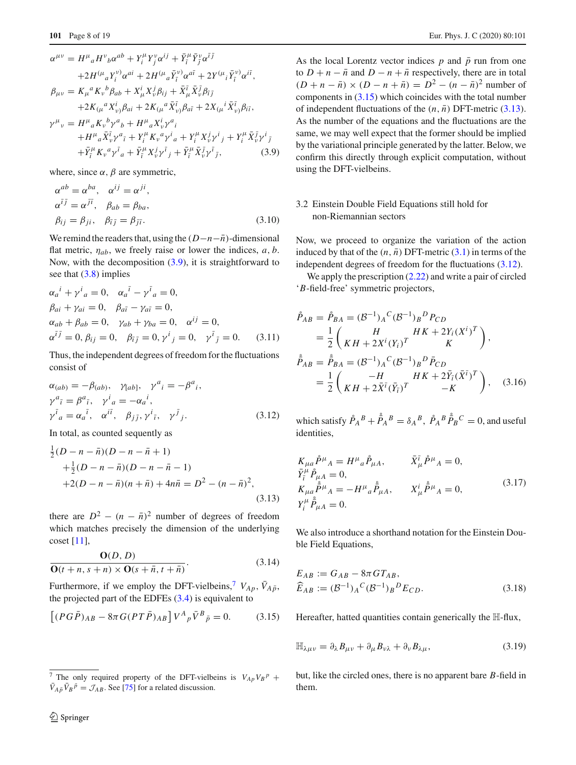<span id="page-7-2"></span>
$$
\alpha^{\mu\nu} = H^{\mu}{}_{a}H^{\nu}{}_{b}\alpha^{ab} + Y_{i}^{\mu}Y_{j}^{\nu}\alpha^{ij} + \bar{Y}_{i}^{\mu}\bar{Y}_{j}^{\nu}\alpha^{i\bar{j}} \n+ 2H^{\langle\mu}{}_{a}Y_{i}^{\nu)}\alpha^{ai} + 2H^{\langle\mu}{}_{a}\bar{Y}_{i}^{\nu)}\alpha^{a\bar{i}} + 2Y^{\langle\mu}{}_{i}\bar{Y}_{i}^{\nu)}\alpha^{i\bar{i}}, \n\beta_{\mu\nu} = K_{\mu}{}^{a}K_{\nu}{}^{b}\beta_{ab} + X_{\mu}^{i}X_{\nu}^{j}\beta_{ij} + \bar{X}_{\mu}^{\bar{i}}\bar{X}_{\nu}^{\bar{j}}\beta_{\bar{i}\bar{j}} \n+ 2K_{(\mu}{}^{a}X_{\nu}^{j)}\beta_{ai} + 2K_{(\mu}{}^{a}\bar{X}_{\nu}^{\bar{i}})\beta_{\bar{a}\bar{i}} + 2X_{(\mu}{}^{i}\bar{X}_{\nu}^{\bar{i}})\beta_{i\bar{i}}, \n\gamma^{\mu}{}_{\nu} = H^{\mu}{}_{a}K_{\nu}{}^{b}\gamma^{a}{}_{b} + H^{\mu}{}_{a}X_{\nu}^{i}\gamma^{a}{}_{i} \n+ H^{\mu}{}_{a}\bar{X}_{\nu}^{\bar{i}}\gamma^{a}{}_{i} + Y_{i}^{\mu}K_{\nu}{}^{a}\gamma^{i}{}_{a} + Y_{i}^{\mu}X_{\nu}^{j}\gamma^{i}{}_{j} + Y_{i}^{\mu}\bar{X}_{\nu}^{\bar{i}}\gamma^{i}{}_{\bar{j}} \n+ \bar{Y}_{i}^{\mu}K_{\nu}{}^{a}\gamma^{\bar{i}}{}_{a} + \bar{Y}_{i}^{\mu}X_{\nu}^{j}\gamma^{\bar{i}}{}_{j} + \bar{Y}_{i}^{\mu}\bar{X}_{\nu}^{\bar{j}}\gamma^{\bar{i}}{}_{\bar{j}},
$$
\n(3.9)

where, since  $\alpha$ ,  $\beta$  are symmetric,

$$
\alpha^{ab} = \alpha^{ba}, \quad \alpha^{ij} = \alpha^{ji},
$$
  
\n
$$
\alpha^{l\bar{j}} = \alpha^{j\bar{l}}, \quad \beta_{ab} = \beta_{ba},
$$
  
\n
$$
\beta_{ij} = \beta_{ji}, \quad \beta_{\bar{i}\bar{j}} = \beta_{\bar{j}\bar{i}}.
$$
\n(3.10)

We remind the readers that, using the (*D*−*n*− ¯*n*)-dimensional flat metric,  $\eta_{ab}$ , we freely raise or lower the indices,  $a, b$ . Now, with the decomposition [\(3.9\)](#page-7-2), it is straightforward to see that [\(3.8\)](#page-6-6) implies

<span id="page-7-7"></span>
$$
\alpha_a^i + \gamma^i{}_a = 0, \quad \alpha_a^i - \gamma^i{}_a = 0, \n\beta_{ai} + \gamma_{ai} = 0, \quad \beta_{a\bar{i}} - \gamma_{a\bar{i}} = 0, \n\alpha_{ab} + \beta_{ab} = 0, \quad \gamma_{ab} + \gamma_{ba} = 0, \quad \alpha^{ij} = 0, \n\alpha^{\bar{i}\bar{j}} = 0, \beta_{ij} = 0, \quad \beta_{\bar{i}\bar{j}} = 0, \gamma^i{}_j = 0, \quad \gamma^{\bar{i}}{}_j = 0.
$$
\n(3.11)

Thus, the independent degrees of freedom for the fluctuations consist of

<span id="page-7-1"></span>
$$
\alpha_{(ab)} = -\beta_{(ab)}, \quad \gamma_{[ab]}, \quad \gamma^a{}_i = -\beta^a{}_i,
$$
  
\n
$$
\gamma^a{}_i = \beta^a{}_i, \quad \gamma^i{}_a = -\alpha_a{}^i,
$$
  
\n
$$
\gamma^{\bar{i}}{}_a = \alpha_a{}^{\bar{i}}, \quad \alpha^{\bar{i}}{}_i, \quad \beta_{\bar{j}}{}_j, \gamma^{\bar{i}}{}_i, \quad \gamma^{\bar{j}}{}_j.
$$
\n(3.12)

In total, as counted sequently as

<span id="page-7-5"></span>
$$
\frac{1}{2}(D - n - \bar{n})(D - n - \bar{n} + 1) \n+ \frac{1}{2}(D - n - \bar{n})(D - n - \bar{n} - 1) \n+ 2(D - n - \bar{n})(n + \bar{n}) + 4n\bar{n} = D2 - (n - \bar{n})2,
$$
\n(3.13)

there are  $D^2 - (n - \bar{n})^2$  number of degrees of freedom which matches precisely the dimension of the underlying coset [\[11](#page-16-15)],

<span id="page-7-9"></span>
$$
\frac{\mathbf{O}(D, D)}{\mathbf{O}(t + n, s + n) \times \mathbf{O}(s + \bar{n}, t + \bar{n})}.
$$
 (3.14)

Furthermore, if we employ the DFT-vielbeins,<sup>7</sup>  $V_{Ap}$ ,  $\bar{V}_{A\bar{p}}$ , the projected part of the EDFEs [\(3.4\)](#page-6-5) is equivalent to

<span id="page-7-4"></span>
$$
\left[ (P G \bar{P})_{AB} - 8\pi G (P T \bar{P})_{AB} \right] V^A{}_p \bar{V}^B{}_{\bar{p}} = 0. \tag{3.15}
$$

As the local Lorentz vector indices  $p$  and  $\bar{p}$  run from one to  $D + n - \bar{n}$  and  $D - n + \bar{n}$  respectively, there are in total  $(D + n - \bar{n}) \times (D - n + \bar{n}) = D^2 - (n - \bar{n})^2$  number of components in [\(3.15\)](#page-7-4) which coincides with the total number of independent fluctuations of the  $(n, \bar{n})$  DFT-metric [\(3.13\)](#page-7-5). As the number of the equations and the fluctuations are the same, we may well expect that the former should be implied by the variational principle generated by the latter. Below, we confirm this directly through explicit computation, without using the DFT-vielbeins.

# <span id="page-7-0"></span>3.2 Einstein Double Field Equations still hold for non-Riemannian sectors

Now, we proceed to organize the variation of the action induced by that of the  $(n, \bar{n})$  DFT-metric  $(3.1)$  in terms of the independent degrees of freedom for the fluctuations [\(3.12\)](#page-7-1).

We apply the prescription  $(2.22)$  and write a pair of circled '*B*-field-free' symmetric projectors,

<span id="page-7-8"></span>
$$
\tilde{P}_{AB} = \tilde{P}_{BA} = (\mathcal{B}^{-1})_A{}^C (\mathcal{B}^{-1})_B{}^D P_{CD} \n= \frac{1}{2} \begin{pmatrix} H & HK + 2Y_i (X^i)^T \\ KH + 2X^i (Y_i)^T & K \end{pmatrix}, \n\tilde{P}_{AB} = \tilde{P}_{BA} = (\mathcal{B}^{-1})_A{}^C (\mathcal{B}^{-1})_B{}^D \tilde{P}_{CD} \n= \frac{1}{2} \begin{pmatrix} -H & HK + 2\tilde{Y}_i (\bar{X}^i)^T \\ KH + 2\bar{X}^i (\bar{Y}_i)^T & -K \end{pmatrix},
$$
\n(3.16)

which satisfy  $\mathring{P}_A^B + \mathring{P}_A^B = \delta_A^B$ ,  $\mathring{P}_A^B \mathring{P}_B^C = 0$ , and useful identities,

<span id="page-7-6"></span>
$$
K_{\mu a} \dot{P}^{\mu}{}_{A} = H^{\mu}{}_{a} \dot{P}_{\mu A}, \qquad \bar{X}_{\mu}^{\bar{l}} \dot{P}^{\mu}{}_{A} = 0, \n\bar{Y}_{\bar{l}}^{\mu} \dot{P}_{\mu A}^{\bar{l}} = 0, \nK_{\mu a} \dot{\bar{P}}^{\mu}{}_{A} = -H^{\mu}{}_{a} \dot{\bar{P}}_{\mu A}, \qquad X_{\mu}^{\bar{l}} \dot{\bar{P}}^{\mu}{}_{A} = 0, \nY_{\bar{l}}^{\mu} \dot{\bar{P}}_{\mu A}^{\bar{l}} = 0.
$$
\n(3.17)

We also introduce a shorthand notation for the Einstein Double Field Equations,

$$
E_{AB} := G_{AB} - 8\pi G T_{AB},
$$
  
\n
$$
\widehat{E}_{AB} := (\mathcal{B}^{-1})_A{}^C (\mathcal{B}^{-1})_B{}^D E_{CD}.
$$
\n(3.18)

Hereafter, hatted quantities contain generically the H-flux,

$$
\mathbb{H}_{\lambda\mu\nu} = \partial_{\lambda}B_{\mu\nu} + \partial_{\mu}B_{\nu\lambda} + \partial_{\nu}B_{\lambda\mu},\tag{3.19}
$$

but, like the circled ones, there is no apparent bare *B*-field in them.

<span id="page-7-3"></span><sup>&</sup>lt;sup>7</sup> The only required property of the DFT-vielbeins is  $V_{Ap}V_B^p$  +  $\bar{V}_{A\bar{p}}\bar{V}_{B}\bar{P} = \mathcal{J}_{AB}$ . See [\[75\]](#page-17-11) for a related discussion.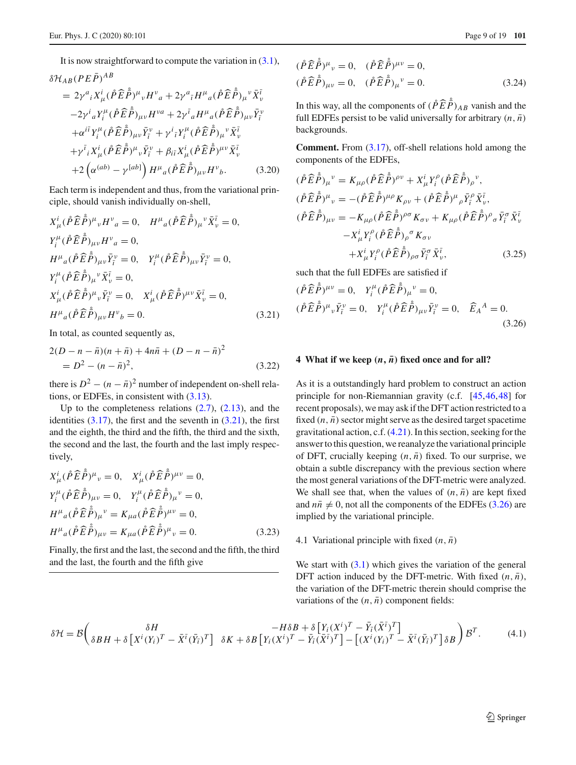It is now straightforward to compute the variation in  $(3.1)$ ,

$$
\delta \mathcal{H}_{AB} (PE\bar{P})^{AB}
$$
\n
$$
= 2\gamma^{a}{}_{i}X^{i}_{\mu}(\mathring{P}\widehat{E}\mathring{P})^{\mu}{}_{\nu}H^{\nu}{}_{a} + 2\gamma^{a}{}_{\bar{\imath}}H^{\mu}{}_{a}(\mathring{P}\widehat{E}\mathring{P})_{\mu}{}^{\nu}\bar{X}^{\bar{\imath}}_{\nu}
$$
\n
$$
-2\gamma^{i}{}_{a}Y^{{\mu}}_{i}(\mathring{P}\widehat{E}\mathring{P})_{\mu\nu}H^{\nu a} + 2\gamma^{i}{}_{a}H^{\mu}{}_{a}(\mathring{P}\widehat{E}\mathring{P})_{\mu\nu}\bar{Y}^{\nu}_{\bar{\imath}}
$$
\n
$$
+ \alpha^{i\bar{\imath}}Y^{\mu}_{i}(\mathring{P}\widehat{E}\mathring{P})_{\mu\nu}\bar{Y}^{\nu}{}_{\bar{\imath}} + \gamma^{i}{}_{\bar{\imath}}Y^{\mu}_{i}(\mathring{P}\widehat{E}\mathring{P})_{\mu}{}^{\nu}\bar{X}^{\bar{\imath}}_{\nu}
$$
\n
$$
+ \gamma^{i}{}_{i}X^{i}_{\mu}(\mathring{P}\widehat{E}\mathring{P})^{\mu}{}_{\nu}\bar{Y}^{\nu}{}_{\bar{\imath}} + \beta_{i\bar{\imath}}X^{i}_{\mu}(\mathring{P}\widehat{E}\mathring{P})^{\mu\nu}\bar{X}^{\bar{\imath}}_{\nu}
$$
\n
$$
+ 2(\alpha^{(ab)} - \gamma^{[ab]})H^{\mu}{}_{a}(\mathring{P}\widehat{E}\mathring{P})_{\mu\nu}H^{\nu}{}_{b}.
$$
\n(3.20)

Each term is independent and thus, from the variational principle, should vanish individually on-shell,

<span id="page-8-2"></span>
$$
X^{i}_{\mu}(\mathring{P}\hat{E}\mathring{P})^{\mu}{}_{\nu}H^{\nu}{}_{a}=0, \quad H^{\mu}{}_{a}(\mathring{P}\hat{E}\mathring{P})_{\mu}{}^{\nu}\bar{X}^{\bar{\iota}}{}_{\nu}=0, Y^{\mu}_{i}(\mathring{P}\hat{E}\mathring{P})_{\mu\nu}H^{\nu}{}_{a}=0, H^{\mu}{}_{a}(\mathring{P}\hat{E}\mathring{P})_{\mu\nu}\bar{Y}^{\nu}{}_{\bar{\iota}}=0, \quad Y^{\mu}_{i}(\mathring{P}\hat{E}\mathring{P})_{\mu\nu}\bar{Y}^{\nu}{}_{\bar{\iota}}=0, Y^{\mu}_{i}(\mathring{P}\hat{E}\mathring{P})_{\mu}{}^{\nu}\bar{X}^{\bar{\iota}}{}_{\nu}=0, X^{i}_{\mu}(\mathring{P}\hat{E}\mathring{P})^{\mu}{}_{\nu}\bar{Y}^{\nu}{}_{\bar{\iota}}=0, \quad X^{i}_{\mu}(\mathring{P}\hat{E}\mathring{P})^{\mu\nu}\bar{X}^{\bar{\iota}}{}_{\nu}=0, H^{\mu}{}_{a}(\mathring{P}\hat{E}\mathring{P})_{\mu\nu}H^{\nu}{}_{b}=0.
$$
 (3.21)

In total, as counted sequently as,

<span id="page-8-7"></span>
$$
2(D - n - \bar{n})(n + \bar{n}) + 4n\bar{n} + (D - n - \bar{n})^2
$$
  
=  $D^2 - (n - \bar{n})^2$ , (3.22)

there is  $D^2 - (n - \bar{n})^2$  number of independent on-shell relations, or EDFEs, in consistent with [\(3.13\)](#page-7-5).

Up to the completeness relations  $(2.7)$ ,  $(2.13)$ , and the identities  $(3.17)$ , the first and the seventh in  $(3.21)$ , the first and the eighth, the third and the fifth, the third and the sixth, the second and the last, the fourth and the last imply respectively,

$$
X^{i}_{\mu}(\mathring{P}\hat{E}\dot{\tilde{P}})^{\mu}{}_{\nu} = 0, \quad X^{i}_{\mu}(\mathring{P}\hat{E}\dot{\tilde{P}})^{\mu\nu} = 0,
$$
  
\n
$$
Y^{{\mu}}_{i}(\mathring{P}\hat{E}\dot{\tilde{P}})_{\mu\nu} = 0, \quad Y^{{\mu}}_{i}(\mathring{P}\hat{E}\dot{\tilde{P}})_{\mu}{}^{\nu} = 0,
$$
  
\n
$$
H^{\mu}{}_{a}(\mathring{P}\hat{E}\dot{\tilde{P}})_{\mu}{}^{\nu} = K_{\mu a}(\mathring{P}\hat{E}\dot{\tilde{P}})^{\mu\nu} = 0,
$$
  
\n
$$
H^{\mu}{}_{a}(\mathring{P}\hat{E}\dot{\tilde{P}})_{\mu\nu} = K_{\mu a}(\mathring{P}\hat{E}\dot{\tilde{P}})^{\mu}{}_{\nu} = 0.
$$
\n(3.23)

Finally, the first and the last, the second and the fifth, the third and the last, the fourth and the fifth give

<span id="page-8-6"></span>
$$
(\mathring{P}\widehat{E}\mathring{\tilde{P}})^{\mu}{}_{\nu} = 0, \quad (\mathring{P}\widehat{E}\mathring{\tilde{P}})^{\mu\nu} = 0, (\mathring{P}\widehat{E}\mathring{\tilde{P}})_{\mu\nu} = 0, \quad (\mathring{P}\widehat{E}\mathring{\tilde{P}})_{\mu}{}^{\nu} = 0.
$$
 (3.24)

In this way, all the components of  $(\hat{P}\hat{E}\hat{P})_{AB}$  vanish and the full EDFEs persist to be valid universally for arbitrary  $(n, \bar{n})$ backgrounds.

**Comment.** From [\(3.17\)](#page-7-6), off-shell relations hold among the components of the EDFEs,

<span id="page-8-5"></span>
$$
(\mathring{P}\widehat{E}\mathring{P})_{\mu}^{\nu} = K_{\mu\rho}(\mathring{P}\widehat{E}\mathring{P})^{\rho\nu} + X_{\mu}^{i}Y_{i}^{\rho}(\mathring{P}\widehat{E}\mathring{P})_{\rho}^{\nu},
$$
  
\n
$$
(\mathring{P}\widehat{E}\mathring{P})^{\mu}{}_{\nu} = -(\mathring{P}\widehat{E}\mathring{P})^{\mu\rho}K_{\rho\nu} + (\mathring{P}\widehat{E}\mathring{P})^{\mu}{}_{\rho}\bar{Y}_{i}^{\rho}\bar{X}_{\nu}^{\bar{\iota}},
$$
  
\n
$$
(\mathring{P}\widehat{E}\mathring{P})_{\mu\nu} = -K_{\mu\rho}(\mathring{P}\widehat{E}\mathring{P})^{\rho\sigma}K_{\sigma\nu} + K_{\mu\rho}(\mathring{P}\widehat{E}\mathring{P})^{\rho}{}_{\sigma}\bar{Y}_{i}^{\sigma}\bar{X}_{\nu}^{\bar{\iota}}
$$
  
\n
$$
-X_{\mu}^{i}Y_{i}^{\rho}(\mathring{P}\widehat{E}\mathring{P})_{\rho}^{\sigma}K_{\sigma\nu}
$$
  
\n
$$
+X_{\mu}^{i}Y_{i}^{\rho}(\mathring{P}\widehat{E}\mathring{P})_{\rho\sigma}\bar{Y}_{i}^{\sigma}\bar{X}_{\nu}^{\bar{\iota}},
$$
\n(3.25)

such that the full EDFEs are satisfied if

<span id="page-8-3"></span>
$$
(\mathring{P}\hat{E}\dot{\tilde{P}})^{\mu\nu} = 0, \quad Y_i^{\mu}(\mathring{P}\hat{E}\dot{\tilde{P}})_{\mu}{}^{\nu} = 0,
$$
  

$$
(\mathring{P}\hat{E}\dot{\tilde{P}})^{\mu}{}_{\nu}\bar{Y}_i^{\nu} = 0, \quad Y_i^{\mu}(\mathring{P}\hat{E}\dot{\tilde{P}})_{\mu\nu}\bar{Y}_i^{\nu} = 0, \quad \widehat{E}_A{}^A = 0.
$$
  
(3.26)

#### <span id="page-8-0"></span>**4** What if we keep  $(n, \bar{n})$  fixed once and for all?

As it is a outstandingly hard problem to construct an action principle for non-Riemannian gravity (c.f. [\[45](#page-17-21)[,46](#page-17-22),[48\]](#page-17-23) for recent proposals), we may ask if the DFT action restricted to a fixed  $(n, \bar{n})$  sector might serve as the desired target spacetime gravitational action, c.f. [\(4.21\)](#page-10-1). In this section, seeking for the answer to this question, we reanalyze the variational principle of DFT, crucially keeping  $(n, \bar{n})$  fixed. To our surprise, we obtain a subtle discrepancy with the previous section where the most general variations of the DFT-metric were analyzed. We shall see that, when the values of  $(n, \bar{n})$  are kept fixed and  $n\bar{n} \neq 0$ , not all the components of the EDFEs [\(3.26\)](#page-8-3) are implied by the variational principle.

#### <span id="page-8-1"></span>4.1 Variational principle with fixed  $(n, \bar{n})$

<span id="page-8-4"></span>We start with  $(3.1)$  which gives the variation of the general DFT action induced by the DFT-metric. With fixed  $(n, \bar{n})$ , the variation of the DFT-metric therein should comprise the variations of the  $(n, \bar{n})$  component fields:

$$
\delta \mathcal{H} = \mathcal{B} \left( \frac{\delta H}{\delta B H + \delta \left[ \dot{X}^i (Y_i)^T - \bar{X}^{\bar{i}} (\bar{Y}_{\bar{i}})^T \right]} \right. \\ \left. \delta K + \delta B \left[ \dot{Y}_i (X^i)^T - \bar{Y}_{\bar{i}} (\bar{X}^{\bar{i}})^T \right] - \left[ (\dot{X}^i (Y_i)^T - \bar{X}^{\bar{i}} (\bar{Y}_{\bar{i}})^T \right] \delta B \right) \mathcal{B}^T. \tag{4.1}
$$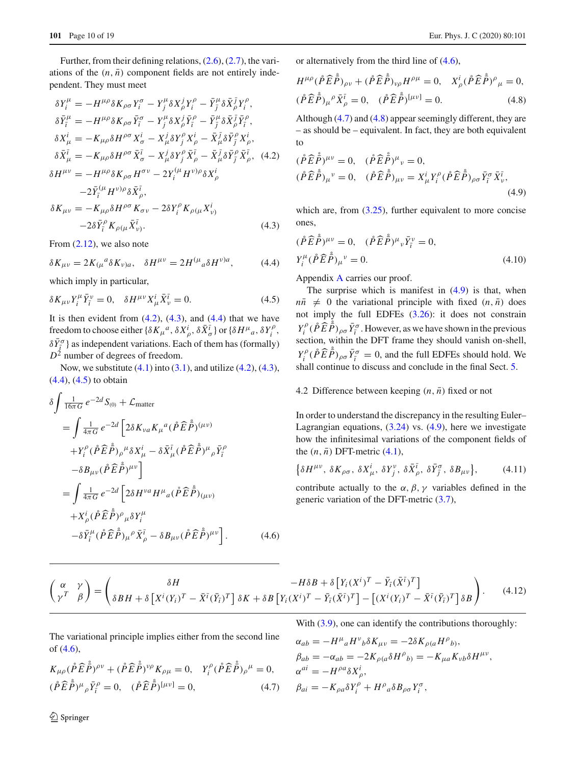Further, from their defining relations, [\(2.6\)](#page-3-8), [\(2.7\)](#page-3-7), the variations of the  $(n, \bar{n})$  component fields are not entirely independent. They must meet

<span id="page-9-5"></span>
$$
\delta Y_{i}^{\mu} = -H^{\mu\rho}\delta K_{\rho\sigma}Y_{i}^{\sigma} - Y_{j}^{\mu}\delta X_{\rho}^{j}Y_{i}^{\rho} - \bar{Y}_{j}^{\mu}\delta \bar{X}_{\rho}^{j}Y_{i}^{\rho},
$$
  
\n
$$
\delta \bar{Y}_{i}^{\mu} = -H^{\mu\rho}\delta K_{\rho\sigma} \bar{Y}_{i}^{\sigma} - Y_{j}^{\mu}\delta X_{\rho}^{j} \bar{Y}_{i}^{\rho} - \bar{Y}_{j}^{\mu}\delta \bar{X}_{\rho}^{j} \bar{Y}_{i}^{\rho},
$$
  
\n
$$
\delta X_{\mu}^{i} = -K_{\mu\rho}\delta H^{\rho\sigma} X_{\sigma}^{i} - X_{\mu}^{j}\delta Y_{j}^{\rho} X_{\rho}^{i} - \bar{X}_{\mu}^{j}\delta \bar{Y}_{j}^{\rho} X_{\rho}^{i},
$$
  
\n
$$
\delta \bar{X}_{\mu}^{\bar{\iota}} = -K_{\mu\rho}\delta H^{\rho\sigma} \bar{X}_{\sigma}^{\bar{\iota}} - X_{\mu}^{j}\delta Y_{j}^{\rho} \bar{X}_{\rho}^{\bar{\iota}} - \bar{X}_{\mu}^{j}\delta \bar{Y}_{j}^{\rho} \bar{X}_{\rho}^{\bar{\iota}},
$$
  
\n
$$
\delta H^{\mu\nu} = -H^{\mu\rho}\delta K_{\rho\sigma} H^{\sigma\nu} - 2Y_{i}^{(\mu} H^{\nu)\rho}\delta X_{\rho}^{i}
$$
  
\n
$$
-2\bar{Y}_{i}^{(\mu} H^{\nu)\rho}\delta \bar{X}_{\rho}^{\bar{\iota}},
$$
  
\n
$$
\delta K_{\mu\nu} = -K_{\mu\rho}\delta H^{\rho\sigma} K_{\sigma\nu} - 2\delta Y_{i}^{\rho} K_{\rho(\mu} X_{\nu)}^{i}
$$
  
\n
$$
-2\delta \bar{Y}_{i}^{\rho} K_{\rho(\mu} \bar{X}_{\nu}^{\bar{\iota}}).
$$
  
\n(4.3)

From  $(2.12)$ , we also note

<span id="page-9-6"></span>
$$
\delta K_{\mu\nu} = 2K_{(\mu}{}^{a}\delta K_{\nu)a}, \quad \delta H^{\mu\nu} = 2H^{(\mu}{}_{a}\delta H^{\nu)a}, \tag{4.4}
$$

which imply in particular,

<span id="page-9-7"></span>
$$
\delta K_{\mu\nu} Y_i^{\mu} \bar{Y}_i^{\nu} = 0, \quad \delta H^{\mu\nu} X_{\mu}^i \bar{X}_{\nu}^{\bar{\iota}} = 0. \tag{4.5}
$$

It is then evident from  $(4.2)$ ,  $(4.3)$ , and  $(4.4)$  that we have freedom to choose either  $\{\delta K_{\mu}{}^{a}$ ,  $\delta X_{\rho}^{i}$ ,  $\delta \bar{X}_{\sigma}^{\bar{i}}\}$  or  $\{\delta H^{\mu}{}_{a}$ ,  $\delta Y_{i}^{\rho}$ ,  $\delta \bar{Y}^{\sigma}_{\bar{i}}$  } as independent variations. Each of them has (formally)  $D^2$  number of degrees of freedom.

Now, we substitute  $(4.1)$  into  $(3.1)$ , and utilize  $(4.2)$ ,  $(4.3)$ , [\(4.4\)](#page-9-6), [\(4.5\)](#page-9-7) to obtain

<span id="page-9-8"></span>
$$
\delta \int \frac{1}{16\pi G} e^{-2d} S_{(0)} + \mathcal{L}_{matter}
$$
\n
$$
= \int \frac{1}{4\pi G} e^{-2d} \left[ 2\delta K_{\nu a} K_{\mu}{}^{a} (\mathring{P} \hat{E} \mathring{P})^{(\mu \nu)} \right.
$$
\n
$$
+ Y_{i}^{\rho} (\mathring{P} \hat{E} \mathring{P})_{\rho}{}^{\mu} \delta X_{\mu}^{i} - \delta \bar{X}_{\mu}^{\bar{\iota}} (\mathring{P} \hat{E} \mathring{P})^{\mu}{}_{\rho} \bar{Y}_{\bar{\iota}}^{\rho}
$$
\n
$$
- \delta B_{\mu \nu} (\mathring{P} \hat{E} \mathring{P})^{\mu \nu} \Big]
$$
\n
$$
= \int \frac{1}{4\pi G} e^{-2d} \left[ 2\delta H^{\nu a} H^{\mu}{}_{a} (\mathring{P} \hat{E} \mathring{P})_{(\mu \nu)} \right.
$$
\n
$$
+ X_{\rho}^{i} (\mathring{P} \hat{E} \mathring{P})^{\rho}{}_{\mu} \delta Y_{i}^{\mu}
$$
\n
$$
- \delta \bar{Y}_{\bar{\iota}}^{\mu} (\mathring{P} \hat{E} \mathring{P})_{\mu}{}^{\rho} \bar{X}_{\rho}^{\bar{\iota}} - \delta B_{\mu \nu} (\mathring{P} \hat{E} \mathring{P})^{\mu \nu} \Big]. \tag{4.6}
$$

or alternatively from the third line of [\(4.6\)](#page-9-8),

<span id="page-9-2"></span>
$$
H^{\mu\rho}(\mathring{P}\hat{E}\dot{\mathring{P}})_{\rho\nu} + (\mathring{P}\hat{E}\dot{\mathring{P}})_{\nu\rho}H^{\rho\mu} = 0, \quad X_{\rho}^{i}(\mathring{P}\hat{E}\dot{\mathring{P}})^{\rho}_{\mu} = 0,
$$
  

$$
(\mathring{P}\hat{E}\dot{\mathring{P}})_{\mu}{}^{\rho}\bar{X}_{\rho}^{\bar{i}} = 0, \quad (\mathring{P}\hat{E}\dot{\mathring{P}})^{[\mu\nu]} = 0.
$$
 (4.8)

Although [\(4.7\)](#page-9-1) and [\(4.8\)](#page-9-2) appear seemingly different, they are – as should be – equivalent. In fact, they are both equivalent to

<span id="page-9-3"></span>
$$
(\mathring{P}\hat{E}\dot{\tilde{P}})^{\mu\nu} = 0, \quad (\mathring{P}\hat{E}\dot{\tilde{P}})^{\mu}{}_{\nu} = 0, (\mathring{P}\hat{E}\dot{\tilde{P}})_{\mu\nu} = X^i_{\mu}Y^{\rho}_i(\mathring{P}\hat{E}\dot{\tilde{P}})_{\rho\sigma}\bar{Y}^{\sigma}_{\tilde{i}}\bar{X}^{\tilde{i}}_{\nu}, (4.9)
$$

which are, from  $(3.25)$ , further equivalent to more concise ones,

<span id="page-9-4"></span>
$$
(\mathring{P}\widehat{E}\mathring{P})^{\mu\nu} = 0, \quad (\mathring{P}\widehat{E}\mathring{P})^{\mu}{}_{\nu}\bar{Y}_{\bar{i}}^{\nu} = 0,
$$
  

$$
Y_{i}^{\mu}(\mathring{P}\widehat{E}\mathring{P})_{\mu}{}^{\nu} = 0.
$$
 (4.10)

Appendix [A](#page-0-0) carries our proof.

The surprise which is manifest in  $(4.9)$  is that, when  $n\bar{n} \neq 0$  the variational principle with fixed  $(n, \bar{n})$  does not imply the full EDFEs [\(3.26\)](#page-8-3): it does not constrain  $Y_i^{\rho}$  ( $\hat{P} \hat{E} \hat{P}$ )<sub>ρσ</sub>  $\bar{Y}_i^{\sigma}$ . However, as we have shown in the previous section, within the DFT frame they should vanish on-shell,  $Y_i^{\rho}$  ( $\hat{P} \hat{E} \hat{P}$ )<sub> $\rho \sigma \bar{Y}_i^{\sigma} = 0$ , and the full EDFEs should hold. We</sub> shall continue to discuss and conclude in the final Sect. [5.](#page-13-0)

#### <span id="page-9-0"></span>4.2 Difference between keeping  $(n, \bar{n})$  fixed or not

In order to understand the discrepancy in the resulting Euler– Lagrangian equations, [\(3.24\)](#page-8-6) vs. [\(4.9\)](#page-9-3), here we investigate how the infinitesimal variations of the component fields of the  $(n, \bar{n})$  DFT-metric  $(4.1)$ ,

<span id="page-9-9"></span>
$$
\left\{\delta H^{\mu\nu},\,\delta K_{\rho\sigma},\,\delta X^i_{\mu},\,\delta Y^{\nu}_j,\,\delta \bar{X}^{\bar{\iota}}_{\rho},\,\delta \bar{Y}^{\sigma}_{\bar{\jmath}},\,\delta B_{\mu\nu}\right\},\qquad(4.11)
$$

contribute actually to the  $\alpha$ ,  $\beta$ ,  $\gamma$  variables defined in the generic variation of the DFT-metric [\(3.7\)](#page-6-7),

$$
\begin{pmatrix}\n\alpha & \gamma \\
\gamma^T & \beta\n\end{pmatrix} = \begin{pmatrix}\n\delta H & -H\delta B + \delta \left[ Y_i (X^i)^T - \bar{Y}_i (\bar{X}^i)^T \right] \\
\delta B H + \delta \left[ X^i (Y_i)^T - \bar{X}^i (\bar{Y}_i)^T \right] \delta K + \delta B \left[ Y_i (X^i)^T - \bar{Y}_i (\bar{X}^i)^T \right] - \left[ (X^i (Y_i)^T - \bar{X}^i (\bar{Y}_i)^T \right] \delta B\n\end{pmatrix}.
$$
\n(4.12)

The variational principle implies either from the second line of [\(4.6\)](#page-9-8),

With 
$$
(3.9)
$$
, one can identify the contributions thoroughly:

 $K_{\mu\rho}(\hat{P}\hat{E}\hat{P})^{\rho\nu} + (\hat{P}\hat{E}\hat{P})^{\nu\rho}K_{\rho\mu} = 0, \quad Y_i^{\rho}(\hat{P}\hat{E}\hat{P})_{\rho}^{\mu} = 0,$ 

<span id="page-9-1"></span> $(\hat{P}\hat{E}\hat{\vec{P}})^{\mu}{}_{\rho}\bar{Y}^{\rho}_{\bar{i}} = 0, \quad (\hat{P}\hat{E}\hat{\vec{P}})^{[\mu\nu]} = 0,$ (4.7)

<span id="page-9-10"></span>
$$
\alpha_{ab} = -H^{\mu}{}_{a}H^{\nu}{}_{b}\delta K_{\mu\nu} = -2\delta K_{\rho(a}H^{\rho}{}_{b)},
$$
  
\n
$$
\beta_{ab} = -\alpha_{ab} = -2K_{\rho(a}\delta H^{\rho}{}_{b)} = -K_{\mu a}K_{\nu b}\delta H^{\mu\nu},
$$
  
\n
$$
\alpha^{ai} = -H^{\rho a}\delta X^{i}_{\rho},
$$
  
\n
$$
\beta_{ai} = -K_{\rho a}\delta Y^{\rho}_{i} + H^{\rho}{}_{a}\delta B_{\rho\sigma}Y^{\sigma}_{i},
$$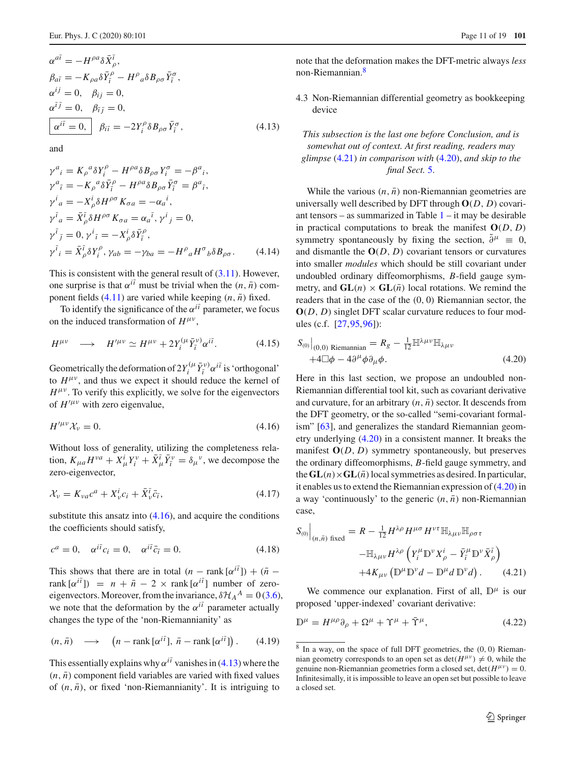$$
\alpha^{a\bar{i}} = -H^{\rho a} \delta \bar{X}_{\rho}^{\bar{i}},
$$
\n
$$
\beta_{a\bar{i}} = -K_{\rho a} \delta \bar{Y}_{\bar{i}}^{\rho} - H^{\rho}{}_{a} \delta B_{\rho \sigma} \bar{Y}_{\bar{i}}^{\sigma},
$$
\n
$$
\alpha^{ij} = 0, \quad \beta_{ij} = 0,
$$
\n
$$
\alpha^{\bar{i}\bar{j}} = 0, \quad \beta_{\bar{i}\bar{j}} = 0,
$$
\n
$$
\alpha^{i\bar{i}} = 0, \quad \beta_{i\bar{i}} = -2Y_{i}^{\rho} \delta B_{\rho \sigma} \bar{Y}_{\bar{i}}^{\sigma},
$$
\n(4.13)

and

$$
\gamma^{a}{}_{i} = K_{\rho}{}^{a} \delta Y_{i}^{\rho} - H^{\rho a} \delta B_{\rho \sigma} Y_{i}^{\sigma} = -\beta^{a}{}_{i}, \n\gamma^{a}{}_{\bar{\imath}} = -K_{\rho}{}^{a} \delta \bar{Y}_{\bar{\imath}}^{\rho} - H^{\rho a} \delta B_{\rho \sigma} \bar{Y}_{\bar{\imath}}^{\sigma} = \beta^{a}{}_{\bar{\imath}}, \n\gamma^{i}{}_{a} = -X_{\rho}{}^{i} \delta H^{\rho \sigma} K_{\sigma a} = -\alpha_{a}{}^{i}, \n\gamma^{i}{}_{a} = \bar{X}_{\rho}^{\bar{\imath}} \delta H^{\rho \sigma} K_{\sigma a} = \alpha_{a}{}^{\bar{\imath}}, \gamma^{i}{}_{j} = 0, \n\gamma^{i}{}_{\bar{\jmath}} = 0, \gamma^{i}{}_{\bar{\imath}} = -X_{\rho}^{i} \delta \bar{Y}_{\bar{\imath}}^{\rho}, \n\gamma^{i}{}_{i} = \bar{X}_{\rho}^{\bar{\imath}} \delta Y_{i}^{\rho}, \gamma_{ab} = -\gamma_{ba} = -H^{\rho}{}_{a} H^{\sigma}{}_{b} \delta B_{\rho \sigma}. \tag{4.14}
$$

This is consistent with the general result of  $(3.11)$ . However, one surprise is that  $\alpha^{i\bar{i}}$  must be trivial when the  $(n, \bar{n})$  component fields  $(4.11)$  are varied while keeping  $(n, \bar{n})$  fixed.

To identify the significance of the  $\alpha^{i\bar{i}}$  parameter, we focus on the induced transformation of  $H^{\mu\nu}$ ,

$$
H^{\mu\nu} \quad \longrightarrow \quad H^{\prime\mu\nu} \simeq H^{\mu\nu} + 2Y_i^{(\mu}\bar{Y}_i^{\nu)}\alpha^{i\bar{\iota}}.\tag{4.15}
$$

Geometrically the deformation of  $2Y_i^{(\mu} \bar{Y}_i^{\nu)} \alpha^{i\bar{i}}$  is 'orthogonal' to  $H^{\mu\nu}$ , and thus we expect it should reduce the kernel of  $H^{\mu\nu}$ . To verify this explicitly, we solve for the eigenvectors of  $H'^{\mu\nu}$  with zero eigenvalue,

<span id="page-10-2"></span>
$$
H^{\prime\mu\nu}\mathcal{X}_{\nu}=0.\t\t(4.16)
$$

Without loss of generality, utilizing the completeness relation,  $K_{\mu a} H^{\nu a} + X_{\mu}^i Y_i^{\nu} + \bar{X}_{\mu}^{\bar{\iota}} \bar{Y}_i^{\nu} = \delta_{\mu}^{\nu}$ , we decompose the zero-eigenvector,

$$
\mathcal{X}_{\nu} = K_{\nu a} c^a + X_{\nu}^i c_i + \bar{X}_{\nu}^{\bar{\iota}} \bar{c}_{\bar{\iota}},\tag{4.17}
$$

substitute this ansatz into  $(4.16)$ , and acquire the conditions the coefficients should satisfy,

$$
c^{a} = 0, \quad \alpha^{i\bar{i}}c_{i} = 0, \quad \alpha^{i\bar{i}}\bar{c}_{\bar{i}} = 0.
$$
 (4.18)

This shows that there are in total  $(n - \text{rank}[\alpha^{i\bar{i}}]) + (\bar{n}$  $rank[\alpha^{i\bar{i}}]$  =  $n + \bar{n} - 2 \times rank[\alpha^{i\bar{i}}]$  number of zeroeigenvectors. Moreover, from the invariance,  $\delta \mathcal{H}_A^A = 0$  [\(3.6\)](#page-6-8), we note that the deformation by the  $\alpha^{i\bar{i}}$  parameter actually changes the type of the 'non-Riemannianity' as

<span id="page-10-6"></span>
$$
(n, \bar{n}) \longrightarrow (n - \text{rank}[\alpha^{i\bar{i}}], \bar{n} - \text{rank}[\alpha^{i\bar{i}}]). \quad (4.19)
$$

This essentially explains why  $\alpha^{i\bar{i}}$  vanishes in [\(4.13\)](#page-9-10) where the  $(n, \bar{n})$  component field variables are varied with fixed values of  $(n, \bar{n})$ , or fixed 'non-Riemannianity'. It is intriguing to note that the deformation makes the DFT-metric always *less* non-Riemannian[.8](#page-10-3)

<span id="page-10-0"></span>4.3 Non-Riemannian differential geometry as bookkeeping device

This subsection is the last one before Conclusion, and is somewhat out of context. At first reading, readers may glimpse 
$$
(4.21)
$$
 in comparison with  $(4.20)$ , and skip to the final Sect. 5.

While the various  $(n, \bar{n})$  non-Riemannian geometries are universally well described by DFT through **O**(*D*, *D*) covariant tensors – as summarized in Table  $1 - it$  $1 - it$  may be desirable in practical computations to break the manifest  $O(D, D)$ symmetry spontaneously by fixing the section,  $\partial^{\mu} = 0$ , and dismantle the  $O(D, D)$  covariant tensors or curvatures into smaller *modules* which should be still covariant under undoubled ordinary diffeomorphisms, *B*-field gauge symmetry, and  $GL(n) \times GL(\overline{n})$  local rotations. We remind the readers that in the case of the (0, 0) Riemannian sector, the **O**(*D*, *D*) singlet DFT scalar curvature reduces to four modules (c.f. [\[27](#page-16-19)[,95](#page-18-16)[,96](#page-18-17)]):

<span id="page-10-4"></span>
$$
S_{(0)}\big|_{(0,0)}
$$
 Riemannian =  $R_g - \frac{1}{12} \mathbb{H}^{\lambda \mu \nu} \mathbb{H}_{\lambda \mu \nu}$   
  $+4 \mathbb{Z} \phi - 4 \partial^{\mu} \phi \partial_{\mu} \phi.$  (4.20)

Here in this last section, we propose an undoubled non-Riemannian differential tool kit, such as covariant derivative and curvature, for an arbitrary  $(n, \bar{n})$  sector. It descends from the DFT geometry, or the so-called "semi-covariant formalism" [\[63](#page-17-17)], and generalizes the standard Riemannian geometry underlying [\(4.20\)](#page-10-4) in a consistent manner. It breaks the manifest  $O(D, D)$  symmetry spontaneously, but preserves the ordinary diffeomorphisms, *B*-field gauge symmetry, and the  $GL(n)\times GL(\overline{n})$  local symmetries as desired. In particular, it enables us to extend the Riemannian expression of [\(4.20\)](#page-10-4) in a way 'continuously' to the generic  $(n, \bar{n})$  non-Riemannian case,

<span id="page-10-1"></span>
$$
S_{(0)}\Big|_{(n,\bar{n})\text{ fixed}} = R - \frac{1}{12} H^{\lambda \rho} H^{\mu \sigma} H^{\nu \tau} \mathbb{H}_{\lambda \mu \nu} \mathbb{H}_{\rho \sigma \tau}
$$

$$
- \mathbb{H}_{\lambda \mu \nu} H^{\lambda \rho} \left( Y_i^{\mu} \mathbb{D}^{\nu} X_{\rho}^i - \bar{Y}_i^{\mu} \mathbb{D}^{\nu} \bar{X}_{\rho}^{\bar{\iota}} \right)
$$

$$
+ 4K_{\mu \nu} \left( \mathbb{D}^{\mu} \mathbb{D}^{\nu} d - \mathbb{D}^{\mu} d \mathbb{D}^{\nu} d \right). \tag{4.21}
$$

We commence our explanation. First of all,  $\mathbb{D}^{\mu}$  is our proposed 'upper-indexed' covariant derivative:

<span id="page-10-5"></span>
$$
\mathbb{D}^{\mu} = H^{\mu\rho}\partial_{\rho} + \Omega^{\mu} + \Upsilon^{\mu} + \bar{\Upsilon}^{\mu},\tag{4.22}
$$

<span id="page-10-3"></span>In a way, on the space of full DFT geometries, the  $(0, 0)$  Riemannian geometry corresponds to an open set as  $\det(H^{\mu\nu}) \neq 0$ , while the genuine non-Riemannian geometries form a closed set,  $det(H^{\mu\nu}) = 0$ . Infinitesimally, it is impossible to leave an open set but possible to leave a closed set.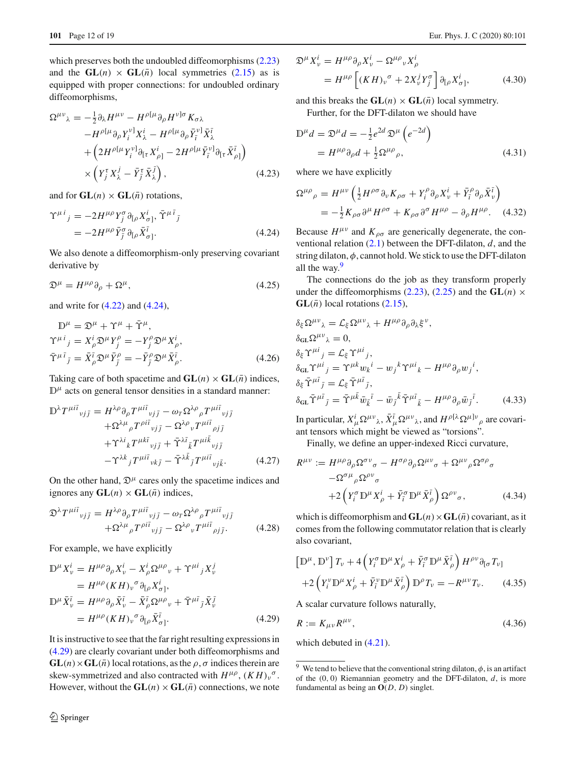which preserves both the undoubled diffeomorphisms  $(2.23)$ and the  $GL(n) \times GL(\overline{n})$  local symmetries [\(2.15\)](#page-4-1) as is equipped with proper connections: for undoubled ordinary diffeomorphisms,

<span id="page-11-4"></span>
$$
\Omega^{\mu\nu}{}_{\lambda} = -\frac{1}{2} \partial_{\lambda} H^{\mu\nu} - H^{\rho[\mu} \partial_{\rho} H^{\nu]\sigma} K_{\sigma\lambda} \n- H^{\rho[\mu} \partial_{\rho} Y_{i}^{\nu]} X_{\lambda}^{i} - H^{\rho[\mu} \partial_{\rho} \bar{Y}_{\bar{\imath}}^{\nu]} \bar{X}_{\lambda}^{\bar{\imath}} \n+ \left( 2H^{\rho[\mu} Y_{i}^{\nu]} \partial_{[\tau} X_{\rho]}^{i} - 2H^{\rho[\mu} \bar{Y}_{\bar{\imath}}^{\nu]} \partial_{[\tau} \bar{X}_{\rho]}^{\bar{\imath}} \right) \n\times \left( Y_{j}^{\tau} X_{\lambda}^{j} - \bar{Y}_{j}^{\tau} \bar{X}_{\lambda}^{\bar{\jmath}} \right),
$$
\n(4.23)

and for  $GL(n) \times GL(\overline{n})$  rotations,

<span id="page-11-0"></span>
$$
\begin{split} \Upsilon^{\mu i}{}_{j} &= -2H^{\mu\rho}Y_{j}^{\sigma}\partial_{[\rho}X_{\sigma]}^{i}, \,\tilde{\Upsilon}^{\mu\bar{i}}{}_{\bar{j}} \\ &= -2H^{\mu\rho}\bar{Y}_{\bar{j}}^{\sigma}\partial_{[\rho}\bar{X}_{\sigma]}^{\bar{i}}. \end{split} \tag{4.24}
$$

We also denote a diffeomorphism-only preserving covariant derivative by

<span id="page-11-5"></span>
$$
\mathfrak{D}^{\mu} = H^{\mu\rho}\partial_{\rho} + \Omega^{\mu},\tag{4.25}
$$

and write for [\(4.22\)](#page-10-5) and [\(4.24\)](#page-11-0),

<span id="page-11-3"></span>
$$
\mathbb{D}^{\mu} = \mathfrak{D}^{\mu} + \Upsilon^{\mu} + \bar{\Upsilon}^{\mu}, \n\Upsilon^{\mu i}{}_{j} = X_{\rho}^{i} \mathfrak{D}^{\mu} Y_{j}^{\rho} = -Y_{j}^{\rho} \mathfrak{D}^{\mu} X_{\rho}^{i}, \n\bar{\Upsilon}^{\mu \bar{\iota}}{}_{\bar{j}} = \bar{X}_{\rho}^{\bar{\iota}} \mathfrak{D}^{\mu} \bar{Y}_{\bar{j}}^{\rho} = -\bar{Y}_{j}^{\rho} \mathfrak{D}^{\mu} \bar{X}_{\rho}^{\bar{\iota}}.
$$
\n(4.26)

Taking care of both spacetime and  $GL(n) \times GL(\overline{n})$  indices,  $D^{\mu}$  acts on general tensor densities in a standard manner:

$$
\mathbb{D}^{\lambda} T^{\mu i\bar{i}}{}_{\nu j\bar{j}} = H^{\lambda\rho} \partial_{\rho} T^{\mu i\bar{i}}{}_{\nu j\bar{j}} - \omega_{T} \Omega^{\lambda\rho}{}_{\rho} T^{\mu i\bar{i}}{}_{\nu j\bar{j}} \n+ \Omega^{\lambda\mu}{}_{\rho} T^{\rho i\bar{i}}{}_{\nu j\bar{j}} - \Omega^{\lambda\rho}{}_{\nu} T^{\mu i\bar{i}}{}_{\rho j\bar{j}} \n+ \Upsilon^{\lambda i}{}_{k} T^{\mu k\bar{i}}{}_{\nu j\bar{j}} + \tilde{\Upsilon}^{\lambda \bar{i}}{}_{k} T^{\mu i\bar{k}}{}_{\nu j\bar{j}} \n- \Upsilon^{\lambda k}{}_{j} T^{\mu i\bar{i}}{}_{\nu k\bar{j}} - \tilde{\Upsilon}^{\lambda \bar{k}}{}_{\bar{j}} T^{\mu i\bar{i}}{}_{\nu j\bar{k}}.
$$
\n(4.27)

On the other hand,  $\mathcal{D}^{\mu}$  cares only the spacetime indices and ignores any  $GL(n) \times GL(\overline{n})$  indices,

$$
\mathfrak{D}^{\lambda} T^{\mu i \bar{\iota}}{}_{\nu j \bar{\jmath}} = H^{\lambda \rho} \partial_{\rho} T^{\mu i \bar{\iota}}{}_{\nu j \bar{\jmath}} - \omega_{\tau} \Omega^{\lambda \rho}{}_{\rho} T^{\mu i \bar{\iota}}{}_{\nu j \bar{\jmath}} + \Omega^{\lambda \mu}{}_{\rho} T^{\rho i \bar{\iota}}{}_{\nu j \bar{\jmath}} - \Omega^{\lambda \rho}{}_{\nu} T^{\mu i \bar{\iota}}{}_{\rho j \bar{\jmath}}.
$$
 (4.28)

For example, we have explicitly

<span id="page-11-1"></span>
$$
\mathbb{D}^{\mu} X_{\nu}^{i} = H^{\mu \rho} \partial_{\rho} X_{\nu}^{i} - X_{\rho}^{i} \Omega^{\mu \rho}{}_{\nu} + \Upsilon^{\mu i}{}_{j} X_{\nu}^{j}
$$
\n
$$
= H^{\mu \rho} (KH)_{\nu}{}^{\sigma} \partial_{[\rho} X_{\sigma]}^{i},
$$
\n
$$
\mathbb{D}^{\mu} \bar{X}_{\nu}^{\bar{\iota}} = H^{\mu \rho} \partial_{\rho} \bar{X}_{\nu}^{\bar{\iota}} - \bar{X}_{\rho}^{\bar{\iota}} \Omega^{\mu \rho}{}_{\nu} + \bar{\Upsilon}^{\mu \bar{\iota}}{}_{\bar{j}} \bar{X}_{\nu}^{\bar{\jmath}}
$$
\n
$$
= H^{\mu \rho} (KH)_{\nu}{}^{\sigma} \partial_{[\rho} \bar{X}_{\sigma]}^{\bar{\iota}}.
$$
\n(4.29)

It is instructive to see that the far right resulting expressions in [\(4.29\)](#page-11-1) are clearly covariant under both diffeomorphisms and  $GL(n) \times GL(\overline{n})$  local rotations, as the  $\rho, \sigma$  indices therein are skew-symmetrized and also contracted with  $H^{\mu\rho}$ ,  $(KH)_{\nu}^{\sigma}$ . However, without the  $GL(n) \times GL(\overline{n})$  connections, we note

$$
\mathfrak{D}^{\mu} X_{\nu}^{i} = H^{\mu \rho} \partial_{\rho} X_{\nu}^{i} - \Omega^{\mu \rho} {}_{\nu} X_{\rho}^{i}
$$
  
=  $H^{\mu \rho} \left[ (K H)_{\nu}{}^{\sigma} + 2X_{\nu}^{j} Y_{j}^{\sigma} \right] \partial_{[\rho} X_{\sigma]}^{i},$  (4.30)

and this breaks the  $GL(n) \times GL(\overline{n})$  local symmetry.

Further, for the DFT-dilaton we should have

$$
\mathbb{D}^{\mu}d = \mathfrak{D}^{\mu}d = -\frac{1}{2}e^{2d}\mathfrak{D}^{\mu}\left(e^{-2d}\right)
$$

$$
= H^{\mu\rho}\partial_{\rho}d + \frac{1}{2}\Omega^{\mu\rho}{}_{\rho},\tag{4.31}
$$

where we have explicitly

$$
\Omega^{\mu\rho}{}_{\rho} = H^{\mu\nu} \left( \frac{1}{2} H^{\rho\sigma} \partial_{\nu} K_{\rho\sigma} + Y_i^{\rho} \partial_{\rho} X_{\nu}^{i} + \bar{Y}_i^{\rho} \partial_{\rho} \bar{X}_{\nu}^{i} \right)
$$
  
= 
$$
-\frac{1}{2} K_{\rho\sigma} \partial^{\mu} H^{\rho\sigma} + K_{\rho\sigma} \partial^{\sigma} H^{\mu\rho} - \partial_{\rho} H^{\mu\rho}.
$$
 (4.32)

Because  $H^{\mu\nu}$  and  $K_{\rho\sigma}$  are generically degenerate, the conventional relation [\(2.1\)](#page-3-2) between the DFT-dilaton, *d*, and the string dilaton,  $\phi$ , cannot hold. We stick to use the DFT-dilaton all the way. $9$ 

The connections do the job as they transform properly under the diffeomorphisms [\(2.23\)](#page-5-6), [\(2.25\)](#page-5-4) and the  $GL(n)$  ×  $GL(\bar{n})$  local rotations [\(2.15\)](#page-4-1),

$$
\delta_{\xi} \Omega^{\mu\nu}{}_{\lambda} = \mathcal{L}_{\xi} \Omega^{\mu\nu}{}_{\lambda} + H^{\mu\rho} \partial_{\rho} \partial_{\lambda} \xi^{\nu},
$$
\n
$$
\delta_{\text{GL}} \Omega^{\mu\nu}{}_{\lambda} = 0,
$$
\n
$$
\delta_{\xi} \Upsilon^{\mu i}{}_{j} = \mathcal{L}_{\xi} \Upsilon^{\mu i}{}_{j},
$$
\n
$$
\delta_{\text{GL}} \Upsilon^{\mu i}{}_{j} = \Upsilon^{\mu k} w_{k}{}^{i} - w_{j}{}^{k} \Upsilon^{\mu i}{}_{k} - H^{\mu \rho} \partial_{\rho} w_{j}{}^{i},
$$
\n
$$
\delta_{\xi} \tilde{\Upsilon}^{\mu \bar{i}}{}_{\bar{j}} = \mathcal{L}_{\xi} \tilde{\Upsilon}^{\mu \bar{i}}{}_{\bar{j}},
$$
\n
$$
\delta_{\text{GL}} \tilde{\Upsilon}^{\mu \bar{i}}{}_{\bar{j}} = \tilde{\Upsilon}^{\mu \bar{k}} \bar{w}_{\bar{k}}{}^{\bar{i}} - \bar{w}_{j}{}^{\bar{k}} \tilde{\Upsilon}^{\mu \bar{i}}{}_{\bar{k}} - H^{\mu \rho} \partial_{\rho} \bar{w}_{j}{}^{\bar{i}}.
$$
\n(4.33)

In particular,  $X^i_\mu \Omega^{\mu\nu}$ ,  $\bar{X}^{\bar{\iota}}_\mu \Omega^{\mu\nu}$ , and  $H^{\rho[\lambda} \Omega^{\mu]\nu}{}_{\rho}$  are covariant tensors which might be viewed as "torsions".

Finally, we define an upper-indexed Ricci curvature,

<span id="page-11-6"></span>
$$
R^{\mu\nu} := H^{\mu\rho}\partial_{\rho}\Omega^{\sigma\nu}\sigma - H^{\sigma\rho}\partial_{\rho}\Omega^{\mu\nu}\sigma + \Omega^{\mu\nu}\rho\Omega^{\sigma\rho}\sigma
$$

$$
- \Omega^{\sigma\mu}\rho\Omega^{\rho\nu}\sigma
$$

$$
+ 2\left(Y_i^{\sigma}\mathbb{D}^{\mu}X_{\rho}^i + \bar{Y}_i^{\sigma}\mathbb{D}^{\mu}\bar{X}_{\rho}^{\bar{\iota}}\right)\Omega^{\rho\nu}\sigma, \qquad (4.34)
$$

which is diffeomorphism and  $GL(n) \times GL(\overline{n})$  covariant, as it comes from the following commutator relation that is clearly also covariant,

$$
\left[\mathbb{D}^{\mu}, \mathbb{D}^{\nu}\right]T_{\nu} + 4\left(Y_{i}^{\sigma}\mathbb{D}^{\mu}X_{\rho}^{i} + \bar{Y}_{i}^{\sigma}\mathbb{D}^{\mu}\bar{X}_{\rho}^{\bar{\iota}}\right)H^{\rho\nu}\partial_{\lbrack\sigma}T_{\nu\rbrack} + 2\left(Y_{i}^{\nu}\mathbb{D}^{\mu}X_{\rho}^{i} + \bar{Y}_{i}^{\nu}\mathbb{D}^{\mu}\bar{X}_{\rho}^{\bar{\iota}}\right)\mathbb{D}^{\rho}T_{\nu} = -R^{\mu\nu}T_{\nu}.
$$
 (4.35)

A scalar curvature follows naturally,

$$
R := K_{\mu\nu} R^{\mu\nu},\tag{4.36}
$$

which debuted in  $(4.21)$ .

<span id="page-11-2"></span><sup>&</sup>lt;sup>9</sup> We tend to believe that the conventional string dilaton,  $\phi$ , is an artifact of the (0, 0) Riemannian geometry and the DFT-dilaton, *d*, is more fundamental as being an **O**(*D*, *D*) singlet.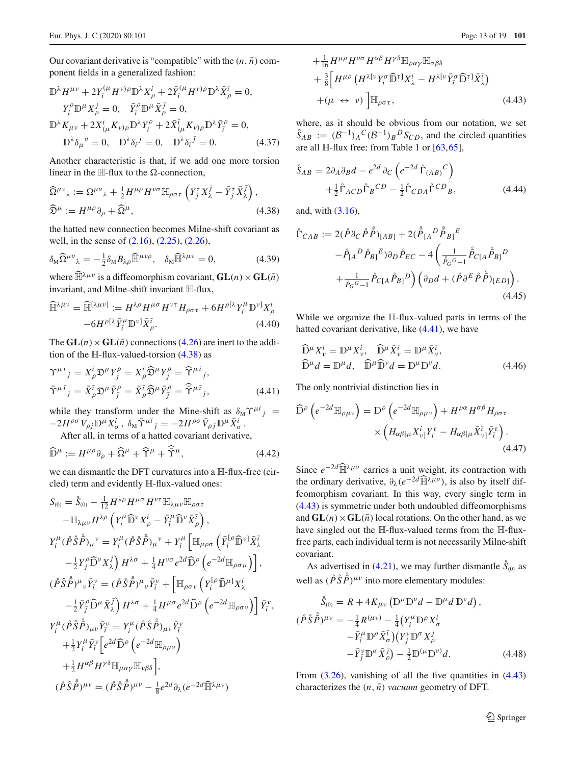Our covariant derivative is "compatible" with the  $(n, \bar{n})$  component fields in a generalized fashion:

$$
\mathbb{D}^{\lambda} H^{\mu\nu} + 2Y_i^{(\mu} H^{\nu)\rho} \mathbb{D}^{\lambda} X_{\rho}^{i} + 2\bar{Y}_i^{(\mu} H^{\nu)\rho} \mathbb{D}^{\lambda} \bar{X}_{\rho}^{\bar{\imath}} = 0,
$$
  
\n
$$
Y_i^{\rho} \mathbb{D}^{\mu} X_{\rho}^{j} = 0, \quad \bar{Y}_i^{\rho} \mathbb{D}^{\mu} \bar{X}_{\rho}^{\bar{\jmath}} = 0,
$$
  
\n
$$
\mathbb{D}^{\lambda} K_{\mu\nu} + 2X_{(\mu}^{i} K_{\nu)\rho} \mathbb{D}^{\lambda} Y_i^{\rho} + 2\bar{X}_{(\mu}^{i} K_{\nu)\rho} \mathbb{D}^{\lambda} \bar{Y}_i^{\rho} = 0,
$$
  
\n
$$
\mathbb{D}^{\lambda} \delta_{\mu}{}^{\nu} = 0, \quad \mathbb{D}^{\lambda} \delta_i{}^{\bar{\jmath}} = 0, \quad \mathbb{D}^{\lambda} \delta_i{}^{\bar{\jmath}} = 0.
$$
\n(4.37)

Another characteristic is that, if we add one more torsion linear in the  $H$ -flux to the  $\Omega$ -connection.

<span id="page-12-0"></span>
$$
\widehat{\Omega}^{\mu\nu}{}_{\lambda} := \Omega^{\mu\nu}{}_{\lambda} + \frac{1}{2} H^{\mu\rho} H^{\nu\sigma} \mathbb{H}_{\rho\sigma\tau} \left( Y_j^{\tau} X_{\lambda}^j - \bar{Y}_j^{\tau} \bar{X}_{\lambda}^{\bar{j}} \right),
$$
  

$$
\widehat{\mathfrak{D}}^{\mu} := H^{\mu\rho} \partial_{\rho} + \widehat{\Omega}^{\mu}, \tag{4.38}
$$

the hatted new connection becomes Milne-shift covariant as well, in the sense of [\(2.16\)](#page-4-2), [\(2.25\)](#page-5-4), [\(2.26\)](#page-5-3),

<span id="page-12-4"></span>
$$
\delta_M \widehat{\Omega}^{\mu\nu}{}_{\lambda} = -\frac{1}{2} \delta_M B_{\lambda\rho} \widehat{\mathbb{H}}^{\mu\nu\rho}, \quad \delta_M \widehat{\mathbb{H}}^{\lambda\mu\nu} = 0, \tag{4.39}
$$

where  $\widehat{\mathbb{H}}^{\lambda\mu\nu}$  is a diffeomorphism covariant,  $\mathbf{GL}(n) \times \mathbf{GL}(\overline{n})$ invariant, and Milne-shift invariant H-flux,

$$
\widehat{\mathbb{H}}^{\lambda\mu\nu} = \widehat{\mathbb{H}}^{[\lambda\mu\nu]} := H^{\lambda\rho} H^{\mu\sigma} H^{\nu\tau} H_{\rho\sigma\tau} + 6 H^{\rho[\lambda} Y_i^{\mu} \mathbb{D}^{\nu]} X_{\rho}^i
$$

$$
-6 H^{\rho[\lambda} \bar{Y}_i^{\mu} \mathbb{D}^{\nu]} \bar{X}_{\rho}^{\bar{\iota}}.
$$
(4.40)

The  $GL(n) \times GL(\overline{n})$  connections [\(4.26\)](#page-11-3) are inert to the addition of the  $H$ -flux-valued-torsion [\(4.38\)](#page-12-0) as

<span id="page-12-1"></span>
$$
\begin{split} \Upsilon^{\mu i}{}_{j} &= X_{\rho}^{i} \mathfrak{D}^{\mu} Y_{j}^{\rho} = X_{\rho}^{i} \widehat{\mathfrak{D}}^{\mu} Y_{j}^{\rho} = \widehat{\Upsilon}^{\mu i}{}_{j}, \\ \tilde{\Upsilon}^{\mu \bar{\iota}}{}_{\bar{\jmath}} &= \bar{X}_{\rho}^{\bar{\iota}} \mathfrak{D}^{\mu} \bar{Y}_{\bar{j}}^{\rho} = \bar{X}_{\rho}^{\bar{\iota}} \widehat{\mathfrak{D}}^{\mu} \bar{Y}_{\bar{j}}^{\rho} = \widehat{\Upsilon}^{\mu \bar{\iota}}{}_{\bar{\jmath}}, \end{split} \tag{4.41}
$$

while they transform under the Mine-shift as  $\delta_M \Upsilon^{\mu i}$   $j =$  $-2H^{\rho\sigma}V_{\rho j}\mathbb{D}^{\mu}X_{\sigma}^{i}$ ,  $\delta_{\mathbf{M}}\bar{\Upsilon}^{\mu\bar{\iota}}{}_{\bar{\jmath}} = -2H^{\rho\sigma}\bar{V}_{\rho\bar{\jmath}}\mathbb{D}^{\mu}\bar{X}_{\sigma}^{\bar{\iota}}$ .

After all, in terms of a hatted covariant derivative,

$$
\widehat{\mathbb{D}}^{\mu} := H^{\mu\rho}\partial_{\rho} + \widehat{\Omega}^{\mu} + \widehat{\Upsilon}^{\mu} + \widetilde{\Upsilon}^{\mu}, \tag{4.42}
$$

we can dismantle the DFT curvatures into a H-flux-free (circled) term and evidently H-flux-valued ones:

<span id="page-12-2"></span>
$$
S_{(0)} = \mathring{S}_{(0)} - \frac{1}{12} H^{\lambda \rho} H^{\mu \sigma} H^{\nu \tau} \mathbb{H}_{\lambda \mu \nu} \mathbb{H}_{\rho \sigma \tau}
$$
  
\n
$$
- \mathbb{H}_{\lambda \mu \nu} H^{\lambda \rho} \left( Y_i^{\mu} \hat{\mathbb{D}}^{\nu} X_{\rho}^{i} - \bar{Y}_i^{\mu} \hat{\mathbb{D}}^{\nu} \bar{X}_{\rho}^{i} \right),
$$
  
\n
$$
Y_i^{\mu} (\mathring{P} \mathring{S} \mathring{P})_{\mu}^{\nu} = Y_i^{\mu} (\mathring{P} \mathring{S} \mathring{P})_{\mu}^{\nu} + Y_i^{\mu} \left[ \mathbb{H}_{\mu \rho \sigma} \left( \bar{Y}_i^{[\rho} \hat{\mathbb{D}}^{\nu]} \bar{X}_{\lambda}^{i} - \frac{1}{2} Y_j^{\rho} \widehat{\mathbb{D}}^{\nu} X_{\lambda}^{j} \right) H^{\lambda \sigma} + \frac{1}{4} H^{\nu \sigma} e^{2d} \widehat{\mathbb{D}}^{\rho} \left( e^{-2d} \mathbb{H}_{\rho \sigma \mu} \right) \right],
$$
  
\n
$$
(\mathring{P} \mathring{S} \mathring{P})^{\mu}{}_{\nu} \bar{Y}_i^{\nu} = (\mathring{P} \mathring{S} \mathring{P})^{\mu}{}_{\nu} \bar{Y}_i^{\nu} + \left[ \mathbb{H}_{\rho \sigma \nu} \left( Y_i^{[\rho} \widehat{\mathbb{D}}^{\mu]} X_{\lambda}^{i} - \frac{1}{2} \bar{Y}_j^{\rho} \widehat{\mathbb{D}}^{\mu} \bar{X}_{\lambda}^{j} \right) H^{\lambda \sigma} + \frac{1}{4} H^{\mu \sigma} e^{2d} \widehat{\mathbb{D}}^{\rho} \left( e^{-2d} \mathbb{H}_{\rho \sigma \nu} \right) \right] \bar{Y}_i^{\nu},
$$
  
\n
$$
Y_i^{\mu} (\mathring{P} \mathring{S} \mathring{P})_{\mu \nu} \bar{Y}_i^{\nu} = Y_i^{\mu} (\mathring{P} \mathring{S} \mathring{P})_{\mu \nu} \bar{Y}_i^{\nu}
$$

$$
+ \frac{1}{16} H^{\mu\rho} H^{\nu\sigma} H^{\alpha\beta} H^{\gamma\delta} \mathbb{H}_{\rho\alpha\gamma} \mathbb{H}_{\sigma\beta\delta}
$$
  
+ 
$$
\frac{3}{8} \Big[ H^{\mu\rho} \left( H^{\lambda[\nu} Y_i^{\sigma} \widehat{\mathbb{D}}^{\tau]} X_{\lambda}^{i} - H^{\lambda[\nu} \bar{Y}_i^{\sigma} \widehat{\mathbb{D}}^{\tau]} \bar{X}_{\lambda}^{\bar{\iota}} \right)
$$
  
+ 
$$
(\mu \leftrightarrow \nu) \Big] \mathbb{H}_{\rho\sigma\tau}, \tag{4.43}
$$

where, as it should be obvious from our notation, we set  $\hat{S}_{AB}$  :=  $(B^{-1})_A C (B^{-1})_B D S_{CD}$ , and the circled quantities are all  $\mathbb{H}\text{-flux}$  free: from Table [1](#page-2-1) or [\[63](#page-17-17)[,65](#page-17-6)],

<span id="page-12-3"></span>
$$
\mathring{S}_{AB} = 2\partial_A \partial_B d - e^{2d} \partial_C \left( e^{-2d} \mathring{\Gamma}_{(AB)}^C \right) \n+ \frac{1}{2} \mathring{\Gamma}_{ACD} \mathring{\Gamma}_B^C D - \frac{1}{2} \mathring{\Gamma}_{CDA} \mathring{\Gamma}^{CD}{}_B,
$$
\n(4.44)

and, with [\(3.16\)](#page-7-8),

$$
\hat{\Gamma}_{CAB} := 2(\hat{P}\partial_C \hat{P}\hat{\bar{P}})_{[AB]} + 2(\hat{\bar{P}}_{[A}{}^D \hat{\bar{P}}_{B]}{}^E \n- \hat{P}_{[A}{}^D \hat{P}_{B]}{}^E)\partial_D \hat{P}_{EC} - 4\left(\frac{1}{\hat{\bar{P}}_G{}^G - 1} \hat{\bar{P}}_{C[A}{}^E \hat{\bar{P}}_{B]}{}^D \n+ \frac{1}{\hat{P}_G{}^G - 1} \hat{P}_{C[A}{}^E \hat{P}_{B]}{}^D\right) \left(\partial_D d + (\hat{P}\partial^E \hat{P}\hat{\bar{P}})_{[ED]}\right).
$$
\n(4.45)

While we organize the H-flux-valued parts in terms of the hatted covariant derivative, like [\(4.41\)](#page-12-1), we have

$$
\widehat{\mathbb{D}}^{\mu} X_{\nu}^{i} = \mathbb{D}^{\mu} X_{\nu}^{i}, \quad \widehat{\mathbb{D}}^{\mu} \bar{X}_{\nu}^{\overline{\iota}} = \mathbb{D}^{\mu} \bar{X}_{\nu}^{\overline{\iota}}, \n\widehat{\mathbb{D}}^{\mu} d = \mathbb{D}^{\mu} d, \quad \widehat{\mathbb{D}}^{\mu} \widehat{\mathbb{D}}^{\nu} d = \mathbb{D}^{\mu} \mathbb{D}^{\nu} d.
$$
\n(4.46)

The only nontrivial distinction lies in

$$
\widehat{\mathbb{D}}^{\rho}\left(e^{-2d}\mathbb{H}_{\rho\mu\nu}\right) = \mathbb{D}^{\rho}\left(e^{-2d}\mathbb{H}_{\rho\mu\nu}\right) + H^{\rho\alpha}H^{\sigma\beta}H_{\rho\sigma\tau} \times \left(H_{\alpha\beta[\mu}X_{\nu]}^{i}Y_{i}^{\tau} - H_{\alpha\beta[\mu}\bar{X}_{\nu]}^{\bar{i}}\bar{Y}_{i}^{\tau}\right).
$$
\n(4.47)

Since  $e^{-2d} \widehat{\mathbb{H}}^{\lambda \mu \nu}$  carries a unit weight, its contraction with the ordinary derivative,  $\partial_{\lambda}(e^{-2d}\widehat{\mathbb{H}}^{\lambda\mu\nu})$ , is also by itself diffeomorphism covariant. In this way, every single term in [\(4.43\)](#page-12-2) is symmetric under both undoubled diffeomorphisms and  $GL(n) \times GL(\overline{n})$  local rotations. On the other hand, as we have singled out the H-flux-valued terms from the H-fluxfree parts, each individual term is not necessarily Milne-shift covariant.

As advertised in [\(4.21\)](#page-10-1), we may further dismantle  $\dot{S}_{(0)}$  as well as  $(\hat{P} \hat{S} \hat{\vec{P}})^{\mu\nu}$  into more elementary modules:

$$
\hat{S}_{(0)} = R + 4K_{\mu\nu} (\mathbb{D}^{\mu} \mathbb{D}^{\nu} d - \mathbb{D}^{\mu} d \mathbb{D}^{\nu} d),
$$
  
\n
$$
(\mathring{P} \mathring{S} \mathring{P})^{\mu\nu} = -\frac{1}{4} R^{(\mu\nu)} - \frac{1}{4} (Y_i^{\mu} \mathbb{D}^{\rho} X_{\sigma}^i - \bar{Y}_i^{\mu} \mathbb{D}^{\rho} \bar{X}_{\sigma}^{\bar{\iota}}) (Y_j^{\nu} \mathbb{D}^{\sigma} X_{\rho}^j - \bar{Y}_j^{\nu} \mathbb{D}^{\sigma} \bar{X}_{\rho}^{\bar{\jmath}}) - \frac{1}{2} \mathbb{D}^{(\mu} \mathbb{D}^{\nu)} d.
$$
\n(4.48)

From  $(3.26)$ , vanishing of all the five quantities in  $(4.43)$ characterizes the  $(n, \bar{n})$  *vacuum* geometry of DFT.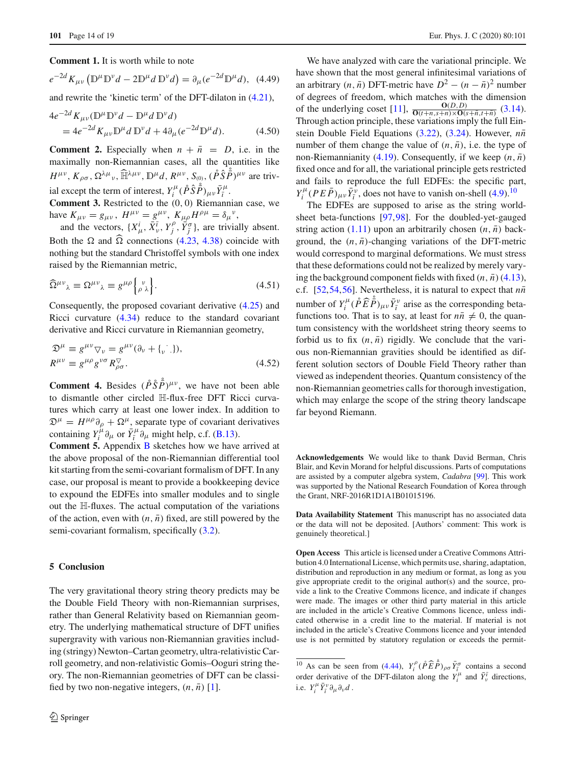**Comment 1.** It is worth while to note

$$
e^{-2d}K_{\mu\nu}\left(\mathbb{D}^{\mu}\mathbb{D}^{\nu}d - 2\mathbb{D}^{\mu}d\,\mathbb{D}^{\nu}d\right) = \partial_{\mu}(e^{-2d}\mathbb{D}^{\mu}d),\tag{4.49}
$$

and rewrite the 'kinetic term' of the DFT-dilaton in [\(4.21\)](#page-10-1),

$$
4e^{-2d} K_{\mu\nu} (\mathbb{D}^{\mu} \mathbb{D}^{\nu} d - \mathbb{D}^{\mu} d \mathbb{D}^{\nu} d)
$$
  
=  $4e^{-2d} K_{\mu\nu} \mathbb{D}^{\mu} d \mathbb{D}^{\nu} d + 4 \partial_{\mu} (e^{-2d} \mathbb{D}^{\mu} d).$  (4.50)

**Comment 2.** Especially when  $n + \overline{n} = D$ , i.e. in the maximally non-Riemannian cases, all the quantities like  $H^{\mu\nu}$ ,  $K_{\rho\sigma}$ ,  $\Omega^{\lambda\mu}$ <sub>ν</sub>,  $\widehat{\mathbb{H}}^{\lambda\mu\nu}$ ,  $\mathbb{D}^{\mu}d$ ,  $R^{\mu\nu}$ ,  $S_{(0)}$ ,  $(\hat{P}\hat{S}\hat{P})^{\mu\nu}$  are trivial except the term of interest,  $Y_i^{\mu}$  ( $\hat{P} \hat{S} \hat{\vec{P}}$ )<sub>*μν*</sub> $\bar{Y}_i^{\mu}$ .

**Comment 3.** Restricted to the (0, 0) Riemannian case, we have  $K_{\mu\nu} = g_{\mu\nu}$ ,  $H^{\mu\nu} = g^{\mu\nu}$ ,  $K_{\mu\rho}H^{\rho\mu} = \delta_{\mu}^{\nu}$ ,

and the vectors,  $\{X^i_\mu, \overline{X}^{\overline{i}}_\nu, Y^\rho_j, \overleftrightarrow{Y}^\sigma_{\overline{j}}\}$ , are trivially absent. Both the  $\Omega$  and  $\widehat{\Omega}$  connections [\(4.23,](#page-11-4) [4.38\)](#page-12-0) coincide with nothing but the standard Christoffel symbols with one index raised by the Riemannian metric,

$$
\widehat{\Omega}^{\mu\nu}{}_{\lambda} \equiv \Omega^{\mu\nu}{}_{\lambda} \equiv g^{\mu\rho} \left\{ \, \, \, \right\} \, . \tag{4.51}
$$

Consequently, the proposed covariant derivative [\(4.25\)](#page-11-5) and Ricci curvature [\(4.34\)](#page-11-6) reduce to the standard covariant derivative and Ricci curvature in Riemannian geometry,

$$
\mathfrak{D}^{\mu} \equiv g^{\mu\nu} \nabla_{\nu} = g^{\mu\nu} (\partial_{\nu} + \{ \cdot \cdot \}) ,
$$
  
\n
$$
R^{\mu\nu} \equiv g^{\mu\rho} g^{\nu\sigma} R^{\nabla}_{\rho\sigma} .
$$
\n(4.52)

**Comment 4.** Besides  $(\hat{P}\hat{S}\hat{\vec{P}})^{\mu\nu}$ , we have not been able to dismantle other circled H-flux-free DFT Ricci curvatures which carry at least one lower index. In addition to  $\mathfrak{D}^{\mu} = H^{\mu\rho}\partial_{\rho} + \Omega^{\mu}$ , separate type of covariant derivatives containing  $Y_i^{\mu} \partial_{\mu}$  or  $\bar{Y}_i^{\mu} \partial_{\mu}$  might help, c.f. [\(B.13\)](#page-4-6).

**Comment 5.** Appendix **[B](#page-3-0)** sketches how we have arrived at the above proposal of the non-Riemannian differential tool kit starting from the semi-covariant formalism of DFT. In any case, our proposal is meant to provide a bookkeeping device to expound the EDFEs into smaller modules and to single out the H-fluxes. The actual computation of the variations of the action, even with  $(n, \bar{n})$  fixed, are still powered by the semi-covariant formalism, specifically  $(3.2)$ .

### <span id="page-13-0"></span>**5 Conclusion**

The very gravitational theory string theory predicts may be the Double Field Theory with non-Riemannian surprises, rather than General Relativity based on Riemannian geometry. The underlying mathematical structure of DFT unifies supergravity with various non-Riemannian gravities including (stringy) Newton–Cartan geometry, ultra-relativistic Carroll geometry, and non-relativistic Gomis–Ooguri string theory. The non-Riemannian geometries of DFT can be classified by two non-negative integers,  $(n, \bar{n})$  [\[1\]](#page-16-0).

We have analyzed with care the variational principle. We have shown that the most general infinitesimal variations of an arbitrary  $(n, \bar{n})$  DFT-metric have  $D^2 - (n - \bar{n})^2$  number of degrees of freedom, which matches with the dimension of the underlying coset [\[11](#page-16-15)],  $\frac{\mathbf{O}(D,D)}{\mathbf{O}(t+n,s+n)\times\mathbf{O}(s+n,t+n)}$  [\(3.14\)](#page-7-9). Through action principle, these variations imply the full Ein-stein Double Field Equations [\(3.22\)](#page-8-7), [\(3.24\)](#page-8-6). However,  $n\bar{n}$ number of them change the value of  $(n, \bar{n})$ , i.e. the type of non-Riemannianity [\(4.19\)](#page-10-6). Consequently, if we keep  $(n, \bar{n})$ fixed once and for all, the variational principle gets restricted and fails to reproduce the full EDFEs: the specific part,  $Y_i^{\mu}$  ( $P E \bar{P}$ )<sub>μν</sub> $\bar{Y}_i^{\bar{\nu}}$ , does not have to vanish on-shell [\(4.9\)](#page-9-3).<sup>[10](#page-13-1)</sup>

The EDFEs are supposed to arise as the string worldsheet beta-functions [\[97](#page-18-18)[,98](#page-18-19)]. For the doubled-yet-gauged string action [\(1.11\)](#page-2-3) upon an arbitrarily chosen  $(n, \bar{n})$  background, the  $(n, \bar{n})$ -changing variations of the DFT-metric would correspond to marginal deformations. We must stress that these deformations could not be realized by merely varying the background component fields with fixed  $(n, \bar{n})$  [\(4.13\)](#page-9-10), c.f. [\[52,](#page-17-24)[54](#page-17-25)[,56](#page-17-26)]. Nevertheless, it is natural to expect that  $n\bar{n}$ number of  $Y_i^{\mu}$  ( $\hat{P}\hat{E}\hat{P}^{\mu}$ )<sub>μν</sub> $\bar{Y}_i^{\nu}$  arise as the corresponding betafunctions too. That is to say, at least for  $n\bar{n} \neq 0$ , the quantum consistency with the worldsheet string theory seems to forbid us to fix  $(n, \bar{n})$  rigidly. We conclude that the various non-Riemannian gravities should be identified as different solution sectors of Double Field Theory rather than viewed as independent theories. Quantum consistency of the non-Riemannian geometries calls for thorough investigation, which may enlarge the scope of the string theory landscape far beyond Riemann.

**Acknowledgements** We would like to thank David Berman, Chris Blair, and Kevin Morand for helpful discussions. Parts of computations are assisted by a computer algebra system, *Cadabra* [\[99](#page-18-20)]. This work was supported by the National Research Foundation of Korea through the Grant, NRF-2016R1D1A1B01015196.

**Data Availability Statement** This manuscript has no associated data or the data will not be deposited. [Authors' comment: This work is genuinely theoretical.]

**Open Access** This article is licensed under a Creative Commons Attribution 4.0 International License, which permits use, sharing, adaptation, distribution and reproduction in any medium or format, as long as you give appropriate credit to the original author(s) and the source, provide a link to the Creative Commons licence, and indicate if changes were made. The images or other third party material in this article are included in the article's Creative Commons licence, unless indicated otherwise in a credit line to the material. If material is not included in the article's Creative Commons licence and your intended use is not permitted by statutory regulation or exceeds the permit-

<span id="page-13-1"></span><sup>&</sup>lt;sup>10</sup> As can be seen from [\(4.44\)](#page-12-3),  $Y_i^{\rho} (\hat{P} \hat{E} \hat{P})_{\rho \sigma} \overline{Y_i^{\sigma}}$  contains a second order derivative of the DFT-dilaton along the  $Y_i^{\mu}$  and  $\overline{Y}_v^{\overline{\mu}}$  directions, i.e.  $Y_i^{\mu} \bar{Y}_{\bar{i}}^{\nu} \partial_{\mu} \partial_{\nu} d$ .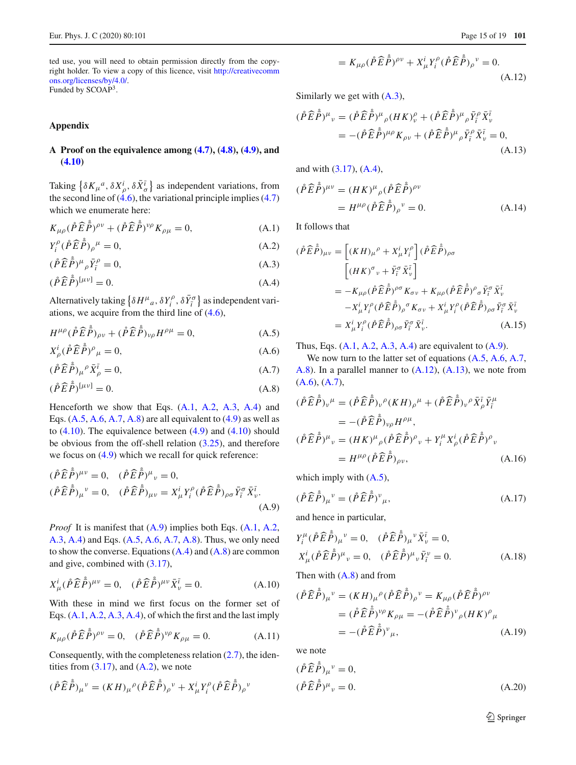<span id="page-14-1"></span>ted use, you will need to obtain permission directly from the copyright holder. To view a copy of this licence, visit [http://creativecomm](http://creativecommons.org/licenses/by/4.0/) [ons.org/licenses/by/4.0/.](http://creativecommons.org/licenses/by/4.0/) Funded by SCOAP3.

<span id="page-14-0"></span>**Appendix**

### **A Proof on the equivalence among [\(4.7\)](#page-9-1), [\(4.8\)](#page-9-2), [\(4.9\)](#page-9-3), and [\(4.10\)](#page-9-4)**

Taking  $\{\delta K_{\mu}{}^{a}, \delta X_{\rho}^{i}, \delta \bar{X}_{\sigma}^{\bar{i}}\}$  as independent variations, from the second line of  $(4.6)$ , the variational principle implies  $(4.7)$ which we enumerate here:

$$
K_{\mu\rho}(\mathring{P}\widehat{E}\mathring{P})^{\rho\nu} + (\mathring{P}\widehat{E}\mathring{P})^{\nu\rho}K_{\rho\mu} = 0, \tag{A.1}
$$

$$
Y_i^{\rho} (\mathring{P} \mathring{E} \mathring{P})_{\rho}{}^{\mu} = 0, \tag{A.2}
$$

$$
(\mathring{P}\widehat{E}\mathring{P})^{\mu}_{\rho}\bar{Y}_{\bar{i}}^{\rho} = 0, \tag{A.3}
$$

$$
(\mathring{P}\widehat{E}\mathring{P})^{[\mu\nu]} = 0. \tag{A.4}
$$

Alternatively taking  $\left\{\delta H^{\mu}{}_{a}, \delta Y^{\rho}_{i}, \delta \bar{Y}^{\sigma}_{\bar{i}}\right\}$  as independent variations, we acquire from the third line of [\(4.6\)](#page-9-8),

$$
H^{\mu\rho}(\mathring{P}\widehat{E}\mathring{P})_{\rho\nu} + (\mathring{P}\widehat{E}\mathring{P})_{\nu\rho}H^{\rho\mu} = 0, \tag{A.5}
$$

$$
X_{\rho}^{i}(\mathring{P}\widehat{E}\mathring{P})^{\rho}{}_{\mu}=0,
$$
\n(A.6)

$$
(\mathring{P}\widehat{E}\mathring{\bar{P}})_{\mu}{}^{\rho}\bar{X}_{\rho}^{\bar{\imath}} = 0,\tag{A.7}
$$

$$
(\mathring{P}\widehat{E}\mathring{P})^{[\mu\nu]} = 0. \tag{A.8}
$$

Henceforth we show that Eqs. [\(A.1,](#page-1-3) [A.2,](#page-1-3) [A.3,](#page-1-3) [A.4\)](#page-1-3) and Eqs.  $(A.5, A.6, A.7, A.8)$  $(A.5, A.6, A.7, A.8)$  $(A.5, A.6, A.7, A.8)$  $(A.5, A.6, A.7, A.8)$  $(A.5, A.6, A.7, A.8)$  $(A.5, A.6, A.7, A.8)$  $(A.5, A.6, A.7, A.8)$  are all equivalent to  $(4.9)$  as well as to  $(4.10)$ . The equivalence between  $(4.9)$  and  $(4.10)$  should be obvious from the off-shell relation [\(3.25\)](#page-8-5), and therefore we focus on  $(4.9)$  which we recall for quick reference:

$$
(\mathring{P}\widehat{E}\mathring{P})^{\mu\nu} = 0, \quad (\mathring{P}\widehat{E}\mathring{P})^{\mu}{}_{\nu} = 0, (\mathring{P}\widehat{E}\mathring{P})_{\mu\nu} = X_{\mu}^{i}Y_{i}^{\rho}(\mathring{P}\widehat{E}\mathring{P})_{\rho\sigma}\bar{Y}_{i}^{\sigma}\bar{X}_{\nu}^{i}.
$$
(A.9)

*Proof* It is manifest that [\(A.9\)](#page-2-6) implies both Eqs. [\(A.1,](#page-1-3) [A.2,](#page-1-3) [A.3,](#page-1-3) [A.4\)](#page-1-3) and Eqs. [\(A.5,](#page-2-5) [A.6,](#page-2-5) [A.7,](#page-2-5) [A.8\)](#page-2-5). Thus, we only need to show the converse. Equations  $(A.4)$  and  $(A.8)$  are common and give, combined with [\(3.17\)](#page-7-6),

$$
X^i_{\mu}(\mathring{P}\hat{E}\dot{\tilde{P}})^{\mu\nu} = 0, \quad (\mathring{P}\hat{E}\dot{\tilde{P}})^{\mu\nu}\bar{X}^{\bar{\iota}}_{\nu} = 0.
$$
 (A.10)

With these in mind we first focus on the former set of Eqs. [\(A.1,](#page-1-3) [A.2,](#page-1-3) [A.3,](#page-1-3) [A.4\)](#page-1-3), of which the first and the last imply

$$
K_{\mu\rho}(\mathring{P}\widehat{E}\mathring{P})^{\rho\nu} = 0, \quad (\mathring{P}\widehat{E}\mathring{P})^{\nu\rho}K_{\rho\mu} = 0.
$$
 (A.11)

Consequently, with the completeness relation  $(2.7)$ , the identities from  $(3.17)$ , and  $(A.2)$ , we note

<span id="page-14-2"></span>
$$
(\mathring{P}\widehat{E}\mathring{\tilde{P}})_{\mu}{}^{\nu} = (KH)_{\mu}{}^{\rho}(\mathring{P}\widehat{E}\mathring{\tilde{P}})_{\rho}{}^{\nu} + X_{\mu}^{i}Y_{i}^{\rho}(\mathring{P}\widehat{E}\mathring{\tilde{P}})_{\rho}{}^{\nu}
$$

$$
=K_{\mu\rho}(\mathring{P}\hat{E}\dot{\tilde{P}})^{\rho\nu}+X_{\mu}^{i}Y_{i}^{\rho}(\mathring{P}\hat{E}\dot{\tilde{P}})_{\rho}^{\nu}=0.
$$
\n(A.12)

Similarly we get with  $(A.3)$ ,

<span id="page-14-3"></span>
$$
(\mathring{P}\hat{E}\dot{\tilde{P}})^{\mu}{}_{\nu} = (\mathring{P}\hat{E}\dot{\tilde{P}})^{\mu}{}_{\rho}(HK)^{\rho}_{\nu} + (\mathring{P}\hat{E}\dot{\tilde{P}})^{\mu}{}_{\rho}\bar{Y}_{\tilde{r}}^{\rho}\bar{X}_{\nu}^{\tilde{l}} = -(\mathring{P}\hat{E}\dot{\tilde{P}})^{\mu\rho}K_{\rho\nu} + (\mathring{P}\hat{E}\dot{\tilde{P}})^{\mu}{}_{\rho}\bar{Y}_{\tilde{r}}^{\rho}\bar{X}_{\nu}^{\tilde{l}} = 0,
$$
(A.13)

and with [\(3.17\)](#page-7-6), [\(A.4\)](#page-1-3),

$$
(\mathring{P}\widehat{E}\mathring{P})^{\mu\nu} = (HK)^{\mu}{}_{\rho}(\mathring{P}\widehat{E}\mathring{P})^{\rho\nu}
$$

$$
= H^{\mu\rho}(\mathring{P}\widehat{E}\mathring{P})^{\nu} = 0.
$$
(A.14)

It follows that

<span id="page-14-4"></span>
$$
(\mathring{P}\widehat{E}\mathring{P})_{\mu\nu} = \left[ (KH)_{\mu}{}^{\rho} + X_{\mu}^{i} Y_{i}^{\rho} \right] (\mathring{P}\widehat{E}\mathring{P})_{\rho\sigma}
$$
  

$$
\left[ (HK)^{\sigma}{}_{\nu} + \bar{Y}_{i}^{\sigma} \bar{X}_{\nu}^{\bar{\iota}} \right]
$$
  

$$
= -K_{\mu\rho} (\mathring{P}\widehat{E}\mathring{P})^{\rho\sigma} K_{\sigma\nu} + K_{\mu\rho} (\mathring{P}\widehat{E}\mathring{P})^{\rho}{}_{\sigma} \bar{Y}_{i}^{\sigma} \bar{X}_{\nu}^{\bar{\iota}}
$$
  

$$
-X_{\mu}^{i} Y_{i}^{\rho} (\mathring{P}\widehat{E}\mathring{P})_{\rho}{}^{\sigma} K_{\sigma\nu} + X_{\mu}^{i} Y_{i}^{\rho} (\mathring{P}\widehat{E}\mathring{P})_{\rho\sigma} \bar{Y}_{i}^{\sigma} \bar{X}_{\nu}^{\bar{\iota}}
$$
  

$$
= X_{\mu}^{i} Y_{i}^{\rho} (\mathring{P}\widehat{E}\mathring{P})_{\rho\sigma} \bar{Y}_{i}^{\sigma} \bar{X}_{\nu}^{\bar{\iota}}.
$$
 (A.15)

Thus, Eqs.  $(A.1, A.2, A.3, A.4)$  $(A.1, A.2, A.3, A.4)$  $(A.1, A.2, A.3, A.4)$  $(A.1, A.2, A.3, A.4)$  $(A.1, A.2, A.3, A.4)$  $(A.1, A.2, A.3, A.4)$  $(A.1, A.2, A.3, A.4)$  are equivalent to  $(A.9)$ .

We now turn to the latter set of equations  $(A.5, A.6, A.7)$  $(A.5, A.6, A.7)$  $(A.5, A.6, A.7)$  $(A.5, A.6, A.7)$ [A.8\)](#page-2-5). In a parallel manner to [\(A.12\)](#page-14-2), [\(A.13\)](#page-14-3), we note from  $(A.6), (A.7),$  $(A.6), (A.7),$  $(A.6), (A.7),$  $(A.6), (A.7),$ 

$$
(\mathring{P}\widehat{E}\mathring{P})_{\nu}{}^{\mu} = (\mathring{P}\widehat{E}\mathring{P})_{\nu}{}^{\rho}(KH)_{\rho}{}^{\mu} + (\mathring{P}\widehat{E}\mathring{P})_{\nu}{}^{\rho}\bar{X}_{\rho}^{\bar{\iota}}\bar{Y}_{\bar{\iota}}^{\mu}
$$
  
\n
$$
= -(\mathring{P}\widehat{E}\mathring{P})_{\nu\rho}H^{\rho\mu},
$$
  
\n
$$
(\mathring{P}\widehat{E}\mathring{P})^{\mu}{}_{\nu} = (HK)^{\mu}{}_{\rho}(\mathring{P}\widehat{E}\mathring{P})^{\rho}{}_{\nu} + Y_{\iota}^{\mu}X_{\rho}^{\iota}(\mathring{P}\widehat{E}\mathring{P})^{\rho}{}_{\nu}
$$
  
\n
$$
= H^{\mu\rho}(\mathring{P}\widehat{E}\mathring{P})_{\rho\nu},
$$
\n(A.16)

which imply with  $(A.5)$ ,

$$
(\mathring{P}\hat{E}\mathring{P})_{\mu}{}^{\nu} = (\mathring{P}\hat{E}\mathring{P})^{\nu}{}_{\mu},\tag{A.17}
$$

and hence in particular,

$$
Y_{i}^{\mu}(\mathring{P}\hat{E}\dot{\tilde{P}})_{\mu}{}^{\nu} = 0, \quad (\mathring{P}\hat{E}\dot{\tilde{P}})_{\mu}{}^{\nu}\bar{X}_{\nu}^{\bar{\iota}} = 0,
$$
  

$$
X_{\mu}^{i}(\mathring{P}\hat{E}\dot{\tilde{P}})^{\mu}{}_{\nu} = 0, \quad (\mathring{P}\hat{E}\dot{\tilde{P}})^{\mu}{}_{\nu}\bar{Y}_{\bar{\iota}}^{\nu} = 0.
$$
 (A.18)

Then with  $(A.8)$  and from

$$
(\mathring{P}\widehat{E}\mathring{P})_{\mu}{}^{\nu} = (KH)_{\mu}{}^{\rho}(\mathring{P}\widehat{E}\mathring{P})_{\rho}{}^{\nu} = K_{\mu\rho}(\mathring{P}\widehat{E}\mathring{P})^{\rho\nu}
$$

$$
= (\mathring{P}\widehat{E}\mathring{P})^{\nu\rho}K_{\rho\mu} = -(\mathring{P}\widehat{E}\mathring{P})^{\nu}{}_{\rho}(HK)^{\rho}{}_{\mu}
$$

$$
= -(\mathring{P}\widehat{E}\mathring{P})^{\nu}{}_{\mu}, \tag{A.19}
$$

we note

$$
(\mathring{P}\widehat{E}\mathring{\tilde{P}})_{\mu}^{\ \nu} = 0,
$$
  
\n
$$
(\mathring{P}\widehat{E}\mathring{\tilde{P}})^{\mu}{}_{\nu} = 0.
$$
\n(A.20)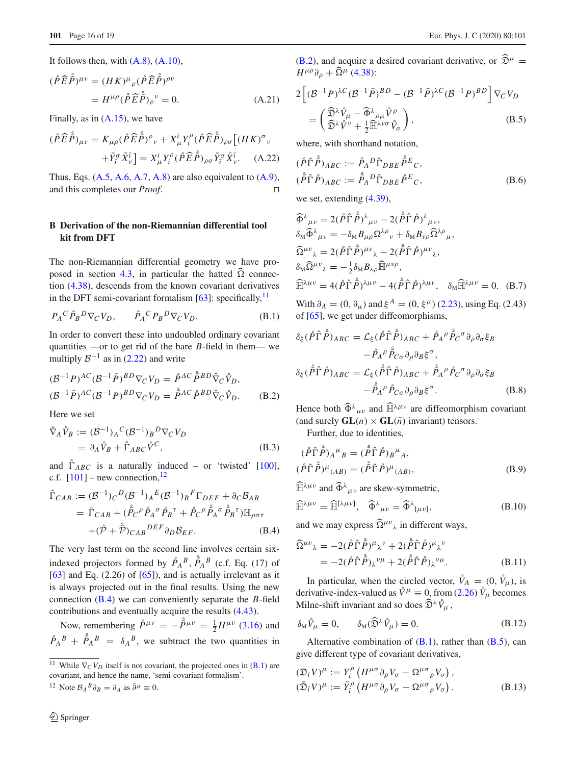It follows then, with  $(A.8)$ ,  $(A.10)$ ,

$$
(\mathring{P}\widehat{E}\mathring{\tilde{P}})^{\mu\nu} = (HK)^{\mu}{}_{\rho}(\mathring{P}\widehat{E}\mathring{\tilde{P}})^{\rho\nu}
$$

$$
= H^{\mu\rho}(\mathring{P}\widehat{E}\mathring{\tilde{P}})_{\rho}{}^{\nu} = 0.
$$
 (A.21)

Finally, as in  $(A.15)$ , we have

$$
(\mathring{P}\widehat{E}\mathring{\tilde{P}})_{\mu\nu} = K_{\mu\rho}(\mathring{P}\widehat{E}\mathring{\tilde{P}})^{\rho}{}_{\nu} + X_{\mu}^{i}Y_{i}^{\rho}(\mathring{P}\widehat{E}\mathring{\tilde{P}})_{\rho\sigma}\left[ (HK)^{\sigma}{}_{\nu} \right. \\ \left. + \bar{Y}_{i}^{\sigma}\bar{X}_{\nu}^{\bar{\iota}} \right] = X_{\mu}^{i}Y_{i}^{\rho}(\mathring{P}\widehat{E}\mathring{\tilde{P}})_{\rho\sigma}\bar{Y}_{i}^{\sigma}\bar{X}_{\nu}^{\bar{\iota}}.
$$
 (A.22)

Thus, Eqs.  $(A.5, A.6, A.7, A.8)$  $(A.5, A.6, A.7, A.8)$  $(A.5, A.6, A.7, A.8)$  $(A.5, A.6, A.7, A.8)$  $(A.5, A.6, A.7, A.8)$  $(A.5, A.6, A.7, A.8)$  $(A.5, A.6, A.7, A.8)$  are also equivalent to  $(A.9)$ , and this completes our *Proof*.

# **B Derivation of the non-Riemannian differential tool kit from DFT**

The non-Riemannian differential geometry we have pro-posed in section [4.3,](#page-10-0) in particular the hatted  $\widehat{\Omega}$  connection [\(4.38\)](#page-12-0), descends from the known covariant derivatives in the DFT semi-covariant formalism  $[63]$  $[63]$ : specifically,  $\frac{11}{11}$ 

$$
P_A{}^C \bar{P}_B{}^D \nabla_C V_D, \qquad \bar{P}_A{}^C P_B{}^D \nabla_C V_D. \tag{B.1}
$$

In order to convert these into undoubled ordinary covariant quantities —or to get rid of the bare *B*-field in them— we multiply  $\mathcal{B}^{-1}$  as in [\(2.22\)](#page-5-5) and write

$$
(\mathcal{B}^{-1}P)^{AC}(\mathcal{B}^{-1}\bar{P})^{BD}\nabla_C V_D = \mathring{P}^{AC}\mathring{P}^{BD}\hat{\nabla}_C \mathring{V}_D,
$$
  

$$
(\mathcal{B}^{-1}\bar{P})^{AC}(\mathcal{B}^{-1}P)^{BD}\nabla_C V_D = \mathring{P}^{AC}\mathring{P}^{BD}\hat{\nabla}_C \mathring{V}_D.
$$
 (B.2)

Here we set

$$
\hat{\nabla}_A \mathring{V}_B := (\mathcal{B}^{-1})_A{}^C (\mathcal{B}^{-1})_B{}^D \nabla_C V_D \n= \partial_A \mathring{V}_B + \hat{\Gamma}_{ABC} \mathring{V}^C,
$$
\n(B.3)

and  $\hat{\Gamma}_{ABC}$  is a naturally induced – or 'twisted' [\[100](#page-18-21)], c.f.  $[101]$  $[101]$  – new connection,  $^{12}$  $^{12}$  $^{12}$ 

$$
\hat{\Gamma}_{CAB} := (\mathcal{B}^{-1})_C{}^D (\mathcal{B}^{-1})_A{}^E (\mathcal{B}^{-1})_B{}^F \Gamma_{DEF} + \partial_C \mathcal{B}_{AB}
$$
\n
$$
= \mathring{\Gamma}_{CAB} + (\mathring{\vec{P}}_C{}^{\rho} \mathring{P}_A{}^{\sigma} \mathring{P}_B{}^{\tau} + \mathring{P}_C{}^{\rho} \mathring{\vec{P}}_A{}^{\sigma} \mathring{\vec{P}}_B{}^{\tau}) \mathbb{H}_{\rho \sigma \tau}
$$
\n
$$
+ (\mathring{\mathcal{P}} + \mathring{\mathcal{P}})_{CAB}{}^{DEF} \partial_D \mathcal{B}_{EF}.
$$
\n(B.4)

The very last term on the second line involves certain sixindexed projectors formed by  $\mathring{P}_A^B$ ,  $\mathring{P}_A^B$  (c.f. Eq. (17) of  $[63]$  $[63]$  and Eq. (2.26) of  $[65]$  $[65]$ ), and is actually irrelevant as it is always projected out in the final results. Using the new connection [\(B.4\)](#page-3-9) we can conveniently separate the *B*-field contributions and eventually acquire the results [\(4.43\)](#page-12-2).

Now, remembering  $\mathring{P}^{\mu\nu} = -\mathring{\bar{P}}^{\mu\nu} = \frac{1}{2}H^{\mu\nu}$  [\(3.16\)](#page-7-8) and  $\hat{P}_A^B + \hat{P}_A^B = \delta_A^B$ , we subtract the two quantities in [\(B.2\)](#page-3-5), and acquire a desired covariant derivative, or  $\widehat{\mathfrak{D}}^{\mu}$  =  $H^{\mu\rho}\partial_{\rho} + \widehat{\Omega}^{\mu}$  [\(4.38\)](#page-12-0):

$$
2\left[ (\mathcal{B}^{-1}P)^{\lambda C} (\mathcal{B}^{-1}\bar{P})^{BD} - (\mathcal{B}^{-1}\bar{P})^{\lambda C} (\mathcal{B}^{-1}P)^{BD} \right] \nabla_C V_D
$$
  
= 
$$
\left( \frac{\widehat{\mathfrak{D}}^{\lambda} \mathring{V}_{\mu} - \widehat{\Phi}^{\lambda}{}_{\rho\mu} \mathring{V}^{\rho}}{\widehat{\mathfrak{D}}^{\lambda} \mathring{V}^{\nu} + \frac{1}{2} \widehat{\mathbb{H}}^{\lambda\nu\sigma} \mathring{V}_{\sigma}} \right),
$$
(B.5)

where, with shorthand notation,

$$
(\mathring{P}\hat{\Gamma}\mathring{\tilde{P}})_{ABC} := \mathring{P}_A{}^D \hat{\Gamma}_{DBE} \mathring{\tilde{P}}^E{}_C,
$$
  

$$
(\mathring{\tilde{P}}\hat{\Gamma}\mathring{P})_{ABC} := \mathring{\tilde{P}}_A{}^D \hat{\Gamma}_{DBE} \mathring{P}^E{}_C,
$$
  
(B.6)

we set, extending [\(4.39\)](#page-12-4),

$$
\widehat{\Phi}^{\lambda}{}_{\mu\nu} = 2(\mathring{P}\widehat{\Gamma}\mathring{P})^{\lambda}{}_{\mu\nu} - 2(\mathring{\tilde{P}}\widehat{\Gamma}\mathring{P})^{\lambda}{}_{\mu\nu}, \n\delta_{M}\widehat{\Phi}^{\lambda}{}_{\mu\nu} = -\delta_{M}B_{\mu\rho}\Omega^{\lambda\rho}{}_{\nu} + \delta_{M}B_{\nu\rho}\widehat{\Omega}^{\lambda\rho}{}_{\mu}, \n\widehat{\Omega}^{\mu\nu}{}_{\lambda} = 2(\mathring{P}\widehat{\Gamma}\mathring{P})^{\mu\nu}{}_{\lambda} - 2(\mathring{\tilde{P}}\widehat{\Gamma}\mathring{P})^{\mu\nu}{}_{\lambda}, \n\delta_{M}\widehat{\Omega}^{\mu\nu}{}_{\lambda} = -\frac{1}{2}\delta_{M}B_{\lambda\rho}\widehat{\mathbb{H}}^{\mu\nu\rho}, \n\widehat{\mathbb{H}}^{\lambda\mu\nu} = 4(\mathring{P}\widehat{\Gamma}\mathring{P})^{\lambda\mu\nu} - 4(\mathring{\tilde{P}}\widehat{\Gamma}\mathring{P})^{\lambda\mu\nu}, \quad \delta_{M}\widehat{\mathbb{H}}^{\lambda\mu\nu} = 0.
$$
 (B.7)

With  $\partial_A = (0, \partial_\mu)$  and  $\xi^A = (0, \xi^\mu)$  [\(2.23\)](#page-5-6), using Eq. (2.43) of [\[65](#page-17-6)], we get under diffeomorphisms,

$$
\delta_{\xi} (\mathring{P}\hat{\Gamma}\mathring{\tilde{P}})_{ABC} = \mathcal{L}_{\xi} (\mathring{P}\hat{\Gamma}\mathring{\tilde{P}})_{ABC} + \mathring{P}_{A}{}^{\rho} \mathring{\tilde{P}}_{C}{}^{\sigma} \partial_{\rho} \partial_{\sigma} \xi_{B} \n- \mathring{P}_{A}{}^{\rho} \mathring{\tilde{P}}_{C\sigma} \partial_{\rho} \partial_{B} \xi^{\sigma}, \n\delta_{\xi} (\mathring{\tilde{P}}\hat{\Gamma}\mathring{P})_{ABC} = \mathcal{L}_{\xi} (\mathring{\tilde{P}}\hat{\Gamma}\mathring{P})_{ABC} + \mathring{\tilde{P}}_{A}{}^{\rho} \mathring{P}_{C}{}^{\sigma} \partial_{\rho} \partial_{\sigma} \xi_{B} \n- \mathring{\tilde{P}}_{A}{}^{\rho} \mathring{P}_{C\sigma} \partial_{\rho} \partial_{B} \xi^{\sigma}. \tag{B.8}
$$

Hence both  $\widehat{\Phi}^{\lambda}{}_{\mu\nu}$  and  $\widehat{\mathbb{H}}^{\lambda\mu\nu}$  are diffeomorphism covariant (and surely  $GL(n) \times GL(\overline{n})$  invariant) tensors.

Further, due to identities,

$$
(\mathring{P}\hat{\Gamma}\mathring{\tilde{P}})_{A}{}^{\mu}{}_{B} = (\mathring{\tilde{P}}\hat{\Gamma}\mathring{P})_{B}{}^{\mu}{}_{A},
$$
  

$$
(\mathring{P}\hat{\Gamma}\mathring{\tilde{P}})^{\mu}{}_{(AB)} = (\mathring{\tilde{P}}\hat{\Gamma}\mathring{P})^{\mu}{}_{(AB)},
$$
  
(B.9)

 $\widehat{\mathbb{H}}^{\lambda\mu\nu}$  and  $\widehat{\Phi}^{\lambda}{}_{\mu\nu}$  are skew-symmetric,

$$
\widehat{\mathbb{H}}^{\lambda\mu\nu} = \widehat{\mathbb{H}}^{[\lambda\mu\nu]}, \quad \widehat{\Phi}^{\lambda}{}_{\mu\nu} = \widehat{\Phi}^{\lambda}{}_{[\mu\nu]}, \tag{B.10}
$$

and we may express  $\widehat{\Omega}^{\mu\nu}$  in different ways,

$$
\widehat{\Omega}^{\mu\nu}{}_{\lambda} = -2(\mathring{P}\widehat{\Gamma}\mathring{\tilde{P}})^{\mu}{}_{\lambda}{}^{\nu} + 2(\mathring{\tilde{P}}\widehat{\Gamma}\mathring{P})^{\mu}{}_{\lambda}{}^{\nu}
$$
  
= 
$$
-2(\mathring{P}\widehat{\Gamma}\mathring{\tilde{P}})_{\lambda}{}^{\nu\mu} + 2(\mathring{\tilde{P}}\widehat{\Gamma}\mathring{P})_{\lambda}{}^{\nu\mu}.
$$
 (B.11)

In particular, when the circled vector,  $\mathring{V}_A = (0, \mathring{V}_\mu)$ , is derivative-index-valued as  $\mathring{V}^{\mu} \equiv 0$ , from [\(2.26\)](#page-5-3)  $\mathring{V}_{\mu}$  becomes Milne-shift invariant and so does  $\widehat{\mathfrak{D}}^{\lambda}\mathring{V}_{\mu}$ ,

$$
\delta_M \mathring{V}_\mu = 0, \qquad \delta_M(\widehat{\mathfrak{D}}^\lambda \mathring{V}_\mu) = 0. \tag{B.12}
$$

Alternative combination of  $(B.1)$ , rather than  $(B.5)$ , can give different type of covariant derivatives,

$$
\begin{aligned} (\mathfrak{D}_{i}V)^{\mu} &:= Y_{i}^{\rho} \left( H^{\mu\sigma} \partial_{\rho} V_{\sigma} - \Omega^{\mu\sigma} {}_{\rho} V_{\sigma} \right), \\ (\bar{\mathfrak{D}}_{\bar{i}}V)^{\mu} &:= \bar{Y}_{\bar{i}}^{\rho} \left( H^{\mu\sigma} \partial_{\rho} V_{\sigma} - \Omega^{\mu\sigma} {}_{\rho} V_{\sigma} \right). \end{aligned} \tag{B.13}
$$

<span id="page-15-0"></span><sup>&</sup>lt;sup>11</sup> While  $\nabla_C V_D$  itself is not covariant, the projected ones in [\(B.1\)](#page-3-2) are covariant, and hence the name, 'semi-covariant formalism'.

<span id="page-15-1"></span><sup>&</sup>lt;sup>12</sup> Note  $\mathcal{B}_A{}^B \partial_B = \partial_A$  as  $\tilde{\partial}^\mu \equiv 0$ .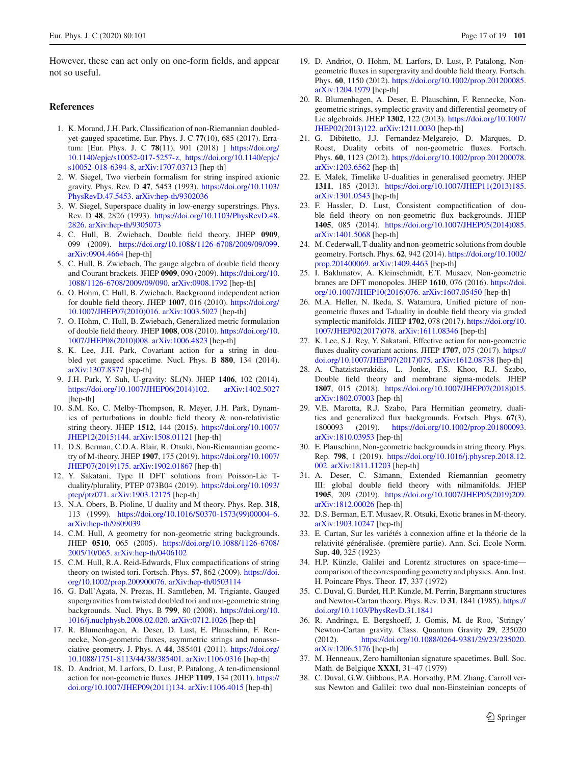However, these can act only on one-form fields, and appear not so useful.

### <span id="page-16-1"></span>**References**

- <span id="page-16-0"></span>1. K. Morand, J.H. Park, Classification of non-Riemannian doubledyet-gauged spacetime. Eur. Phys. J. C **77**(10), 685 (2017). Erratum: [Eur. Phys. J. C **78**(11), 901 (2018) ] [https://doi.org/](https://doi.org/10.1140/epjc/s10052-017-5257-z) [10.1140/epjc/s10052-017-5257-z,](https://doi.org/10.1140/epjc/s10052-017-5257-z) [https://doi.org/10.1140/epjc/](https://doi.org/10.1140/epjc/s10052-018-6394-8) [s10052-018-6394-8,](https://doi.org/10.1140/epjc/s10052-018-6394-8) [arXiv:1707.03713](http://arxiv.org/abs/1707.03713) [hep-th]
- <span id="page-16-2"></span>2. W. Siegel, Two vierbein formalism for string inspired axionic gravity. Phys. Rev. D **47**, 5453 (1993). [https://doi.org/10.1103/](https://doi.org/10.1103/PhysRevD.47.5453) [PhysRevD.47.5453.](https://doi.org/10.1103/PhysRevD.47.5453) [arXiv:hep-th/9302036](http://arxiv.org/abs/hep-th/9302036)
- <span id="page-16-16"></span>3. W. Siegel, Superspace duality in low-energy superstrings. Phys. Rev. D **48**, 2826 (1993). [https://doi.org/10.1103/PhysRevD.48.](https://doi.org/10.1103/PhysRevD.48.2826) [2826.](https://doi.org/10.1103/PhysRevD.48.2826) [arXiv:hep-th/9305073](http://arxiv.org/abs/hep-th/9305073)
- 4. C. Hull, B. Zwiebach, Double field theory. JHEP **0909**, 099 (2009). [https://doi.org/10.1088/1126-6708/2009/09/099.](https://doi.org/10.1088/1126-6708/2009/09/099) [arXiv:0904.4664](http://arxiv.org/abs/0904.4664) [hep-th]
- 5. C. Hull, B. Zwiebach, The gauge algebra of double field theory and Courant brackets. JHEP **0909**, 090 (2009). [https://doi.org/10.](https://doi.org/10.1088/1126-6708/2009/09/090) [1088/1126-6708/2009/09/090.](https://doi.org/10.1088/1126-6708/2009/09/090) [arXiv:0908.1792](http://arxiv.org/abs/0908.1792) [hep-th]
- 6. O. Hohm, C. Hull, B. Zwiebach, Background independent action for double field theory. JHEP **1007**, 016 (2010). [https://doi.org/](https://doi.org/10.1007/JHEP07(2010)016) [10.1007/JHEP07\(2010\)016.](https://doi.org/10.1007/JHEP07(2010)016) [arXiv:1003.5027](http://arxiv.org/abs/1003.5027) [hep-th]
- <span id="page-16-3"></span>7. O. Hohm, C. Hull, B. Zwiebach, Generalized metric formulation of double field theory. JHEP **1008**, 008 (2010). [https://doi.org/10.](https://doi.org/10.1007/JHEP08(2010)008) [1007/JHEP08\(2010\)008.](https://doi.org/10.1007/JHEP08(2010)008) [arXiv:1006.4823](http://arxiv.org/abs/1006.4823) [hep-th]
- <span id="page-16-4"></span>8. K. Lee, J.H. Park, Covariant action for a string in doubled yet gauged spacetime. Nucl. Phys. B **880**, 134 (2014). [arXiv:1307.8377](http://arxiv.org/abs/1307.8377) [hep-th]
- 9. J.H. Park, Y. Suh, U-gravity: SL(N). JHEP **1406**, 102 (2014). [https://doi.org/10.1007/JHEP06\(2014\)102.](https://doi.org/10.1007/JHEP06(2014)102) [arXiv:1402.5027](http://arxiv.org/abs/1402.5027) [hep-th]
- <span id="page-16-17"></span>10. S.M. Ko, C. Melby-Thompson, R. Meyer, J.H. Park, Dynamics of perturbations in double field theory & non-relativistic string theory. JHEP **1512**, 144 (2015). [https://doi.org/10.1007/](https://doi.org/10.1007/JHEP12(2015)144) [JHEP12\(2015\)144.](https://doi.org/10.1007/JHEP12(2015)144) [arXiv:1508.01121](http://arxiv.org/abs/1508.01121) [hep-th]
- <span id="page-16-15"></span>11. D.S. Berman, C.D.A. Blair, R. Otsuki, Non-Riemannian geometry of M-theory. JHEP **1907**, 175 (2019). [https://doi.org/10.1007/](https://doi.org/10.1007/JHEP07(2019)175) [JHEP07\(2019\)175.](https://doi.org/10.1007/JHEP07(2019)175) [arXiv:1902.01867](http://arxiv.org/abs/1902.01867) [hep-th]
- <span id="page-16-5"></span>12. Y. Sakatani, Type II DFT solutions from Poisson-Lie Tduality/plurality, PTEP 073B04 (2019). [https://doi.org/10.1093/](https://doi.org/10.1093/ptep/ptz071) [ptep/ptz071.](https://doi.org/10.1093/ptep/ptz071) [arXiv:1903.12175](http://arxiv.org/abs/1903.12175) [hep-th]
- <span id="page-16-6"></span>13. N.A. Obers, B. Pioline, U duality and M theory. Phys. Rep. **318**, 113 (1999). [https://doi.org/10.1016/S0370-1573\(99\)00004-6.](https://doi.org/10.1016/S0370-1573(99)00004-6) [arXiv:hep-th/9809039](http://arxiv.org/abs/hep-th/9809039)
- 14. C.M. Hull, A geometry for non-geometric string backgrounds. JHEP **0510**, 065 (2005). [https://doi.org/10.1088/1126-6708/](https://doi.org/10.1088/1126-6708/2005/10/065) [2005/10/065.](https://doi.org/10.1088/1126-6708/2005/10/065) [arXiv:hep-th/0406102](http://arxiv.org/abs/hep-th/0406102)
- 15. C.M. Hull, R.A. Reid-Edwards, Flux compactifications of string theory on twisted tori. Fortsch. Phys. **57**, 862 (2009). [https://doi.](https://doi.org/10.1002/prop.200900076) [org/10.1002/prop.200900076.](https://doi.org/10.1002/prop.200900076) [arXiv:hep-th/0503114](http://arxiv.org/abs/hep-th/0503114)
- 16. G. Dall'Agata, N. Prezas, H. Samtleben, M. Trigiante, Gauged supergravities from twisted doubled tori and non-geometric string backgrounds. Nucl. Phys. B **799**, 80 (2008). [https://doi.org/10.](https://doi.org/10.1016/j.nuclphysb.2008.02.020) [1016/j.nuclphysb.2008.02.020.](https://doi.org/10.1016/j.nuclphysb.2008.02.020) [arXiv:0712.1026](http://arxiv.org/abs/0712.1026) [hep-th]
- <span id="page-16-7"></span>17. R. Blumenhagen, A. Deser, D. Lust, E. Plauschinn, F. Rennecke, Non-geometric fluxes, asymmetric strings and nonassociative geometry. J. Phys. A **44**, 385401 (2011). [https://doi.org/](https://doi.org/10.1088/1751-8113/44/38/385401) [10.1088/1751-8113/44/38/385401.](https://doi.org/10.1088/1751-8113/44/38/385401) [arXiv:1106.0316](http://arxiv.org/abs/1106.0316) [hep-th]
- <span id="page-16-8"></span>18. D. Andriot, M. Larfors, D. Lust, P. Patalong, A ten-dimensional action for non-geometric fluxes. JHEP **1109**, 134 (2011). [https://](https://doi.org/10.1007/JHEP09(2011)134) [doi.org/10.1007/JHEP09\(2011\)134.](https://doi.org/10.1007/JHEP09(2011)134) [arXiv:1106.4015](http://arxiv.org/abs/1106.4015) [hep-th]
- 19. D. Andriot, O. Hohm, M. Larfors, D. Lust, P. Patalong, Nongeometric fluxes in supergravity and double field theory. Fortsch. Phys. **60**, 1150 (2012). [https://doi.org/10.1002/prop.201200085.](https://doi.org/10.1002/prop.201200085) [arXiv:1204.1979](http://arxiv.org/abs/1204.1979) [hep-th]
- 20. R. Blumenhagen, A. Deser, E. Plauschinn, F. Rennecke, Nongeometric strings, symplectic gravity and differential geometry of Lie algebroids. JHEP **1302**, 122 (2013). [https://doi.org/10.1007/](https://doi.org/10.1007/JHEP02(2013)122) [JHEP02\(2013\)122.](https://doi.org/10.1007/JHEP02(2013)122) [arXiv:1211.0030](http://arxiv.org/abs/1211.0030) [hep-th]
- 21. G. Dibitetto, J.J. Fernandez-Melgarejo, D. Marques, D. Roest, Duality orbits of non-geometric fluxes. Fortsch. Phys. **60**, 1123 (2012). [https://doi.org/10.1002/prop.201200078.](https://doi.org/10.1002/prop.201200078) [arXiv:1203.6562](http://arxiv.org/abs/1203.6562) [hep-th]
- <span id="page-16-18"></span>22. E. Malek, Timelike U-dualities in generalised geometry. JHEP **1311**, 185 (2013). [https://doi.org/10.1007/JHEP11\(2013\)185.](https://doi.org/10.1007/JHEP11(2013)185) [arXiv:1301.0543](http://arxiv.org/abs/1301.0543) [hep-th]
- 23. F. Hassler, D. Lust, Consistent compactification of double field theory on non-geometric flux backgrounds. JHEP **1405**, 085 (2014). [https://doi.org/10.1007/JHEP05\(2014\)085.](https://doi.org/10.1007/JHEP05(2014)085) [arXiv:1401.5068](http://arxiv.org/abs/1401.5068) [hep-th]
- 24. M. Cederwall, T-duality and non-geometric solutions from double geometry. Fortsch. Phys. **62**, 942 (2014). [https://doi.org/10.1002/](https://doi.org/10.1002/prop.201400069) [prop.201400069.](https://doi.org/10.1002/prop.201400069) [arXiv:1409.4463](http://arxiv.org/abs/1409.4463) [hep-th]
- 25. I. Bakhmatov, A. Kleinschmidt, E.T. Musaev, Non-geometric branes are DFT monopoles. JHEP **1610**, 076 (2016). [https://doi.](https://doi.org/10.1007/JHEP10(2016)076) [org/10.1007/JHEP10\(2016\)076.](https://doi.org/10.1007/JHEP10(2016)076) [arXiv:1607.05450](http://arxiv.org/abs/1607.05450) [hep-th]
- 26. M.A. Heller, N. Ikeda, S. Watamura, Unified picture of nongeometric fluxes and T-duality in double field theory via graded symplectic manifolds. JHEP **1702**, 078 (2017). [https://doi.org/10.](https://doi.org/10.1007/JHEP02(2017)078) [1007/JHEP02\(2017\)078.](https://doi.org/10.1007/JHEP02(2017)078) [arXiv:1611.08346](http://arxiv.org/abs/1611.08346) [hep-th]
- <span id="page-16-19"></span>27. K. Lee, S.J. Rey, Y. Sakatani, Effective action for non-geometric fluxes duality covariant actions. JHEP **1707**, 075 (2017). [https://](https://doi.org/10.1007/JHEP07(2017)075) [doi.org/10.1007/JHEP07\(2017\)075.](https://doi.org/10.1007/JHEP07(2017)075) [arXiv:1612.08738](http://arxiv.org/abs/1612.08738) [hep-th]
- 28. A. Chatzistavrakidis, L. Jonke, F.S. Khoo, R.J. Szabo, Double field theory and membrane sigma-models. JHEP **1807**, 015 (2018). [https://doi.org/10.1007/JHEP07\(2018\)015.](https://doi.org/10.1007/JHEP07(2018)015) [arXiv:1802.07003](http://arxiv.org/abs/1802.07003) [hep-th]
- 29. V.E. Marotta, R.J. Szabo, Para Hermitian geometry, dualities and generalized flux backgrounds. Fortsch. Phys. **67**(3), 1800093 (2019). [https://doi.org/10.1002/prop.201800093.](https://doi.org/10.1002/prop.201800093) [arXiv:1810.03953](http://arxiv.org/abs/1810.03953) [hep-th]
- 30. E. Plauschinn, Non-geometric backgrounds in string theory. Phys. Rep. **798**, 1 (2019). [https://doi.org/10.1016/j.physrep.2018.12.](https://doi.org/10.1016/j.physrep.2018.12.002) [002.](https://doi.org/10.1016/j.physrep.2018.12.002) [arXiv:1811.11203](http://arxiv.org/abs/1811.11203) [hep-th]
- 31. A. Deser, C. Sämann, Extended Riemannian geometry III: global double field theory with nilmanifolds. JHEP **1905**, 209 (2019). [https://doi.org/10.1007/JHEP05\(2019\)209.](https://doi.org/10.1007/JHEP05(2019)209) [arXiv:1812.00026](http://arxiv.org/abs/1812.00026) [hep-th]
- <span id="page-16-9"></span>32. D.S. Berman, E.T. Musaev, R. Otsuki, Exotic branes in M-theory. [arXiv:1903.10247](http://arxiv.org/abs/1903.10247) [hep-th]
- <span id="page-16-10"></span>33. E. Cartan, Sur les variétés à connexion affine et la théorie de la relativité généralisée. (première partie). Ann. Sci. Ecole Norm. Sup. **40**, 325 (1923)
- 34. H.P. Künzle, Galilei and Lorentz structures on space-time comparison of the corresponding geometry and physics. Ann. Inst. H. Poincare Phys. Theor. **17**, 337 (1972)
- <span id="page-16-11"></span>35. C. Duval, G. Burdet, H.P. Kunzle, M. Perrin, Bargmann structures and Newton-Cartan theory. Phys. Rev. D **31**, 1841 (1985). [https://](https://doi.org/10.1103/PhysRevD.31.1841) [doi.org/10.1103/PhysRevD.31.1841](https://doi.org/10.1103/PhysRevD.31.1841)
- <span id="page-16-12"></span>36. R. Andringa, E. Bergshoeff, J. Gomis, M. de Roo, 'Stringy' Newton-Cartan gravity. Class. Quantum Gravity **29**, 235020 (2012). [https://doi.org/10.1088/0264-9381/29/23/235020.](https://doi.org/10.1088/0264-9381/29/23/235020) [arXiv:1206.5176](http://arxiv.org/abs/1206.5176) [hep-th]
- <span id="page-16-13"></span>37. M. Henneaux, Zero hamiltonian signature spacetimes. Bull. Soc. Math. de Belgique **XXXI**, 31–47 (1979)
- <span id="page-16-14"></span>38. C. Duval, G.W. Gibbons, P.A. Horvathy, P.M. Zhang, Carroll versus Newton and Galilei: two dual non-Einsteinian concepts of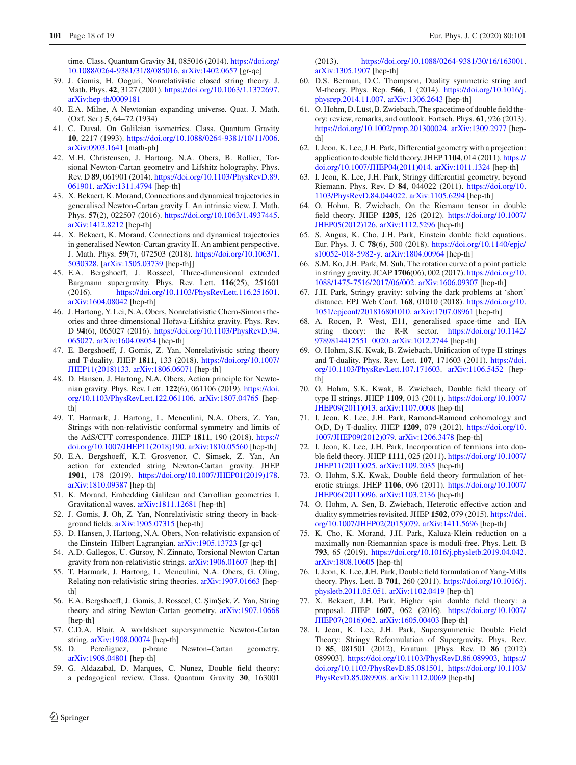time. Class. Quantum Gravity **31**, 085016 (2014). [https://doi.org/](https://doi.org/10.1088/0264-9381/31/8/085016) [10.1088/0264-9381/31/8/085016.](https://doi.org/10.1088/0264-9381/31/8/085016) [arXiv:1402.0657](http://arxiv.org/abs/1402.0657) [gr-qc]

- <span id="page-17-0"></span>39. J. Gomis, H. Ooguri, Nonrelativistic closed string theory. J. Math. Phys. **42**, 3127 (2001). [https://doi.org/10.1063/1.1372697.](https://doi.org/10.1063/1.1372697) [arXiv:hep-th/0009181](http://arxiv.org/abs/hep-th/0009181)
- <span id="page-17-1"></span>40. E.A. Milne, A Newtonian expanding universe. Quat. J. Math. (Oxf. Ser.) **5**, 64–72 (1934)
- <span id="page-17-18"></span>41. C. Duval, On Galileian isometries. Class. Quantum Gravity **10**, 2217 (1993). [https://doi.org/10.1088/0264-9381/10/11/006.](https://doi.org/10.1088/0264-9381/10/11/006) [arXiv:0903.1641](http://arxiv.org/abs/0903.1641) [math-ph]
- 42. M.H. Christensen, J. Hartong, N.A. Obers, B. Rollier, Torsional Newton-Cartan geometry and Lifshitz holography. Phys. Rev. D **89**, 061901 (2014). [https://doi.org/10.1103/PhysRevD.89.](https://doi.org/10.1103/PhysRevD.89.061901) [061901.](https://doi.org/10.1103/PhysRevD.89.061901) [arXiv:1311.4794](http://arxiv.org/abs/1311.4794) [hep-th]
- 43. X. Bekaert, K. Morand, Connections and dynamical trajectories in generalised Newton-Cartan gravity I. An intrinsic view. J. Math. Phys. **57**(2), 022507 (2016). [https://doi.org/10.1063/1.4937445.](https://doi.org/10.1063/1.4937445) [arXiv:1412.8212](http://arxiv.org/abs/1412.8212) [hep-th]
- 44. X. Bekaert, K. Morand, Connections and dynamical trajectories in generalised Newton-Cartan gravity II. An ambient perspective. J. Math. Phys. **59**(7), 072503 (2018). [https://doi.org/10.1063/1.](https://doi.org/10.1063/1.5030328) [5030328.](https://doi.org/10.1063/1.5030328) [\[arXiv:1505.03739](http://arxiv.org/abs/1505.03739) [hep-th]]
- <span id="page-17-21"></span>45. E.A. Bergshoeff, J. Rosseel, Three-dimensional extended Bargmann supergravity. Phys. Rev. Lett. **116**(25), 251601 (2016). [https://doi.org/10.1103/PhysRevLett.116.251601.](https://doi.org/10.1103/PhysRevLett.116.251601) [arXiv:1604.08042](http://arxiv.org/abs/1604.08042) [hep-th]
- <span id="page-17-22"></span>46. J. Hartong, Y. Lei, N.A. Obers, Nonrelativistic Chern-Simons theories and three-dimensional Hořava-Lifshitz gravity. Phys. Rev. D **94**(6), 065027 (2016). [https://doi.org/10.1103/PhysRevD.94.](https://doi.org/10.1103/PhysRevD.94.065027) [065027.](https://doi.org/10.1103/PhysRevD.94.065027) [arXiv:1604.08054](http://arxiv.org/abs/1604.08054) [hep-th]
- <span id="page-17-20"></span>47. E. Bergshoeff, J. Gomis, Z. Yan, Nonrelativistic string theory and T-duality. JHEP **1811**, 133 (2018). [https://doi.org/10.1007/](https://doi.org/10.1007/JHEP11(2018)133) [JHEP11\(2018\)133.](https://doi.org/10.1007/JHEP11(2018)133) [arXiv:1806.06071](http://arxiv.org/abs/1806.06071) [hep-th]
- <span id="page-17-23"></span>48. D. Hansen, J. Hartong, N.A. Obers, Action principle for Newtonian gravity. Phys. Rev. Lett. **122**(6), 061106 (2019). [https://doi.](https://doi.org/10.1103/PhysRevLett.122.061106) [org/10.1103/PhysRevLett.122.061106.](https://doi.org/10.1103/PhysRevLett.122.061106) [arXiv:1807.04765](http://arxiv.org/abs/1807.04765) [hepth]
- 49. T. Harmark, J. Hartong, L. Menculini, N.A. Obers, Z. Yan, Strings with non-relativistic conformal symmetry and limits of the AdS/CFT correspondence. JHEP **1811**, 190 (2018). [https://](https://doi.org/10.1007/JHEP11(2018)190) [doi.org/10.1007/JHEP11\(2018\)190.](https://doi.org/10.1007/JHEP11(2018)190) [arXiv:1810.05560](http://arxiv.org/abs/1810.05560) [hep-th]
- 50. E.A. Bergshoeff, K.T. Grosvenor, C. Simsek, Z. Yan, An action for extended string Newton-Cartan gravity. JHEP **1901**, 178 (2019). [https://doi.org/10.1007/JHEP01\(2019\)178.](https://doi.org/10.1007/JHEP01(2019)178) [arXiv:1810.09387](http://arxiv.org/abs/1810.09387) [hep-th]
- 51. K. Morand, Embedding Galilean and Carrollian geometries I. Gravitational waves. [arXiv:1811.12681](http://arxiv.org/abs/1811.12681) [hep-th]
- <span id="page-17-24"></span>52. J. Gomis, J. Oh, Z. Yan, Nonrelativistic string theory in background fields. [arXiv:1905.07315](http://arxiv.org/abs/1905.07315) [hep-th]
- 53. D. Hansen, J. Hartong, N.A. Obers, Non-relativistic expansion of the Einstein–Hilbert Lagrangian. [arXiv:1905.13723](http://arxiv.org/abs/1905.13723) [gr-qc]
- <span id="page-17-25"></span>54. A.D. Gallegos, U. Gürsoy, N. Zinnato, Torsional Newton Cartan gravity from non-relativistic strings. [arXiv:1906.01607](http://arxiv.org/abs/1906.01607) [hep-th]
- 55. T. Harmark, J. Hartong, L. Menculini, N.A. Obers, G. Oling, Relating non-relativistic string theories. [arXiv:1907.01663](http://arxiv.org/abs/1907.01663) [hepth<sub>1</sub>
- <span id="page-17-26"></span>56. E.A. Bergshoeff, J. Gomis, J. Rosseel, C. ŞimŞek, Z. Yan, String theory and string Newton-Cartan geometry. [arXiv:1907.10668](http://arxiv.org/abs/1907.10668) [hep-th]
- <span id="page-17-19"></span>57. C.D.A. Blair, A worldsheet supersymmetric Newton-Cartan string. [arXiv:1908.00074](http://arxiv.org/abs/1908.00074) [hep-th]
- <span id="page-17-2"></span>58. D. Pereñiguez, p-brane Newton–Cartan geometry. [arXiv:1908.04801](http://arxiv.org/abs/1908.04801) [hep-th]
- <span id="page-17-3"></span>59. G. Aldazabal, D. Marques, C. Nunez, Double field theory: a pedagogical review. Class. Quantum Gravity **30**, 163001

(2013). [https://doi.org/10.1088/0264-9381/30/16/163001.](https://doi.org/10.1088/0264-9381/30/16/163001) [arXiv:1305.1907](http://arxiv.org/abs/1305.1907) [hep-th]

- 60. D.S. Berman, D.C. Thompson, Duality symmetric string and M-theory. Phys. Rep. **566**, 1 (2014). [https://doi.org/10.1016/j.](https://doi.org/10.1016/j.physrep.2014.11.007) [physrep.2014.11.007.](https://doi.org/10.1016/j.physrep.2014.11.007) [arXiv:1306.2643](http://arxiv.org/abs/1306.2643) [hep-th]
- <span id="page-17-4"></span>61. O. Hohm, D. Lüst, B. Zwiebach, The spacetime of double field theory: review, remarks, and outlook. Fortsch. Phys. **61**, 926 (2013). [https://doi.org/10.1002/prop.201300024.](https://doi.org/10.1002/prop.201300024) [arXiv:1309.2977](http://arxiv.org/abs/1309.2977) [hepth<sub>1</sub>
- <span id="page-17-5"></span>62. I. Jeon, K. Lee, J.H. Park, Differential geometry with a projection: application to double field theory. JHEP **1104**, 014 (2011). [https://](https://doi.org/10.1007/JHEP04(2011)014) [doi.org/10.1007/JHEP04\(2011\)014.](https://doi.org/10.1007/JHEP04(2011)014) [arXiv:1011.1324](http://arxiv.org/abs/1011.1324) [hep-th]
- <span id="page-17-17"></span>63. I. Jeon, K. Lee, J.H. Park, Stringy differential geometry, beyond Riemann. Phys. Rev. D **84**, 044022 (2011). [https://doi.org/10.](https://doi.org/10.1103/PhysRevD.84.044022) [1103/PhysRevD.84.044022.](https://doi.org/10.1103/PhysRevD.84.044022) [arXiv:1105.6294](http://arxiv.org/abs/1105.6294) [hep-th]
- 64. O. Hohm, B. Zwiebach, On the Riemann tensor in double field theory. JHEP **1205**, 126 (2012). [https://doi.org/10.1007/](https://doi.org/10.1007/JHEP05(2012)126) [JHEP05\(2012\)126.](https://doi.org/10.1007/JHEP05(2012)126) [arXiv:1112.5296](http://arxiv.org/abs/1112.5296) [hep-th]
- <span id="page-17-6"></span>65. S. Angus, K. Cho, J.H. Park, Einstein double field equations. Eur. Phys. J. C **78**(6), 500 (2018). [https://doi.org/10.1140/epjc/](https://doi.org/10.1140/epjc/s10052-018-5982-y) [s10052-018-5982-y.](https://doi.org/10.1140/epjc/s10052-018-5982-y) [arXiv:1804.00964](http://arxiv.org/abs/1804.00964) [hep-th]
- <span id="page-17-14"></span>66. S.M. Ko, J.H. Park, M. Suh, The rotation curve of a point particle in stringy gravity. JCAP **1706**(06), 002 (2017). [https://doi.org/10.](https://doi.org/10.1088/1475-7516/2017/06/002) [1088/1475-7516/2017/06/002.](https://doi.org/10.1088/1475-7516/2017/06/002) [arXiv:1606.09307](http://arxiv.org/abs/1606.09307) [hep-th]
- <span id="page-17-15"></span>67. J.H. Park, Stringy gravity: solving the dark problems at 'short' distance. EPJ Web Conf. **168**, 01010 (2018). [https://doi.org/10.](https://doi.org/10.1051/epjconf/201816801010) [1051/epjconf/201816801010.](https://doi.org/10.1051/epjconf/201816801010) [arXiv:1707.08961](http://arxiv.org/abs/1707.08961) [hep-th]
- <span id="page-17-7"></span>68. A. Rocen, P. West, E11, generalised space-time and IIA string theory: the R-R sector. [https://doi.org/10.1142/](https://doi.org/10.1142/9789814412551_0020) [9789814412551\\_0020.](https://doi.org/10.1142/9789814412551_0020) [arXiv:1012.2744](http://arxiv.org/abs/1012.2744) [hep-th]
- 69. O. Hohm, S.K. Kwak, B. Zwiebach, Unification of type II strings and T-duality. Phys. Rev. Lett. **107**, 171603 (2011). [https://doi.](https://doi.org/10.1103/PhysRevLett.107.171603) [org/10.1103/PhysRevLett.107.171603.](https://doi.org/10.1103/PhysRevLett.107.171603) [arXiv:1106.5452](http://arxiv.org/abs/1106.5452) [hepth<sub>1</sub>
- 70. O. Hohm, S.K. Kwak, B. Zwiebach, Double field theory of type II strings. JHEP **1109**, 013 (2011). [https://doi.org/10.1007/](https://doi.org/10.1007/JHEP09(2011)013) [JHEP09\(2011\)013.](https://doi.org/10.1007/JHEP09(2011)013) [arXiv:1107.0008](http://arxiv.org/abs/1107.0008) [hep-th]
- <span id="page-17-8"></span>71. I. Jeon, K. Lee, J.H. Park, Ramond-Ramond cohomology and O(D, D) T-duality. JHEP **1209**, 079 (2012). [https://doi.org/10.](https://doi.org/10.1007/JHEP09(2012)079) [1007/JHEP09\(2012\)079.](https://doi.org/10.1007/JHEP09(2012)079) [arXiv:1206.3478](http://arxiv.org/abs/1206.3478) [hep-th]
- <span id="page-17-9"></span>72. I. Jeon, K. Lee, J.H. Park, Incorporation of fermions into double field theory. JHEP **1111**, 025 (2011). [https://doi.org/10.1007/](https://doi.org/10.1007/JHEP11(2011)025) [JHEP11\(2011\)025.](https://doi.org/10.1007/JHEP11(2011)025) [arXiv:1109.2035](http://arxiv.org/abs/1109.2035) [hep-th]
- <span id="page-17-10"></span>73. O. Hohm, S.K. Kwak, Double field theory formulation of heterotic strings. JHEP **1106**, 096 (2011). [https://doi.org/10.1007/](https://doi.org/10.1007/JHEP06(2011)096) [JHEP06\(2011\)096.](https://doi.org/10.1007/JHEP06(2011)096) [arXiv:1103.2136](http://arxiv.org/abs/1103.2136) [hep-th]
- 74. O. Hohm, A. Sen, B. Zwiebach, Heterotic effective action and duality symmetries revisited. JHEP **1502**, 079 (2015). [https://doi.](https://doi.org/10.1007/JHEP02(2015)079) [org/10.1007/JHEP02\(2015\)079.](https://doi.org/10.1007/JHEP02(2015)079) [arXiv:1411.5696](http://arxiv.org/abs/1411.5696) [hep-th]
- <span id="page-17-11"></span>75. K. Cho, K. Morand, J.H. Park, Kaluza-Klein reduction on a maximally non-Riemannian space is moduli-free. Phys. Lett. B **793**, 65 (2019). [https://doi.org/10.1016/j.physletb.2019.04.042.](https://doi.org/10.1016/j.physletb.2019.04.042) [arXiv:1808.10605](http://arxiv.org/abs/1808.10605) [hep-th]
- <span id="page-17-12"></span>76. I. Jeon, K. Lee, J.H. Park, Double field formulation of Yang-Mills theory. Phys. Lett. B **701**, 260 (2011). [https://doi.org/10.1016/j.](https://doi.org/10.1016/j.physletb.2011.05.051) [physletb.2011.05.051.](https://doi.org/10.1016/j.physletb.2011.05.051) [arXiv:1102.0419](http://arxiv.org/abs/1102.0419) [hep-th]
- <span id="page-17-13"></span>77. X. Bekaert, J.H. Park, Higher spin double field theory: a proposal. JHEP **1607**, 062 (2016). [https://doi.org/10.1007/](https://doi.org/10.1007/JHEP07(2016)062) [JHEP07\(2016\)062.](https://doi.org/10.1007/JHEP07(2016)062) [arXiv:1605.00403](http://arxiv.org/abs/1605.00403) [hep-th]
- <span id="page-17-16"></span>78. I. Jeon, K. Lee, J.H. Park, Supersymmetric Double Field Theory: Stringy Reformulation of Supergravity. Phys. Rev. D **85**, 081501 (2012), Erratum: [Phys. Rev. D **86** (2012) 089903]. [https://doi.org/10.1103/PhysRevD.86.089903,](https://doi.org/10.1103/PhysRevD.86.089903) [https://](https://doi.org/10.1103/PhysRevD.85.081501) [doi.org/10.1103/PhysRevD.85.081501,](https://doi.org/10.1103/PhysRevD.85.081501) [https://doi.org/10.1103/](https://doi.org/10.1103/PhysRevD.85.089908) [PhysRevD.85.089908.](https://doi.org/10.1103/PhysRevD.85.089908) [arXiv:1112.0069](http://arxiv.org/abs/1112.0069) [hep-th]